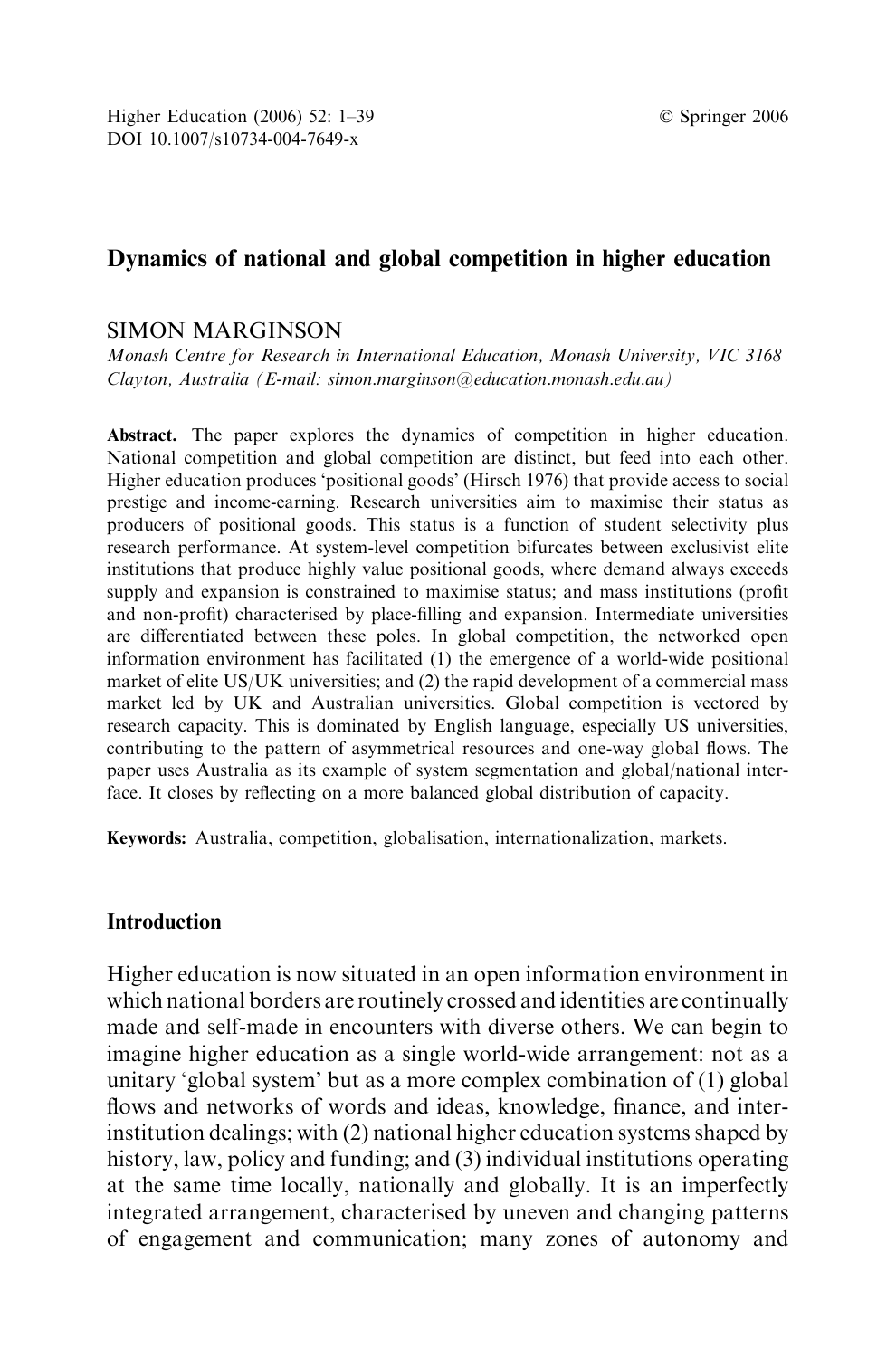# Dynamics of national and global competition in higher education

# SIMON MARGINSON

Monash Centre for Research in International Education, Monash University, VIC 3168 Clayton, Australia (E-mail: simon.marginson@education.monash.edu.au)

Abstract. The paper explores the dynamics of competition in higher education. National competition and global competition are distinct, but feed into each other. Higher education produces 'positional goods' (Hirsch 1976) that provide access to social prestige and income-earning. Research universities aim to maximise their status as producers of positional goods. This status is a function of student selectivity plus research performance. At system-level competition bifurcates between exclusivist elite institutions that produce highly value positional goods, where demand always exceeds supply and expansion is constrained to maximise status; and mass institutions (profit and non-profit) characterised by place-filling and expansion. Intermediate universities are differentiated between these poles. In global competition, the networked open information environment has facilitated (1) the emergence of a world-wide positional market of elite US/UK universities; and (2) the rapid development of a commercial mass market led by UK and Australian universities. Global competition is vectored by research capacity. This is dominated by English language, especially US universities, contributing to the pattern of asymmetrical resources and one-way global flows. The paper uses Australia as its example of system segmentation and global/national interface. It closes by reflecting on a more balanced global distribution of capacity.

Keywords: Australia, competition, globalisation, internationalization, markets.

# Introduction

Higher education is now situated in an open information environment in which national borders are routinely crossed and identities are continually made and self-made in encounters with diverse others. We can begin to imagine higher education as a single world-wide arrangement: not as a unitary 'global system' but as a more complex combination of (1) global flows and networks of words and ideas, knowledge, finance, and interinstitution dealings; with (2) national higher education systems shaped by history, law, policy and funding; and (3) individual institutions operating at the same time locally, nationally and globally. It is an imperfectly integrated arrangement, characterised by uneven and changing patterns of engagement and communication; many zones of autonomy and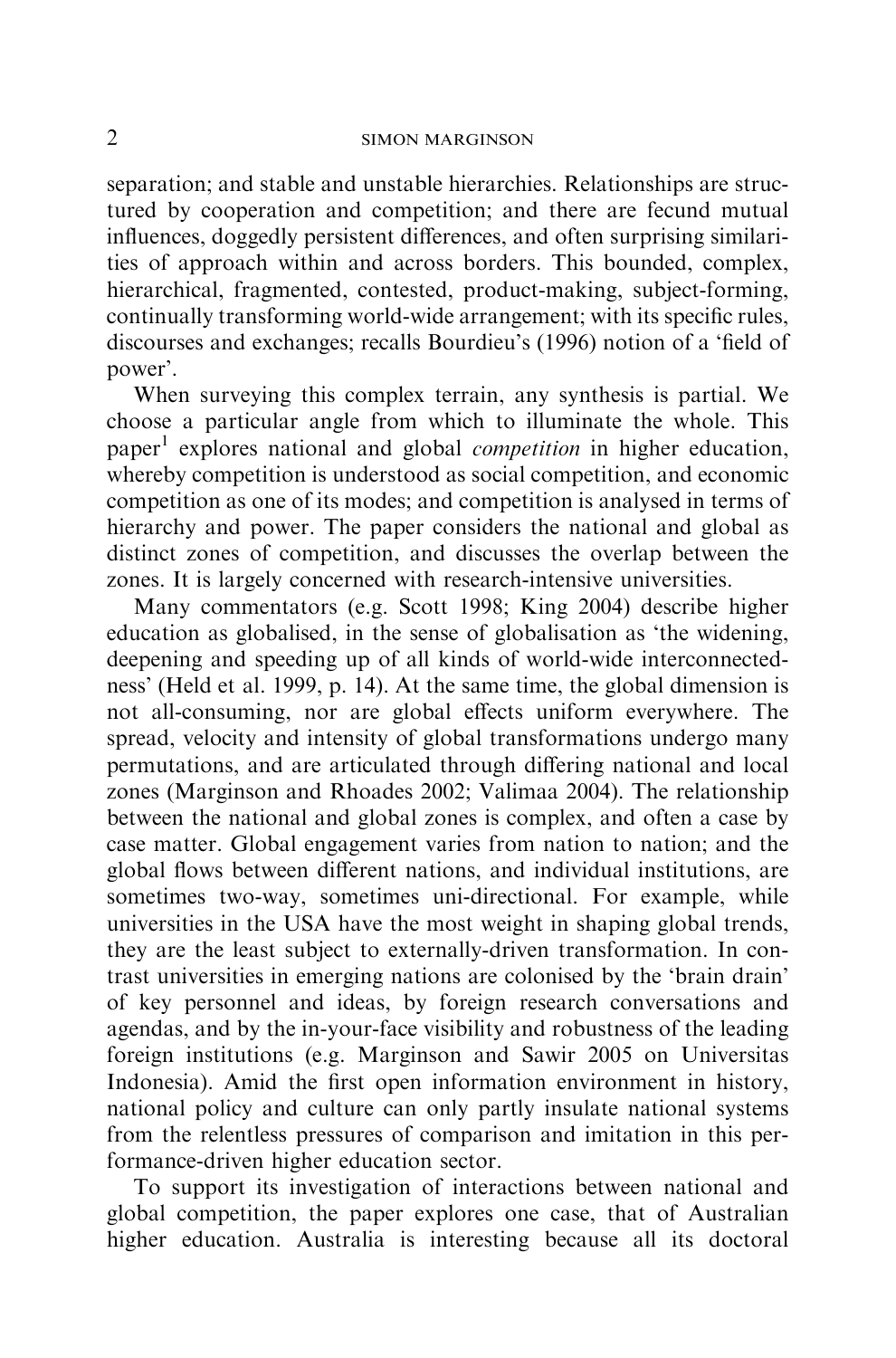separation; and stable and unstable hierarchies. Relationships are structured by cooperation and competition; and there are fecund mutual influences, doggedly persistent differences, and often surprising similarities of approach within and across borders. This bounded, complex, hierarchical, fragmented, contested, product-making, subject-forming, continually transforming world-wide arrangement; with its specific rules, discourses and exchanges; recalls Bourdieu's (1996) notion of a 'field of power'.

When surveying this complex terrain, any synthesis is partial. We choose a particular angle from which to illuminate the whole. This paper<sup>1</sup> explores national and global *competition* in higher education, whereby competition is understood as social competition, and economic competition as one of its modes; and competition is analysed in terms of hierarchy and power. The paper considers the national and global as distinct zones of competition, and discusses the overlap between the zones. It is largely concerned with research-intensive universities.

Many commentators (e.g. Scott 1998; King 2004) describe higher education as globalised, in the sense of globalisation as 'the widening, deepening and speeding up of all kinds of world-wide interconnectedness' (Held et al. 1999, p. 14). At the same time, the global dimension is not all-consuming, nor are global effects uniform everywhere. The spread, velocity and intensity of global transformations undergo many permutations, and are articulated through differing national and local zones (Marginson and Rhoades 2002; Valimaa 2004). The relationship between the national and global zones is complex, and often a case by case matter. Global engagement varies from nation to nation; and the global flows between different nations, and individual institutions, are sometimes two-way, sometimes uni-directional. For example, while universities in the USA have the most weight in shaping global trends, they are the least subject to externally-driven transformation. In contrast universities in emerging nations are colonised by the 'brain drain' of key personnel and ideas, by foreign research conversations and agendas, and by the in-your-face visibility and robustness of the leading foreign institutions (e.g. Marginson and Sawir 2005 on Universitas Indonesia). Amid the first open information environment in history, national policy and culture can only partly insulate national systems from the relentless pressures of comparison and imitation in this performance-driven higher education sector.

To support its investigation of interactions between national and global competition, the paper explores one case, that of Australian higher education. Australia is interesting because all its doctoral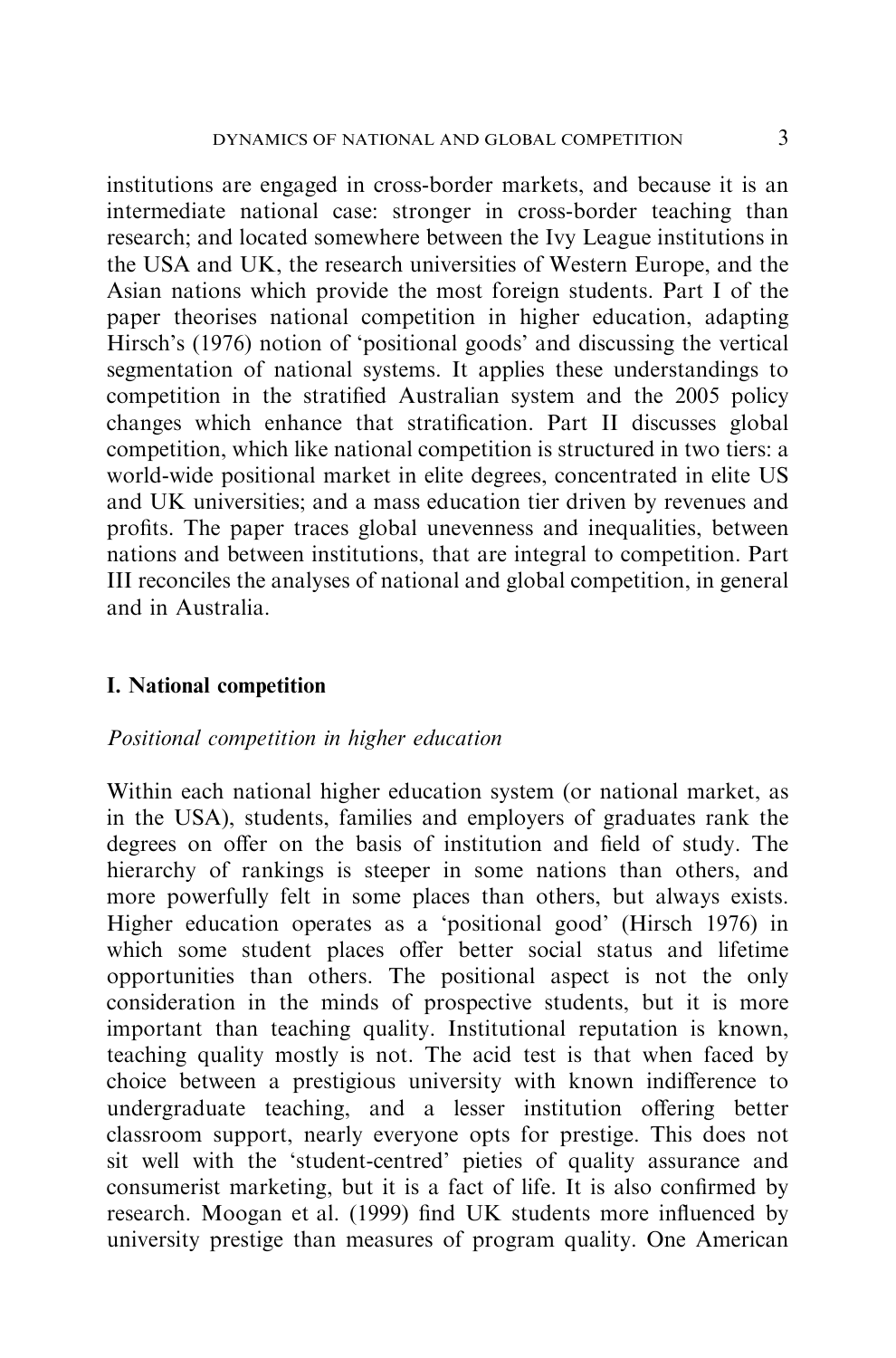institutions are engaged in cross-border markets, and because it is an intermediate national case: stronger in cross-border teaching than research; and located somewhere between the Ivy League institutions in the USA and UK, the research universities of Western Europe, and the Asian nations which provide the most foreign students. Part I of the paper theorises national competition in higher education, adapting Hirsch's (1976) notion of 'positional goods' and discussing the vertical segmentation of national systems. It applies these understandings to competition in the stratified Australian system and the 2005 policy changes which enhance that stratification. Part II discusses global competition, which like national competition is structured in two tiers: a world-wide positional market in elite degrees, concentrated in elite US and UK universities; and a mass education tier driven by revenues and profits. The paper traces global unevenness and inequalities, between nations and between institutions, that are integral to competition. Part III reconciles the analyses of national and global competition, in general and in Australia.

# I. National competition

# Positional competition in higher education

Within each national higher education system (or national market, as in the USA), students, families and employers of graduates rank the degrees on offer on the basis of institution and field of study. The hierarchy of rankings is steeper in some nations than others, and more powerfully felt in some places than others, but always exists. Higher education operates as a 'positional good' (Hirsch 1976) in which some student places offer better social status and lifetime opportunities than others. The positional aspect is not the only consideration in the minds of prospective students, but it is more important than teaching quality. Institutional reputation is known, teaching quality mostly is not. The acid test is that when faced by choice between a prestigious university with known indifference to undergraduate teaching, and a lesser institution offering better classroom support, nearly everyone opts for prestige. This does not sit well with the 'student-centred' pieties of quality assurance and consumerist marketing, but it is a fact of life. It is also confirmed by research. Moogan et al. (1999) find UK students more influenced by university prestige than measures of program quality. One American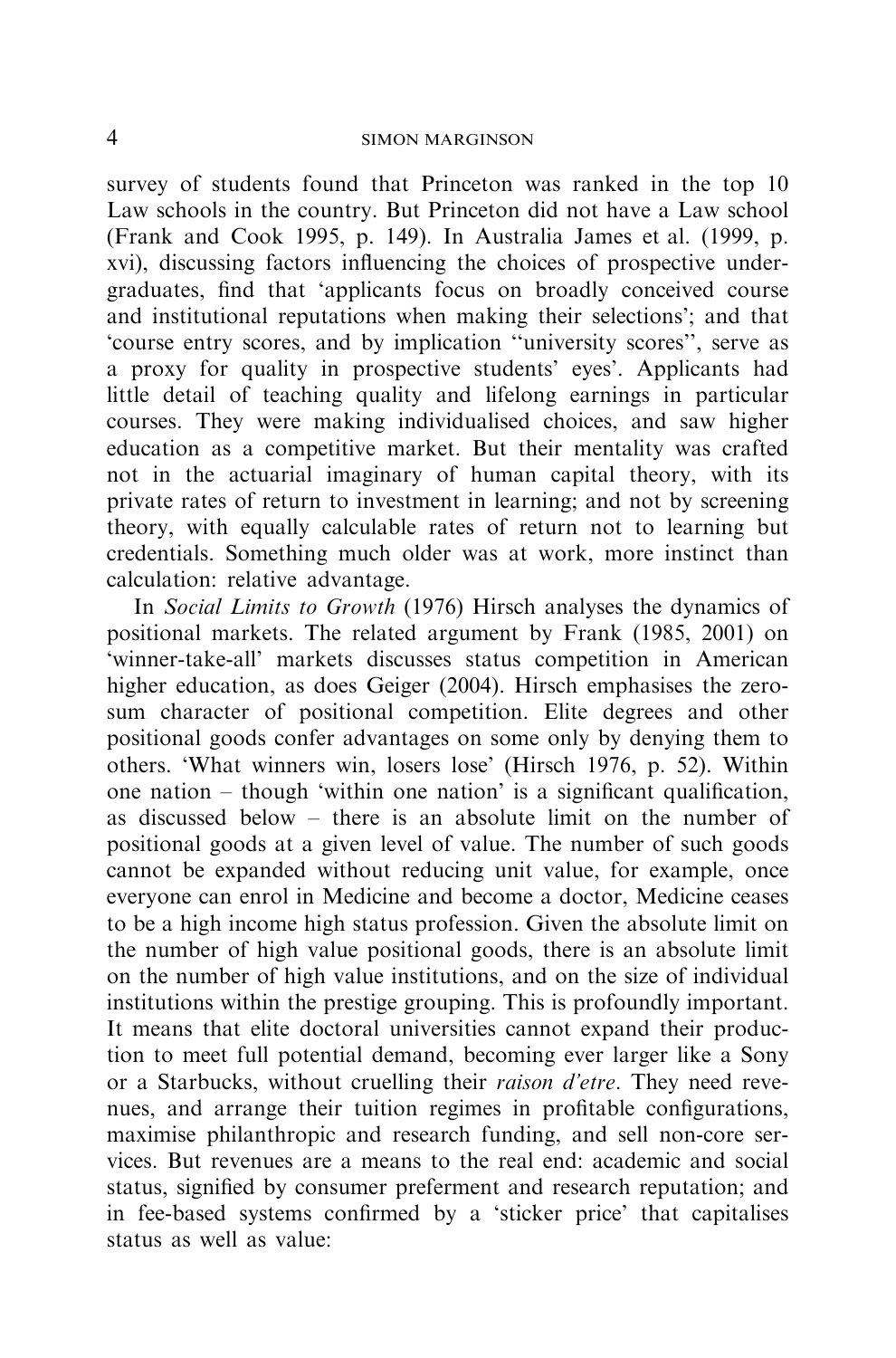survey of students found that Princeton was ranked in the top 10 Law schools in the country. But Princeton did not have a Law school (Frank and Cook 1995, p. 149). In Australia James et al. (1999, p. xvi), discussing factors influencing the choices of prospective undergraduates, find that 'applicants focus on broadly conceived course and institutional reputations when making their selections'; and that 'course entry scores, and by implication ''university scores'', serve as a proxy for quality in prospective students' eyes'. Applicants had little detail of teaching quality and lifelong earnings in particular courses. They were making individualised choices, and saw higher education as a competitive market. But their mentality was crafted not in the actuarial imaginary of human capital theory, with its private rates of return to investment in learning; and not by screening theory, with equally calculable rates of return not to learning but credentials. Something much older was at work, more instinct than calculation: relative advantage.

In Social Limits to Growth (1976) Hirsch analyses the dynamics of positional markets. The related argument by Frank (1985, 2001) on 'winner-take-all' markets discusses status competition in American higher education, as does Geiger (2004). Hirsch emphasises the zerosum character of positional competition. Elite degrees and other positional goods confer advantages on some only by denying them to others. 'What winners win, losers lose' (Hirsch 1976, p. 52). Within one nation – though 'within one nation' is a significant qualification, as discussed below – there is an absolute limit on the number of positional goods at a given level of value. The number of such goods cannot be expanded without reducing unit value, for example, once everyone can enrol in Medicine and become a doctor, Medicine ceases to be a high income high status profession. Given the absolute limit on the number of high value positional goods, there is an absolute limit on the number of high value institutions, and on the size of individual institutions within the prestige grouping. This is profoundly important. It means that elite doctoral universities cannot expand their production to meet full potential demand, becoming ever larger like a Sony or a Starbucks, without cruelling their *raison d'etre*. They need revenues, and arrange their tuition regimes in profitable configurations, maximise philanthropic and research funding, and sell non-core services. But revenues are a means to the real end: academic and social status, signified by consumer preferment and research reputation; and in fee-based systems confirmed by a 'sticker price' that capitalises status as well as value: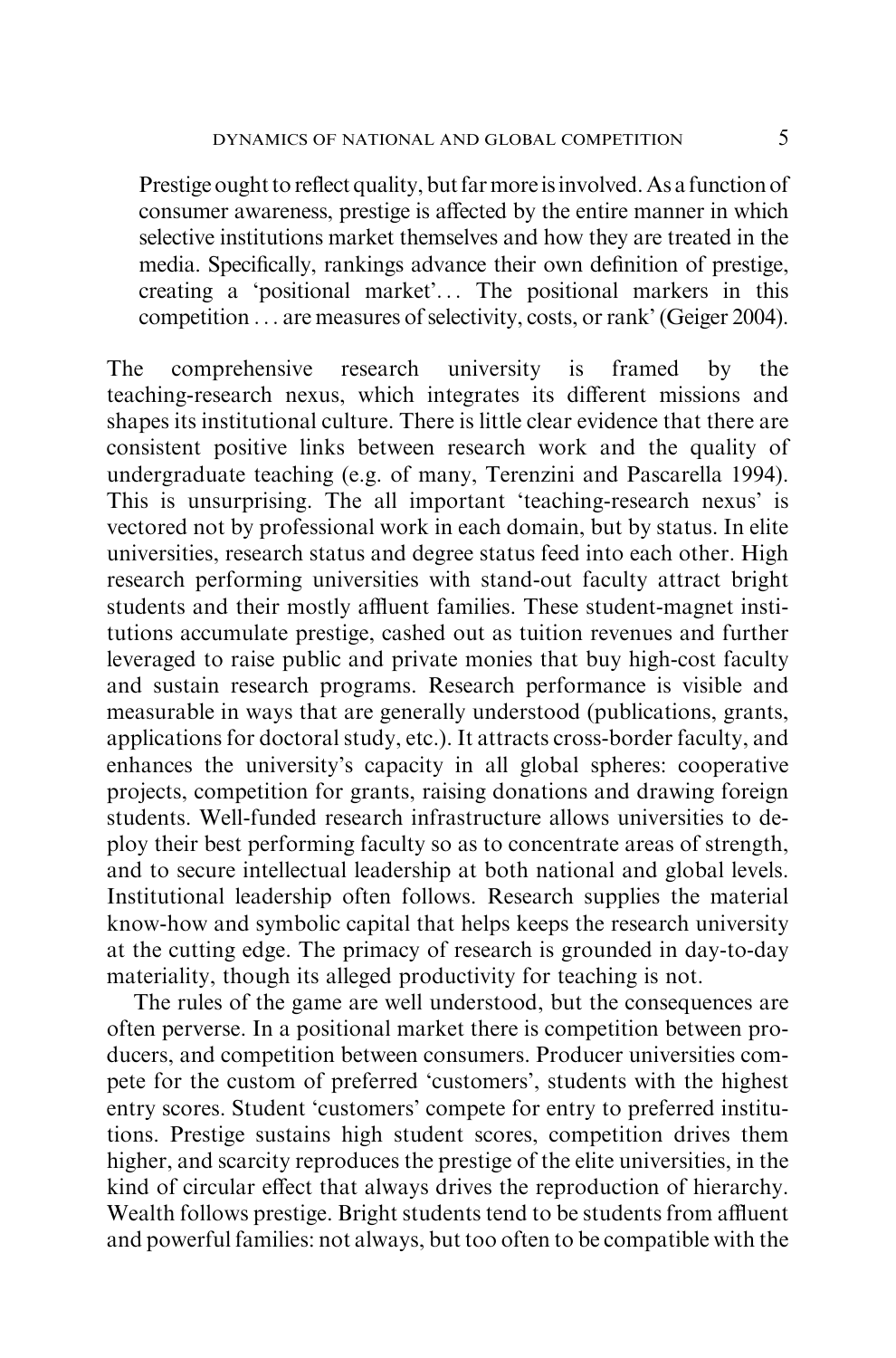Prestige ought to reflect quality, but far more isinvolved. As a function of consumer awareness, prestige is affected by the entire manner in which selective institutions market themselves and how they are treated in the media. Specifically, rankings advance their own definition of prestige, creating a 'positional market'... The positional markers in this competition ... are measures of selectivity, costs, or rank' (Geiger 2004).

The comprehensive research university is framed by the teaching-research nexus, which integrates its different missions and shapes its institutional culture. There is little clear evidence that there are consistent positive links between research work and the quality of undergraduate teaching (e.g. of many, Terenzini and Pascarella 1994). This is unsurprising. The all important 'teaching-research nexus' is vectored not by professional work in each domain, but by status. In elite universities, research status and degree status feed into each other. High research performing universities with stand-out faculty attract bright students and their mostly affluent families. These student-magnet institutions accumulate prestige, cashed out as tuition revenues and further leveraged to raise public and private monies that buy high-cost faculty and sustain research programs. Research performance is visible and measurable in ways that are generally understood (publications, grants, applications for doctoral study, etc.). It attracts cross-border faculty, and enhances the university's capacity in all global spheres: cooperative projects, competition for grants, raising donations and drawing foreign students. Well-funded research infrastructure allows universities to deploy their best performing faculty so as to concentrate areas of strength, and to secure intellectual leadership at both national and global levels. Institutional leadership often follows. Research supplies the material know-how and symbolic capital that helps keeps the research university at the cutting edge. The primacy of research is grounded in day-to-day materiality, though its alleged productivity for teaching is not.

The rules of the game are well understood, but the consequences are often perverse. In a positional market there is competition between producers, and competition between consumers. Producer universities compete for the custom of preferred 'customers', students with the highest entry scores. Student 'customers' compete for entry to preferred institutions. Prestige sustains high student scores, competition drives them higher, and scarcity reproduces the prestige of the elite universities, in the kind of circular effect that always drives the reproduction of hierarchy. Wealth follows prestige. Bright students tend to be students from affluent and powerful families: not always, but too often to be compatible with the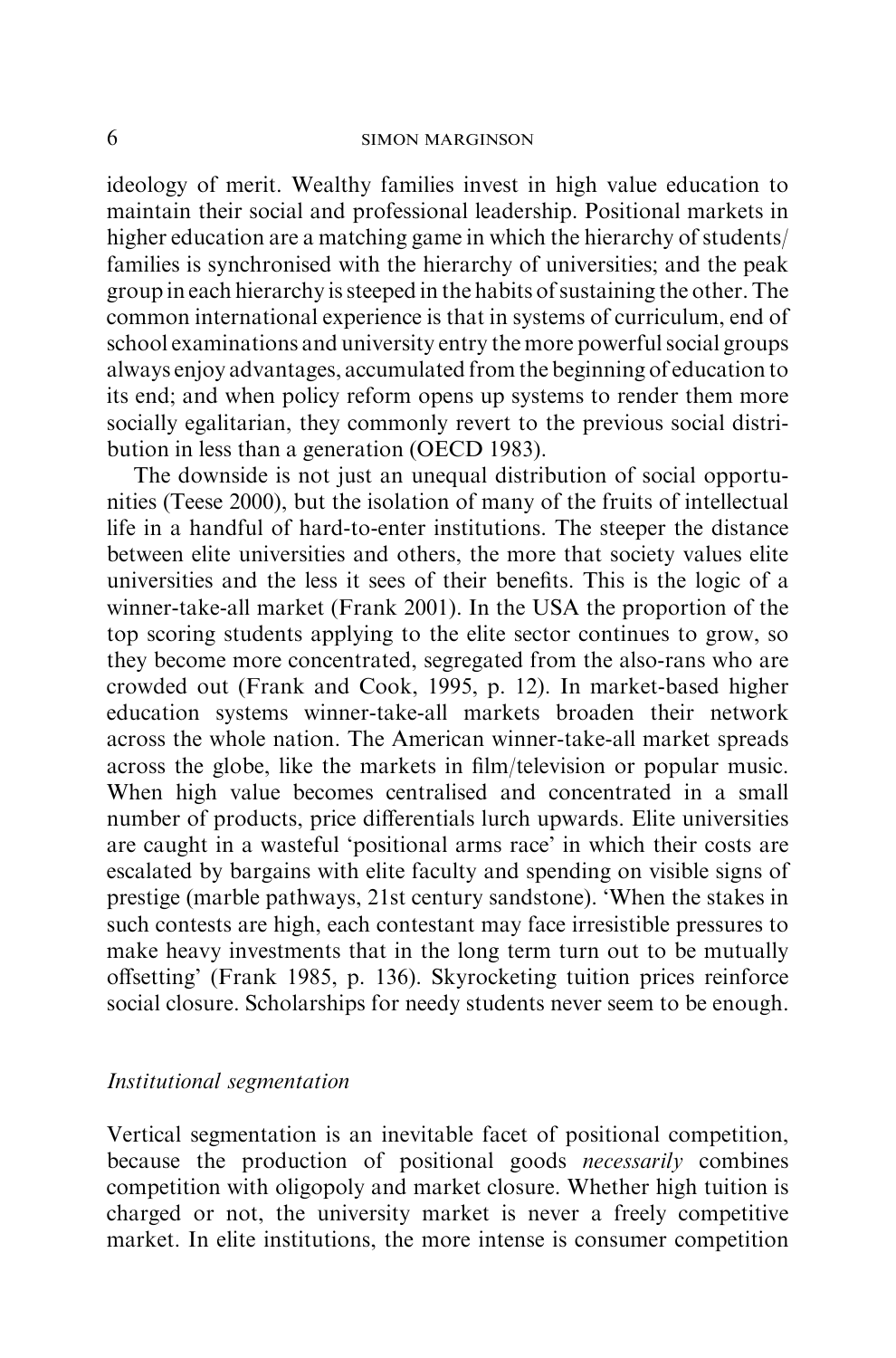ideology of merit. Wealthy families invest in high value education to maintain their social and professional leadership. Positional markets in higher education are a matching game in which the hierarchy of students/ families is synchronised with the hierarchy of universities; and the peak group in each hierarchy is steeped in the habits of sustaining the other. The common international experience is that in systems of curriculum, end of school examinations and university entry the more powerful social groups always enjoy advantages, accumulated from the beginning of education to its end; and when policy reform opens up systems to render them more socially egalitarian, they commonly revert to the previous social distribution in less than a generation (OECD 1983).

The downside is not just an unequal distribution of social opportunities (Teese 2000), but the isolation of many of the fruits of intellectual life in a handful of hard-to-enter institutions. The steeper the distance between elite universities and others, the more that society values elite universities and the less it sees of their benefits. This is the logic of a winner-take-all market (Frank 2001). In the USA the proportion of the top scoring students applying to the elite sector continues to grow, so they become more concentrated, segregated from the also-rans who are crowded out (Frank and Cook, 1995, p. 12). In market-based higher education systems winner-take-all markets broaden their network across the whole nation. The American winner-take-all market spreads across the globe, like the markets in film/television or popular music. When high value becomes centralised and concentrated in a small number of products, price differentials lurch upwards. Elite universities are caught in a wasteful 'positional arms race' in which their costs are escalated by bargains with elite faculty and spending on visible signs of prestige (marble pathways, 21st century sandstone). 'When the stakes in such contests are high, each contestant may face irresistible pressures to make heavy investments that in the long term turn out to be mutually offsetting' (Frank 1985, p. 136). Skyrocketing tuition prices reinforce social closure. Scholarships for needy students never seem to be enough.

# Institutional segmentation

Vertical segmentation is an inevitable facet of positional competition, because the production of positional goods *necessarily* combines competition with oligopoly and market closure. Whether high tuition is charged or not, the university market is never a freely competitive market. In elite institutions, the more intense is consumer competition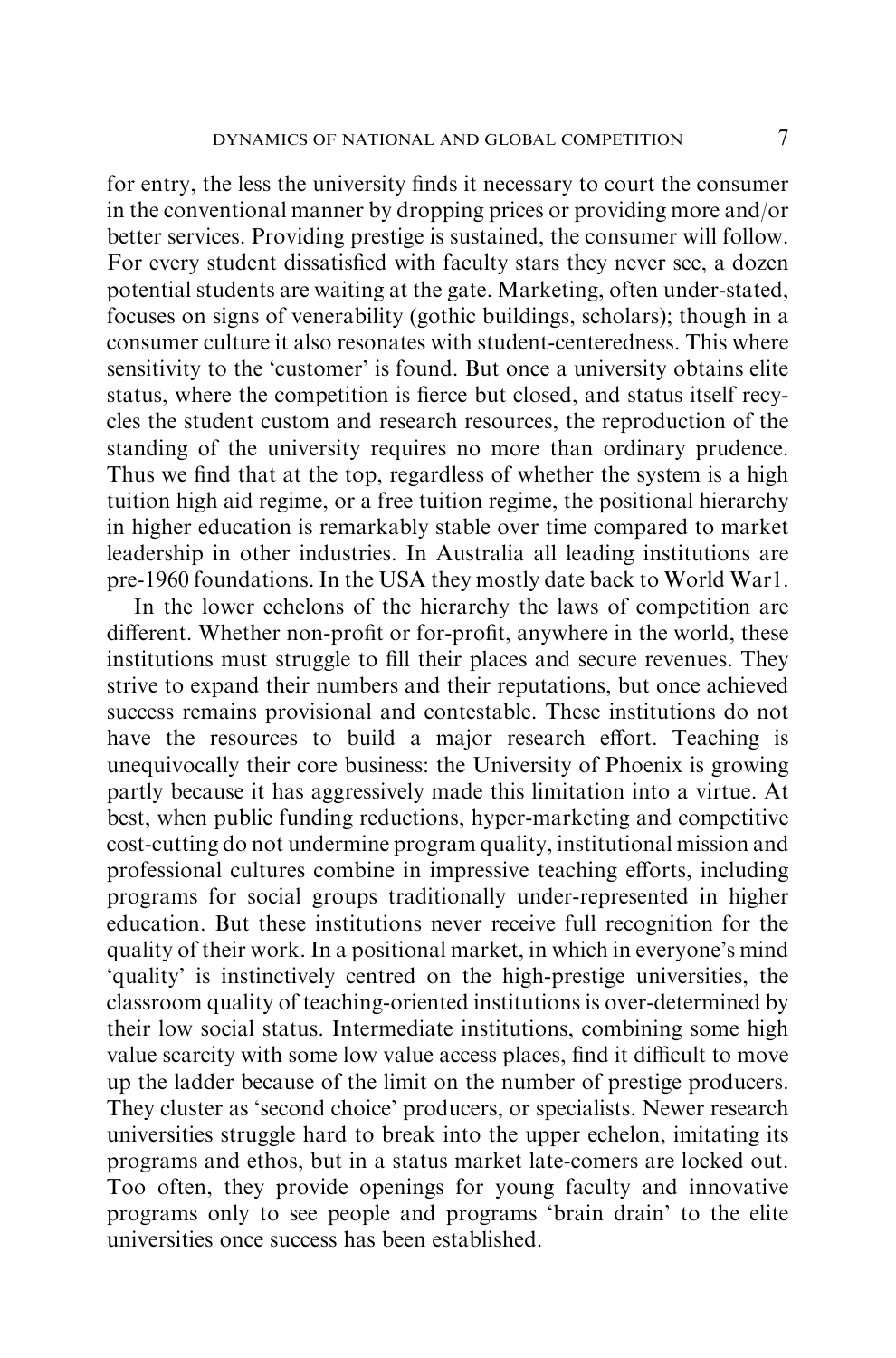for entry, the less the university finds it necessary to court the consumer in the conventional manner by dropping prices or providing more and/or better services. Providing prestige is sustained, the consumer will follow. For every student dissatisfied with faculty stars they never see, a dozen potential students are waiting at the gate. Marketing, often under-stated, focuses on signs of venerability (gothic buildings, scholars); though in a consumer culture it also resonates with student-centeredness. This where sensitivity to the 'customer' is found. But once a university obtains elite status, where the competition is fierce but closed, and status itself recycles the student custom and research resources, the reproduction of the standing of the university requires no more than ordinary prudence. Thus we find that at the top, regardless of whether the system is a high tuition high aid regime, or a free tuition regime, the positional hierarchy in higher education is remarkably stable over time compared to market leadership in other industries. In Australia all leading institutions are pre-1960 foundations. In the USA they mostly date back to World War1.

In the lower echelons of the hierarchy the laws of competition are different. Whether non-profit or for-profit, anywhere in the world, these institutions must struggle to fill their places and secure revenues. They strive to expand their numbers and their reputations, but once achieved success remains provisional and contestable. These institutions do not have the resources to build a major research effort. Teaching is unequivocally their core business: the University of Phoenix is growing partly because it has aggressively made this limitation into a virtue. At best, when public funding reductions, hyper-marketing and competitive cost-cutting do not undermine program quality, institutional mission and professional cultures combine in impressive teaching efforts, including programs for social groups traditionally under-represented in higher education. But these institutions never receive full recognition for the quality of their work. In a positional market, in which in everyone's mind 'quality' is instinctively centred on the high-prestige universities, the classroom quality of teaching-oriented institutions is over-determined by their low social status. Intermediate institutions, combining some high value scarcity with some low value access places, find it difficult to move up the ladder because of the limit on the number of prestige producers. They cluster as 'second choice' producers, or specialists. Newer research universities struggle hard to break into the upper echelon, imitating its programs and ethos, but in a status market late-comers are locked out. Too often, they provide openings for young faculty and innovative programs only to see people and programs 'brain drain' to the elite universities once success has been established.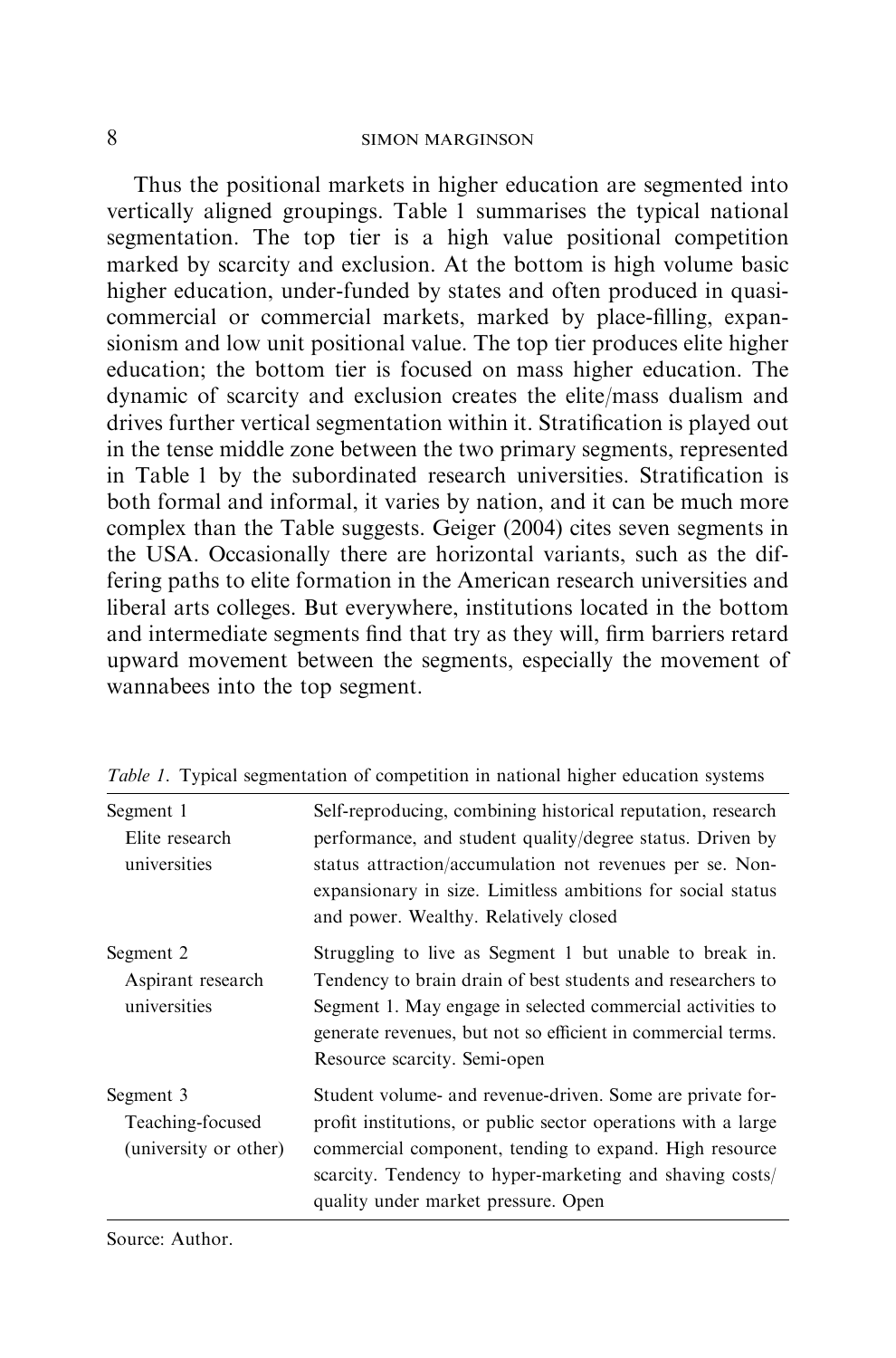Thus the positional markets in higher education are segmented into vertically aligned groupings. Table 1 summarises the typical national segmentation. The top tier is a high value positional competition marked by scarcity and exclusion. At the bottom is high volume basic higher education, under-funded by states and often produced in quasicommercial or commercial markets, marked by place-filling, expansionism and low unit positional value. The top tier produces elite higher education; the bottom tier is focused on mass higher education. The dynamic of scarcity and exclusion creates the elite/mass dualism and drives further vertical segmentation within it. Stratification is played out in the tense middle zone between the two primary segments, represented in Table 1 by the subordinated research universities. Stratification is both formal and informal, it varies by nation, and it can be much more complex than the Table suggests. Geiger (2004) cites seven segments in the USA. Occasionally there are horizontal variants, such as the differing paths to elite formation in the American research universities and liberal arts colleges. But everywhere, institutions located in the bottom and intermediate segments find that try as they will, firm barriers retard upward movement between the segments, especially the movement of wannabees into the top segment.

| Segment 1<br>Elite research<br>universities            | Self-reproducing, combining historical reputation, research<br>performance, and student quality/degree status. Driven by<br>status attraction/accumulation not revenues per se. Non-<br>expansionary in size. Limitless ambitions for social status<br>and power. Wealthy. Relatively closed |
|--------------------------------------------------------|----------------------------------------------------------------------------------------------------------------------------------------------------------------------------------------------------------------------------------------------------------------------------------------------|
| Segment 2<br>Aspirant research<br>universities         | Struggling to live as Segment 1 but unable to break in.<br>Tendency to brain drain of best students and researchers to<br>Segment 1. May engage in selected commercial activities to<br>generate revenues, but not so efficient in commercial terms.<br>Resource scarcity. Semi-open         |
| Segment 3<br>Teaching-focused<br>(university or other) | Student volume- and revenue-driven. Some are private for-<br>profit institutions, or public sector operations with a large<br>commercial component, tending to expand. High resource<br>scarcity. Tendency to hyper-marketing and shaving costs/<br>quality under market pressure. Open      |

Table 1. Typical segmentation of competition in national higher education systems

Source: Author.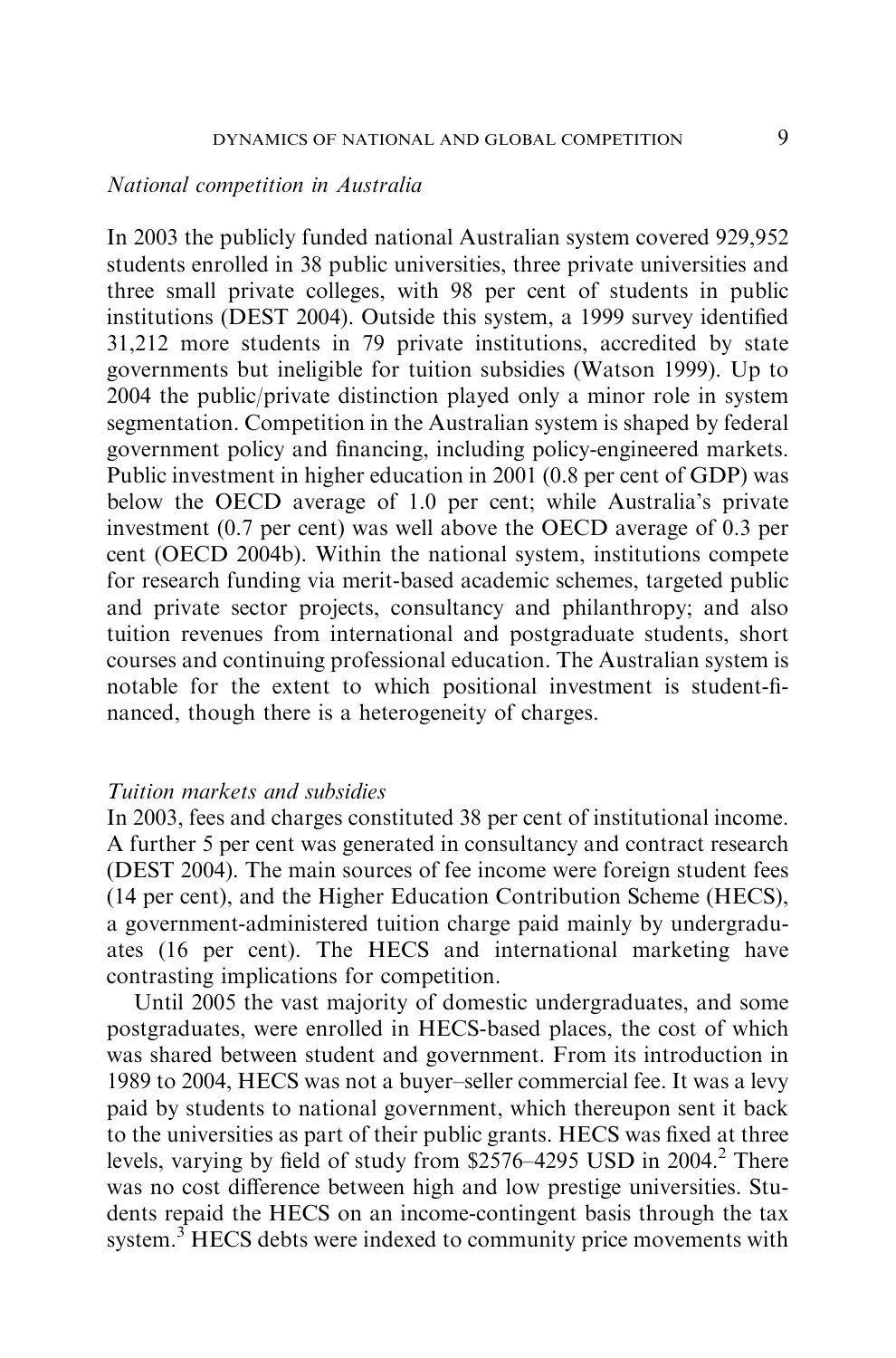#### National competition in Australia

In 2003 the publicly funded national Australian system covered 929,952 students enrolled in 38 public universities, three private universities and three small private colleges, with 98 per cent of students in public institutions (DEST 2004). Outside this system, a 1999 survey identified 31,212 more students in 79 private institutions, accredited by state governments but ineligible for tuition subsidies (Watson 1999). Up to 2004 the public/private distinction played only a minor role in system segmentation. Competition in the Australian system is shaped by federal government policy and financing, including policy-engineered markets. Public investment in higher education in 2001 (0.8 per cent of GDP) was below the OECD average of 1.0 per cent; while Australia's private investment (0.7 per cent) was well above the OECD average of 0.3 per cent (OECD 2004b). Within the national system, institutions compete for research funding via merit-based academic schemes, targeted public and private sector projects, consultancy and philanthropy; and also tuition revenues from international and postgraduate students, short courses and continuing professional education. The Australian system is notable for the extent to which positional investment is student-financed, though there is a heterogeneity of charges.

# Tuition markets and subsidies

In 2003, fees and charges constituted 38 per cent of institutional income. A further 5 per cent was generated in consultancy and contract research (DEST 2004). The main sources of fee income were foreign student fees (14 per cent), and the Higher Education Contribution Scheme (HECS), a government-administered tuition charge paid mainly by undergraduates (16 per cent). The HECS and international marketing have contrasting implications for competition.

Until 2005 the vast majority of domestic undergraduates, and some postgraduates, were enrolled in HECS-based places, the cost of which was shared between student and government. From its introduction in 1989 to 2004, HECS was not a buyer–seller commercial fee. It was a levy paid by students to national government, which thereupon sent it back to the universities as part of their public grants. HECS was fixed at three levels, varying by field of study from  $$2576-4295$  USD in 2004.<sup>2</sup> There was no cost difference between high and low prestige universities. Students repaid the HECS on an income-contingent basis through the tax system. $3$  HECS debts were indexed to community price movements with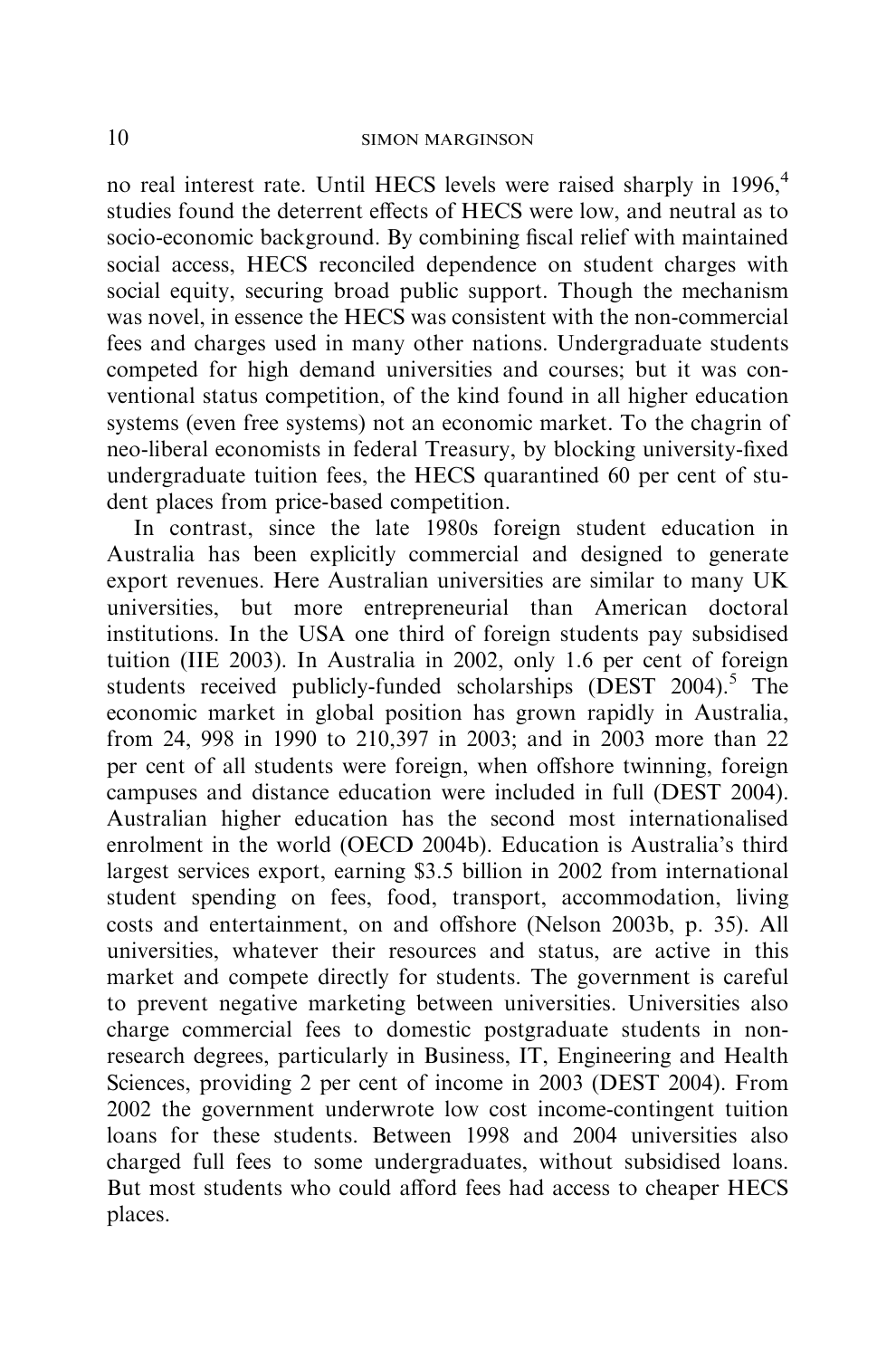no real interest rate. Until HECS levels were raised sharply in 1996,<sup>4</sup> studies found the deterrent effects of HECS were low, and neutral as to socio-economic background. By combining fiscal relief with maintained social access, HECS reconciled dependence on student charges with social equity, securing broad public support. Though the mechanism was novel, in essence the HECS was consistent with the non-commercial fees and charges used in many other nations. Undergraduate students competed for high demand universities and courses; but it was conventional status competition, of the kind found in all higher education systems (even free systems) not an economic market. To the chagrin of neo-liberal economists in federal Treasury, by blocking university-fixed undergraduate tuition fees, the HECS quarantined 60 per cent of student places from price-based competition.

In contrast, since the late 1980s foreign student education in Australia has been explicitly commercial and designed to generate export revenues. Here Australian universities are similar to many UK universities, but more entrepreneurial than American doctoral institutions. In the USA one third of foreign students pay subsidised tuition (IIE 2003). In Australia in 2002, only 1.6 per cent of foreign students received publicly-funded scholarships (DEST  $2004$ ).<sup>5</sup> The economic market in global position has grown rapidly in Australia, from 24, 998 in 1990 to 210,397 in 2003; and in 2003 more than 22 per cent of all students were foreign, when offshore twinning, foreign campuses and distance education were included in full (DEST 2004). Australian higher education has the second most internationalised enrolment in the world (OECD 2004b). Education is Australia's third largest services export, earning \$3.5 billion in 2002 from international student spending on fees, food, transport, accommodation, living costs and entertainment, on and offshore (Nelson 2003b, p. 35). All universities, whatever their resources and status, are active in this market and compete directly for students. The government is careful to prevent negative marketing between universities. Universities also charge commercial fees to domestic postgraduate students in nonresearch degrees, particularly in Business, IT, Engineering and Health Sciences, providing 2 per cent of income in 2003 (DEST 2004). From 2002 the government underwrote low cost income-contingent tuition loans for these students. Between 1998 and 2004 universities also charged full fees to some undergraduates, without subsidised loans. But most students who could afford fees had access to cheaper HECS places.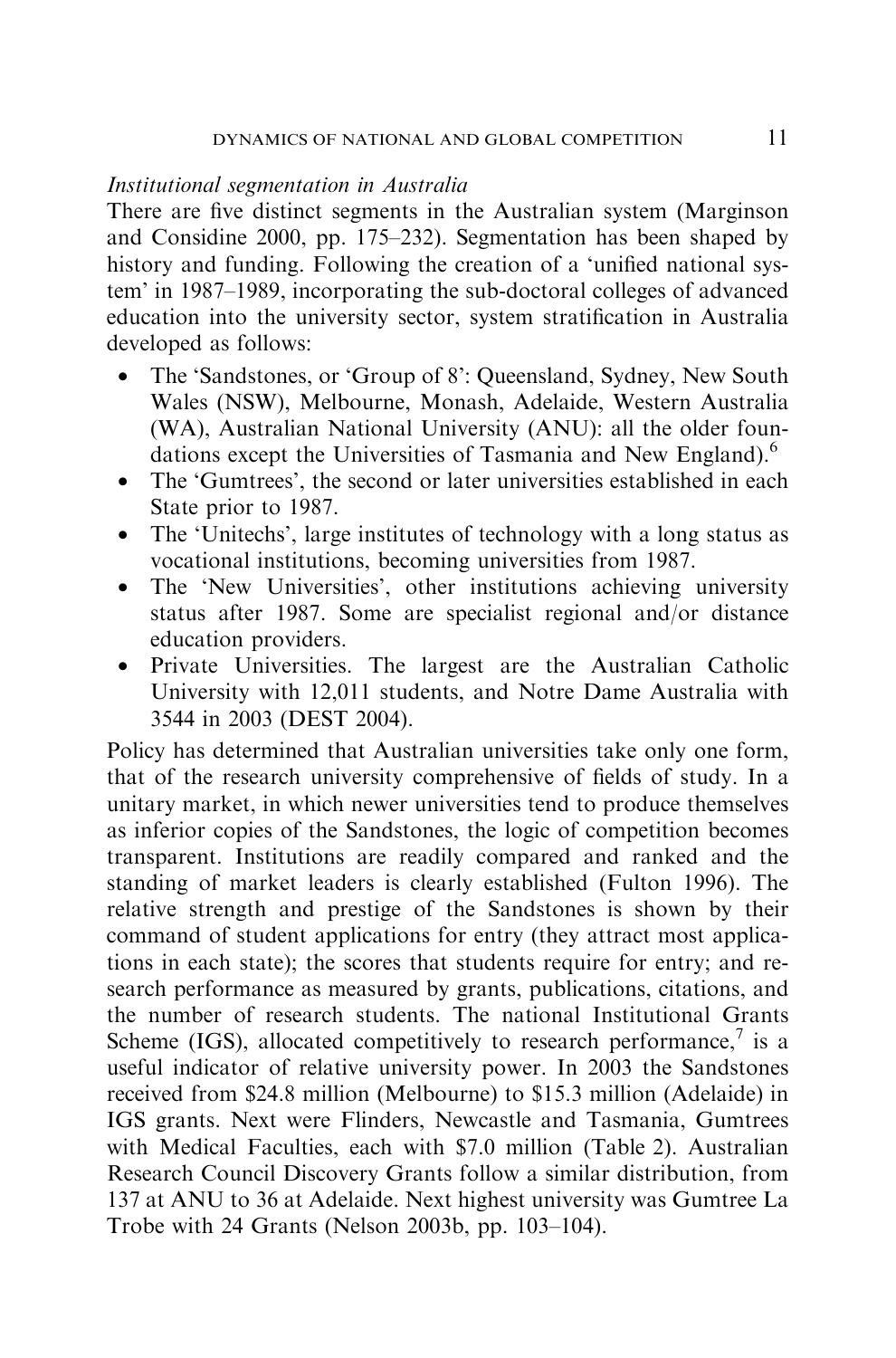#### Institutional segmentation in Australia

There are five distinct segments in the Australian system (Marginson and Considine 2000, pp. 175–232). Segmentation has been shaped by history and funding. Following the creation of a 'unified national system' in 1987–1989, incorporating the sub-doctoral colleges of advanced education into the university sector, system stratification in Australia developed as follows:

- The 'Sandstones, or 'Group of 8': Queensland, Sydney, New South Wales (NSW), Melbourne, Monash, Adelaide, Western Australia (WA), Australian National University (ANU): all the older foundations except the Universities of Tasmania and New England).<sup>6</sup>
- The 'Gumtrees', the second or later universities established in each State prior to 1987.
- The 'Unitechs', large institutes of technology with a long status as vocational institutions, becoming universities from 1987.
- The 'New Universities', other institutions achieving university status after 1987. Some are specialist regional and/or distance education providers.
- Private Universities. The largest are the Australian Catholic University with 12,011 students, and Notre Dame Australia with 3544 in 2003 (DEST 2004).

Policy has determined that Australian universities take only one form, that of the research university comprehensive of fields of study. In a unitary market, in which newer universities tend to produce themselves as inferior copies of the Sandstones, the logic of competition becomes transparent. Institutions are readily compared and ranked and the standing of market leaders is clearly established (Fulton 1996). The relative strength and prestige of the Sandstones is shown by their command of student applications for entry (they attract most applications in each state); the scores that students require for entry; and research performance as measured by grants, publications, citations, and the number of research students. The national Institutional Grants Scheme (IGS), allocated competitively to research performance,<sup>7</sup> is a useful indicator of relative university power. In 2003 the Sandstones received from \$24.8 million (Melbourne) to \$15.3 million (Adelaide) in IGS grants. Next were Flinders, Newcastle and Tasmania, Gumtrees with Medical Faculties, each with \$7.0 million (Table 2). Australian Research Council Discovery Grants follow a similar distribution, from 137 at ANU to 36 at Adelaide. Next highest university was Gumtree La Trobe with 24 Grants (Nelson 2003b, pp. 103–104).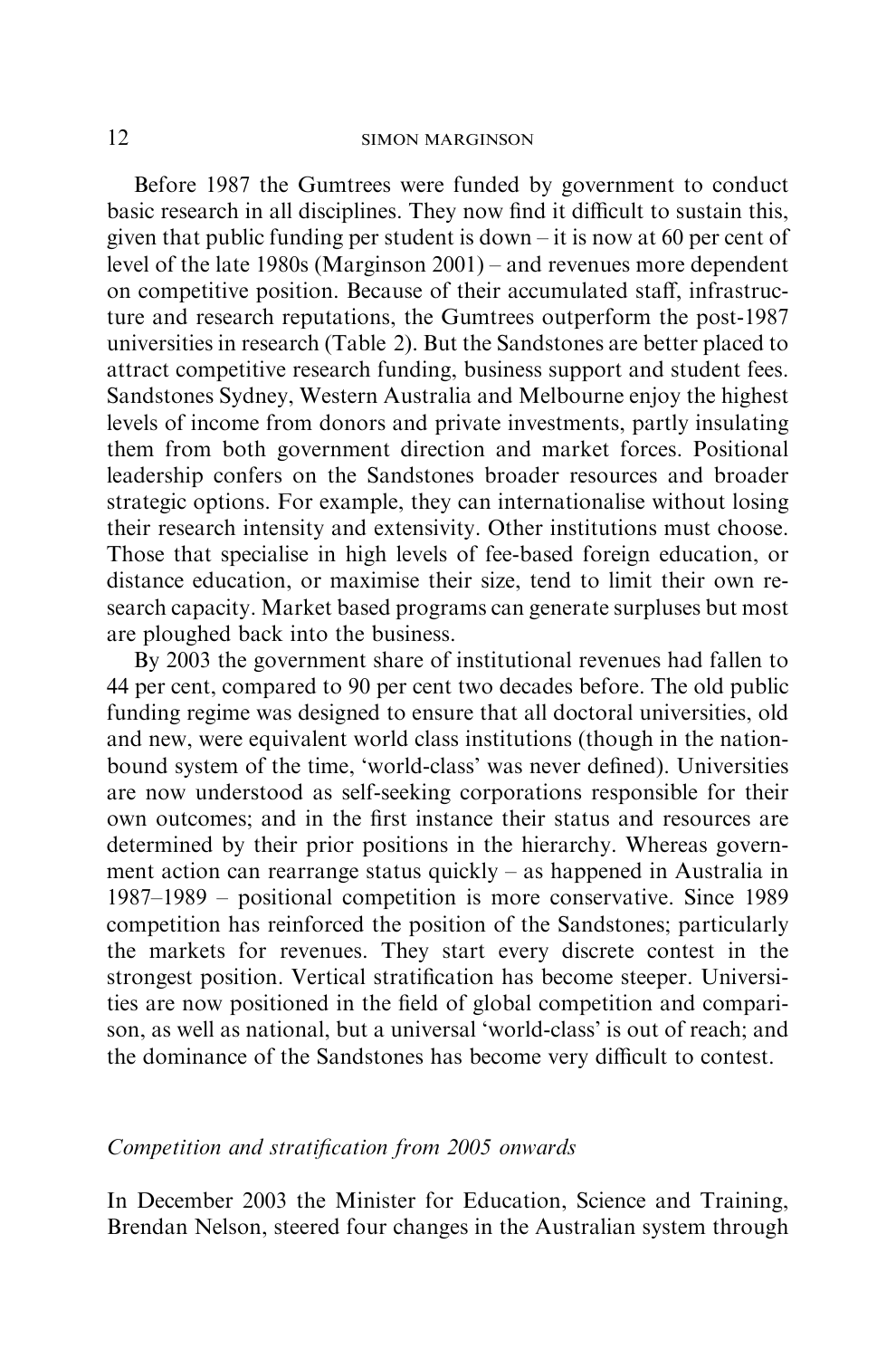Before 1987 the Gumtrees were funded by government to conduct basic research in all disciplines. They now find it difficult to sustain this, given that public funding per student is down – it is now at 60 per cent of level of the late 1980s (Marginson 2001) – and revenues more dependent on competitive position. Because of their accumulated staff, infrastructure and research reputations, the Gumtrees outperform the post-1987 universities in research (Table 2). But the Sandstones are better placed to attract competitive research funding, business support and student fees. Sandstones Sydney, Western Australia and Melbourne enjoy the highest levels of income from donors and private investments, partly insulating them from both government direction and market forces. Positional leadership confers on the Sandstones broader resources and broader strategic options. For example, they can internationalise without losing their research intensity and extensivity. Other institutions must choose. Those that specialise in high levels of fee-based foreign education, or distance education, or maximise their size, tend to limit their own research capacity. Market based programs can generate surpluses but most are ploughed back into the business.

By 2003 the government share of institutional revenues had fallen to 44 per cent, compared to 90 per cent two decades before. The old public funding regime was designed to ensure that all doctoral universities, old and new, were equivalent world class institutions (though in the nationbound system of the time, 'world-class' was never defined). Universities are now understood as self-seeking corporations responsible for their own outcomes; and in the first instance their status and resources are determined by their prior positions in the hierarchy. Whereas government action can rearrange status quickly – as happened in Australia in 1987–1989 – positional competition is more conservative. Since 1989 competition has reinforced the position of the Sandstones; particularly the markets for revenues. They start every discrete contest in the strongest position. Vertical stratification has become steeper. Universities are now positioned in the field of global competition and comparison, as well as national, but a universal 'world-class' is out of reach; and the dominance of the Sandstones has become very difficult to contest.

## Competition and stratification from 2005 onwards

In December 2003 the Minister for Education, Science and Training, Brendan Nelson, steered four changes in the Australian system through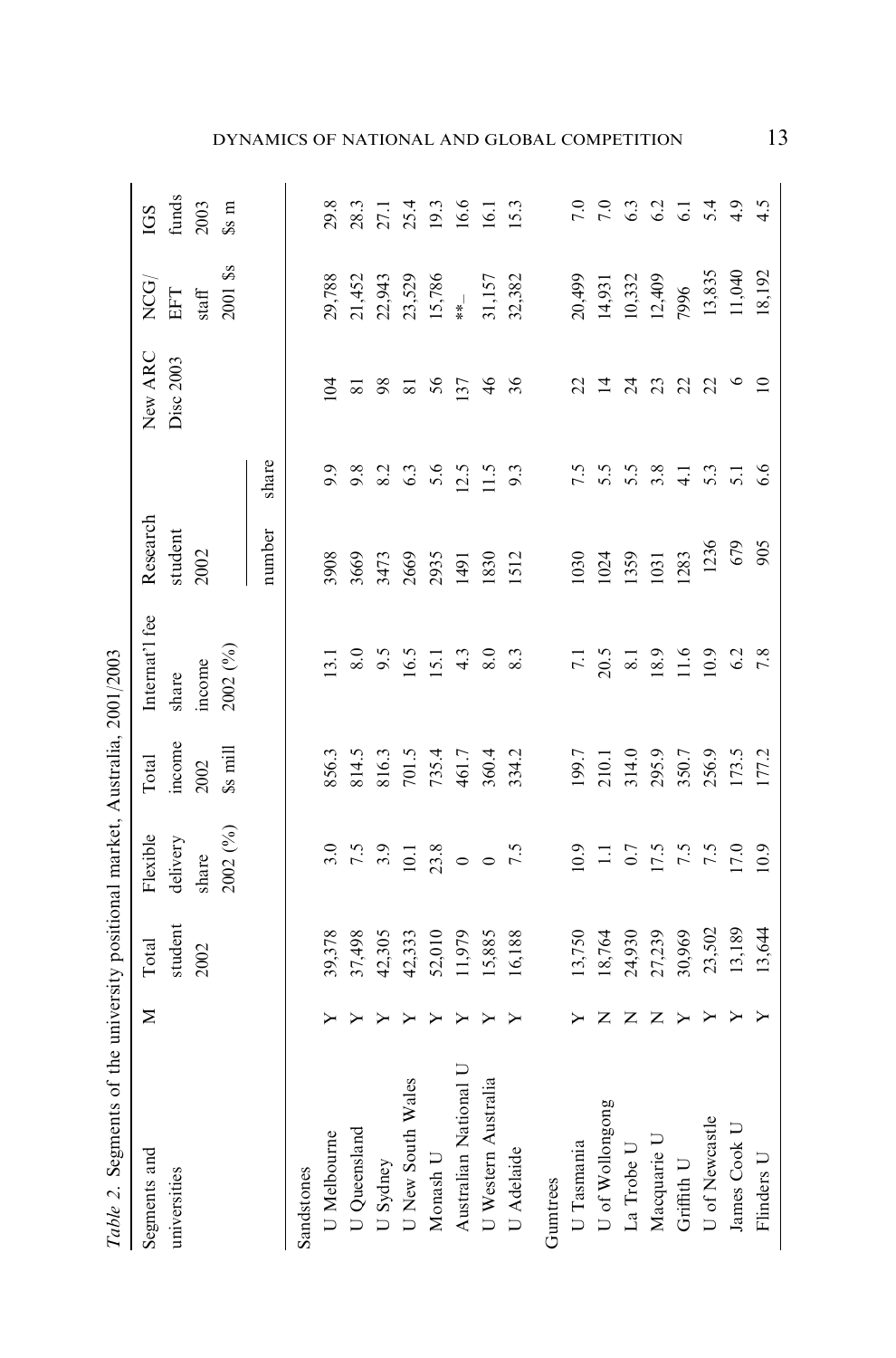|   |               | Table 2. Segments of the university positional market, Australia, 2001/2003                                                                    |                                                                         |                                                                                                                   |                                                           |                                                                                                     |                                          |                            |                                                                                                                                                                       |
|---|---------------|------------------------------------------------------------------------------------------------------------------------------------------------|-------------------------------------------------------------------------|-------------------------------------------------------------------------------------------------------------------|-----------------------------------------------------------|-----------------------------------------------------------------------------------------------------|------------------------------------------|----------------------------|-----------------------------------------------------------------------------------------------------------------------------------------------------------------------|
| Σ | Total         | Flexible                                                                                                                                       | Total                                                                   | Internat'l fee                                                                                                    | Research                                                  |                                                                                                     | New ARC                                  | NCG <sub>)</sub>           |                                                                                                                                                                       |
|   | student       | delivery                                                                                                                                       | income                                                                  | share                                                                                                             | student                                                   |                                                                                                     | Disc 2003                                |                            | $\frac{\text{IGS}}{\text{funds}}$                                                                                                                                     |
|   |               | share                                                                                                                                          |                                                                         | income                                                                                                            |                                                           |                                                                                                     |                                          |                            |                                                                                                                                                                       |
|   |               |                                                                                                                                                | Ss mill                                                                 |                                                                                                                   |                                                           |                                                                                                     |                                          |                            | s <sub>s</sub>                                                                                                                                                        |
|   |               |                                                                                                                                                |                                                                         |                                                                                                                   | number                                                    | share                                                                                               |                                          |                            |                                                                                                                                                                       |
|   |               |                                                                                                                                                |                                                                         |                                                                                                                   |                                                           |                                                                                                     |                                          |                            |                                                                                                                                                                       |
|   |               |                                                                                                                                                |                                                                         |                                                                                                                   |                                                           |                                                                                                     | $\tilde{q}$                              |                            |                                                                                                                                                                       |
|   |               |                                                                                                                                                |                                                                         |                                                                                                                   |                                                           |                                                                                                     |                                          |                            |                                                                                                                                                                       |
| ≻ |               |                                                                                                                                                |                                                                         |                                                                                                                   |                                                           |                                                                                                     |                                          |                            |                                                                                                                                                                       |
| ≻ |               |                                                                                                                                                |                                                                         |                                                                                                                   |                                                           |                                                                                                     |                                          |                            |                                                                                                                                                                       |
| ≻ |               |                                                                                                                                                |                                                                         |                                                                                                                   |                                                           |                                                                                                     |                                          |                            |                                                                                                                                                                       |
| ≻ |               |                                                                                                                                                |                                                                         |                                                                                                                   |                                                           |                                                                                                     |                                          |                            | 8<br>8 8 5 5 9 9 9 9 1<br>8 8 5 8 9 9 9 9 1                                                                                                                           |
| ≻ | 15,885        |                                                                                                                                                |                                                                         |                                                                                                                   |                                                           |                                                                                                     |                                          |                            |                                                                                                                                                                       |
|   |               |                                                                                                                                                |                                                                         |                                                                                                                   |                                                           |                                                                                                     |                                          |                            |                                                                                                                                                                       |
|   |               |                                                                                                                                                |                                                                         |                                                                                                                   |                                                           |                                                                                                     |                                          |                            |                                                                                                                                                                       |
|   |               |                                                                                                                                                | 199.7                                                                   |                                                                                                                   | 030                                                       |                                                                                                     |                                          |                            | $\overline{7.0}$                                                                                                                                                      |
| z | 18,764        |                                                                                                                                                |                                                                         |                                                                                                                   | 1024                                                      |                                                                                                     |                                          |                            | $\frac{6}{7}$                                                                                                                                                         |
| z |               |                                                                                                                                                |                                                                         |                                                                                                                   |                                                           |                                                                                                     |                                          |                            |                                                                                                                                                                       |
| Z |               |                                                                                                                                                |                                                                         |                                                                                                                   |                                                           |                                                                                                     |                                          |                            | $33.779$<br>$3.779$                                                                                                                                                   |
|   |               |                                                                                                                                                |                                                                         |                                                                                                                   | 1283                                                      |                                                                                                     |                                          |                            |                                                                                                                                                                       |
|   |               |                                                                                                                                                |                                                                         |                                                                                                                   |                                                           |                                                                                                     |                                          |                            |                                                                                                                                                                       |
|   |               |                                                                                                                                                |                                                                         |                                                                                                                   |                                                           |                                                                                                     |                                          |                            |                                                                                                                                                                       |
|   |               |                                                                                                                                                |                                                                         |                                                                                                                   |                                                           |                                                                                                     | $\supseteq$                              | 18,192                     | 4.5                                                                                                                                                                   |
|   | $\geq$ $\geq$ | 24,930<br>27,239<br>30,969<br>23,502<br>13,189<br>13,644<br>1,979<br>39,378<br>37,498<br>42,305<br>42,333<br>52,010<br>16,188<br>3,750<br>2002 | 2002 (%)<br>$3.5$<br>$7.5$<br>$3.5$<br>$10.18$<br>$0$<br>$0.5$<br>$7.5$ | 856.3<br>814.5<br>816.3<br>701.5<br>7034.2<br>960.4<br>210.1<br>314.0<br>295.9<br>256.9<br>173.5<br>177.2<br>2002 | 2002 (%)<br>7.1<br>20.5<br>8.1 8.9<br>11.6<br>11.0<br>6.2 | 1236<br>679<br>905<br>2002<br>3908<br>3669<br>3473<br>2669<br>2935<br>[359]<br>[03]<br>1830<br>1512 | r s s s s = s = s e<br>r s s s = s = s = | <b>2828548</b><br>22.52226 | 2001 \$s<br>13,835<br>11,040<br>29,788<br>21,452<br>22,943<br>23,529<br>15,786<br>20,499<br>31,157<br>32,382<br>10,332<br>12,409<br>7996<br>14,931<br>$\rm EFT$ staff |

DYNAMICS OF NATIONAL AND GLOBAL COMPETITION 13

2001/2003 Table 2. Segments of the university positional market, Australia, 2001/2003 ÷  $\ddot{t}$ Ŕ  $\rightarrow$ ÷,  $\overline{a}$ ÷  $\ddot{=}$  $\ddot{\phantom{a}}$  $f + h$  $\ddot{ }$ Ù  $\overline{c}$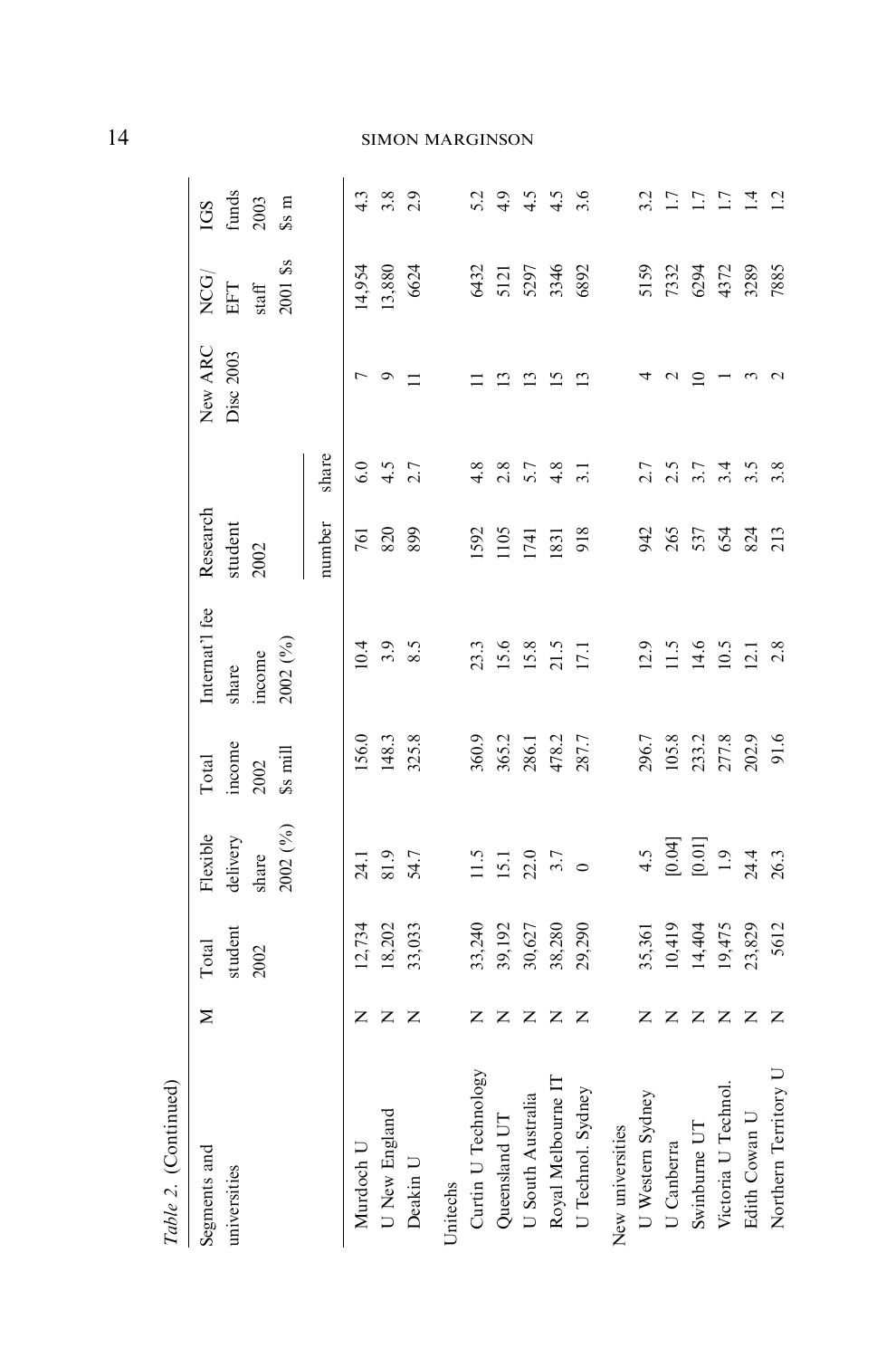| Table 2. (Continued)         |                |                                      |                                                                 |                                    |                                                        |                             |                                 |                      |                                                   |                                          |
|------------------------------|----------------|--------------------------------------|-----------------------------------------------------------------|------------------------------------|--------------------------------------------------------|-----------------------------|---------------------------------|----------------------|---------------------------------------------------|------------------------------------------|
| Segments and<br>universities | Σ              | student<br>Total<br>2002             | 2002 (%)<br>Flexible<br>delivery<br>share                       | income<br>Ss mill<br>Total<br>2002 | Internat'l fee<br>2002 (%)<br>income<br>$_{\rm share}$ | Research<br>student<br>2002 |                                 | New ARC<br>Disc 2003 | 2001 \$s<br>NCG)<br>EFT<br>$\operatorname{staff}$ | funds<br>$2003$<br>s <sub>s</sub><br>IGS |
|                              |                |                                      |                                                                 |                                    |                                                        | number                      | share                           |                      |                                                   |                                          |
| Murdoch U                    |                |                                      | 24.1                                                            | 156.0                              | 10.4                                                   | 761                         | 6.0                             |                      | 14,954                                            |                                          |
| U New England                | ΖZ             | 12,734<br>18,202                     | 81.9                                                            | 148.3                              |                                                        | 820                         | $4.5$<br>2.7                    | $\circ$              | 13,880                                            | $4.89$<br>$2.9$                          |
| Deakin U                     | z              | 33,033                               | 54.7                                                            | 325.8                              | $3.\overline{5}$                                       | 899                         |                                 |                      | 6624                                              |                                          |
| Unitechs                     |                |                                      |                                                                 |                                    |                                                        |                             |                                 |                      |                                                   |                                          |
| Curtin U Technology          |                |                                      |                                                                 | 360.9                              |                                                        |                             | 4.8                             |                      |                                                   |                                          |
| Queensland UT                | z z z z z      | 33,240<br>39,192<br>30,627           | $\begin{array}{c} 11.5 \\ 15.1 \\ 22.0 \\ 3.7 \\ 0 \end{array}$ | 365.2                              | 23.3<br>15.6<br>15.8<br>17.1                           | 1592<br>1105<br>1741        | 2.8                             |                      | 5432<br>5121                                      | $5.\overline{3}$<br>4.9                  |
| U South Australia            |                |                                      |                                                                 |                                    |                                                        |                             | 5.7                             |                      | 5297                                              |                                          |
| Royal Melbourne IT           |                | 38,280                               |                                                                 | 286.1<br>478.2                     |                                                        | 1831                        | $rac{8}{1}$ $rac{1}{2}$         | S                    | 3346                                              | $4.56$<br>$4.56$                         |
| U Technol. Sydney            |                | 29,290                               |                                                                 | 287.7                              |                                                        | 918                         |                                 |                      | 6892                                              |                                          |
| New universities             |                |                                      |                                                                 |                                    |                                                        |                             |                                 |                      |                                                   |                                          |
| U Western Sydney             | $\mathsf{Z}^-$ |                                      |                                                                 |                                    |                                                        |                             |                                 |                      | 5159                                              |                                          |
| U Canberra                   | Z              | 35,361<br>10,419<br>14,404<br>19,475 | $4.5$<br>$[0.04]$<br>$[0.01]$<br>$1.9$<br>$24.4$                | 296.7<br>105.8                     | $12.5$<br>$14.6$<br>$10.5$<br>$12.1$                   | 25532                       | 2.5<br>2.5<br>2.5<br>2.5<br>2.5 |                      | 7332                                              | 3.7                                      |
| Swinburne UT                 | z z            |                                      |                                                                 |                                    |                                                        |                             |                                 |                      | 6294                                              | $\overline{1.7}$                         |
| Victoria U Technol.          |                |                                      |                                                                 | 233.2<br>277.8<br>202.9            |                                                        |                             |                                 |                      | 4372                                              | $\overline{1.7}$                         |
| Edith Cowan U                | Z              | 23,829                               |                                                                 |                                    |                                                        |                             |                                 |                      | 3289                                              | ्<br>न                                   |
| Northern Territory U         | Z              | 5612                                 | 26.3                                                            | 91.6                               | 2.8                                                    | 213                         | 3.8                             |                      | 7885                                              | $\overline{c}$                           |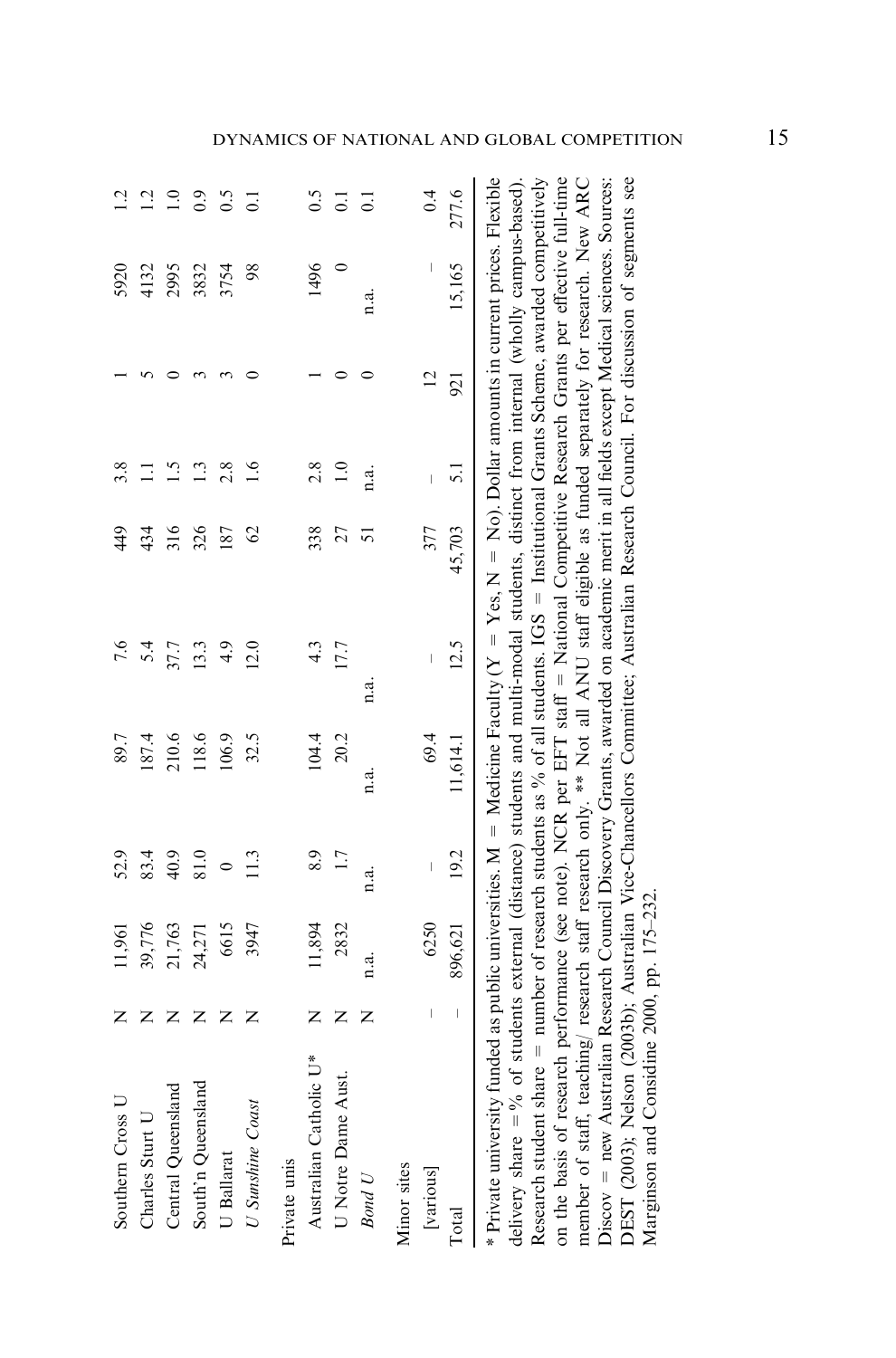| Southern Cross U                                                                                                                                                                                                                                                                                                                                                                                                                                                                                                                                                                                                                                                                                                                                                                                                                                                                                                      | z                              | 11,961  | 52.9    | 89.7     | 7.6                                                                                                             | 49            | 3.8             |                | 5920    | $\bar{c}$          |
|-----------------------------------------------------------------------------------------------------------------------------------------------------------------------------------------------------------------------------------------------------------------------------------------------------------------------------------------------------------------------------------------------------------------------------------------------------------------------------------------------------------------------------------------------------------------------------------------------------------------------------------------------------------------------------------------------------------------------------------------------------------------------------------------------------------------------------------------------------------------------------------------------------------------------|--------------------------------|---------|---------|----------|-----------------------------------------------------------------------------------------------------------------|---------------|-----------------|----------------|---------|--------------------|
| Charles Sturt U                                                                                                                                                                                                                                                                                                                                                                                                                                                                                                                                                                                                                                                                                                                                                                                                                                                                                                       | Z                              | 39,776  | 83.4    | 187.4    | 5.4                                                                                                             | 434           | Ξ               |                | 4132    | $\overline{12}$    |
| Central Queensland                                                                                                                                                                                                                                                                                                                                                                                                                                                                                                                                                                                                                                                                                                                                                                                                                                                                                                    | $\mathsf{z}$                   | 21,763  | 40.9    | 210.6    | 37.7                                                                                                            | 316           | $\frac{5}{1}$   |                | 2995    | $\overline{1.0}$   |
| South'n Queensland                                                                                                                                                                                                                                                                                                                                                                                                                                                                                                                                                                                                                                                                                                                                                                                                                                                                                                    | $\mathbb{Z}$                   | 24,271  | 81.0    | 118.6    | 13.3                                                                                                            | 326           | $\frac{13}{2}$  |                | 3832    | 0.9                |
| U Ballarat                                                                                                                                                                                                                                                                                                                                                                                                                                                                                                                                                                                                                                                                                                                                                                                                                                                                                                            | $\mathsf{z}$                   | 6615    | $\circ$ | 106.9    | 4.9                                                                                                             | 187           | 2.8             |                | 3754    | 0.5                |
| U Sunshine Coast                                                                                                                                                                                                                                                                                                                                                                                                                                                                                                                                                                                                                                                                                                                                                                                                                                                                                                      | z                              | 3947    | 11.3    | 32.5     | 12.0                                                                                                            | $\mathcal{O}$ | $\frac{6}{1}$   |                | 98      | $\overline{C}$     |
| Private unis                                                                                                                                                                                                                                                                                                                                                                                                                                                                                                                                                                                                                                                                                                                                                                                                                                                                                                          |                                |         |         |          |                                                                                                                 |               |                 |                |         |                    |
| Australian Catholic U*                                                                                                                                                                                                                                                                                                                                                                                                                                                                                                                                                                                                                                                                                                                                                                                                                                                                                                | Z                              | 11,894  | 8.9     | 104.4    | 4.3                                                                                                             | 338           | 2.8             |                | 1496    | 0.5                |
| ust.<br>U Notre Dame A                                                                                                                                                                                                                                                                                                                                                                                                                                                                                                                                                                                                                                                                                                                                                                                                                                                                                                | Z                              | 2832    | 1.7     | 20.2     | 17.7                                                                                                            | 27            | $\ddot{=}$      | 0              | $\circ$ | $\overline{\circ}$ |
| <b>Bond</b> U                                                                                                                                                                                                                                                                                                                                                                                                                                                                                                                                                                                                                                                                                                                                                                                                                                                                                                         | z                              | n.a.    | n.a.    | n.a.     | n.a.                                                                                                            | 5             | n.a.            |                | n.a.    | $\overline{C}$     |
| Minor sites                                                                                                                                                                                                                                                                                                                                                                                                                                                                                                                                                                                                                                                                                                                                                                                                                                                                                                           |                                |         |         |          |                                                                                                                 |               |                 |                |         |                    |
| [various]                                                                                                                                                                                                                                                                                                                                                                                                                                                                                                                                                                                                                                                                                                                                                                                                                                                                                                             | $\begin{array}{c} \end{array}$ | 6250    |         | 69.4     |                                                                                                                 | 377           |                 | $\overline{c}$ |         | 0.4                |
| Total                                                                                                                                                                                                                                                                                                                                                                                                                                                                                                                                                                                                                                                                                                                                                                                                                                                                                                                 | $\overline{\phantom{a}}$       | 896,621 | 19.2    | 11,614.1 | 12.5                                                                                                            | 45,703        | $\overline{51}$ | 921            | 15,165  | 277.6              |
| * Private university funded as public universities. $M =$ Medicine Faculty ( $Y = Y$ es, $N = N$ o). Dollar amounts in current prices. Flexible<br>Research student share $=$ number of research students as % of all students. IGS $=$ Institutional Grants Scheme, awarded competitively<br>on the basis of research performance (see note). NCR per EFT staff = National Competitive Research Grants per effective full-time<br>member of staff, teaching/ research staff research only. ** Not all ANU staff eligible as funded separately for research. New ARC<br>Discov = new Australian Research Council Discovery Grants, awarded on academic merit in all fields except Medical sciences. Sources:<br>DEST (2003); Nelson (2003b); Australian Vice-Chancellors Committee; Australian Research Council. For discussion of segments see<br>Marginson and Considine 2000, pp. 175-232.<br>delivery share $=$ % |                                |         |         |          | of students external (distance) students and multi-modal students, distinct from internal (wholly campus-based) |               |                 |                |         |                    |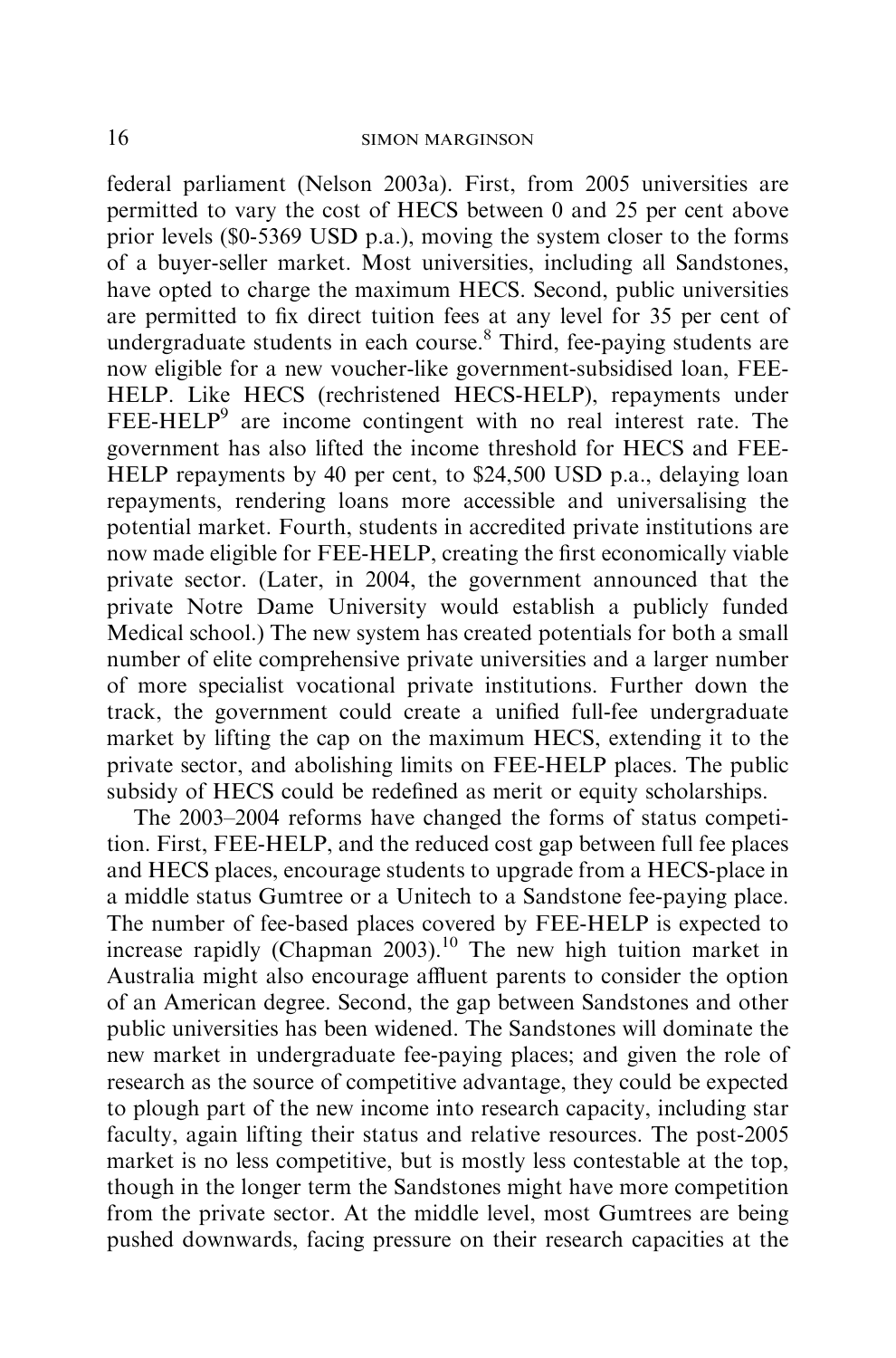federal parliament (Nelson 2003a). First, from 2005 universities are permitted to vary the cost of HECS between 0 and 25 per cent above prior levels (\$0-5369 USD p.a.), moving the system closer to the forms of a buyer-seller market. Most universities, including all Sandstones, have opted to charge the maximum HECS. Second, public universities are permitted to fix direct tuition fees at any level for 35 per cent of undergraduate students in each course. $8$  Third, fee-paying students are now eligible for a new voucher-like government-subsidised loan, FEE-HELP. Like HECS (rechristened HECS-HELP), repayments under  $FEE\text{-}HELP<sup>9</sup>$  are income contingent with no real interest rate. The government has also lifted the income threshold for HECS and FEE-HELP repayments by 40 per cent, to \$24,500 USD p.a., delaying loan repayments, rendering loans more accessible and universalising the potential market. Fourth, students in accredited private institutions are now made eligible for FEE-HELP, creating the first economically viable private sector. (Later, in 2004, the government announced that the private Notre Dame University would establish a publicly funded Medical school.) The new system has created potentials for both a small number of elite comprehensive private universities and a larger number of more specialist vocational private institutions. Further down the track, the government could create a unified full-fee undergraduate market by lifting the cap on the maximum HECS, extending it to the private sector, and abolishing limits on FEE-HELP places. The public subsidy of HECS could be redefined as merit or equity scholarships.

The 2003–2004 reforms have changed the forms of status competition. First, FEE-HELP, and the reduced cost gap between full fee places and HECS places, encourage students to upgrade from a HECS-place in a middle status Gumtree or a Unitech to a Sandstone fee-paying place. The number of fee-based places covered by FEE-HELP is expected to increase rapidly (Chapman 2003).<sup>10</sup> The new high tuition market in Australia might also encourage affluent parents to consider the option of an American degree. Second, the gap between Sandstones and other public universities has been widened. The Sandstones will dominate the new market in undergraduate fee-paying places; and given the role of research as the source of competitive advantage, they could be expected to plough part of the new income into research capacity, including star faculty, again lifting their status and relative resources. The post-2005 market is no less competitive, but is mostly less contestable at the top, though in the longer term the Sandstones might have more competition from the private sector. At the middle level, most Gumtrees are being pushed downwards, facing pressure on their research capacities at the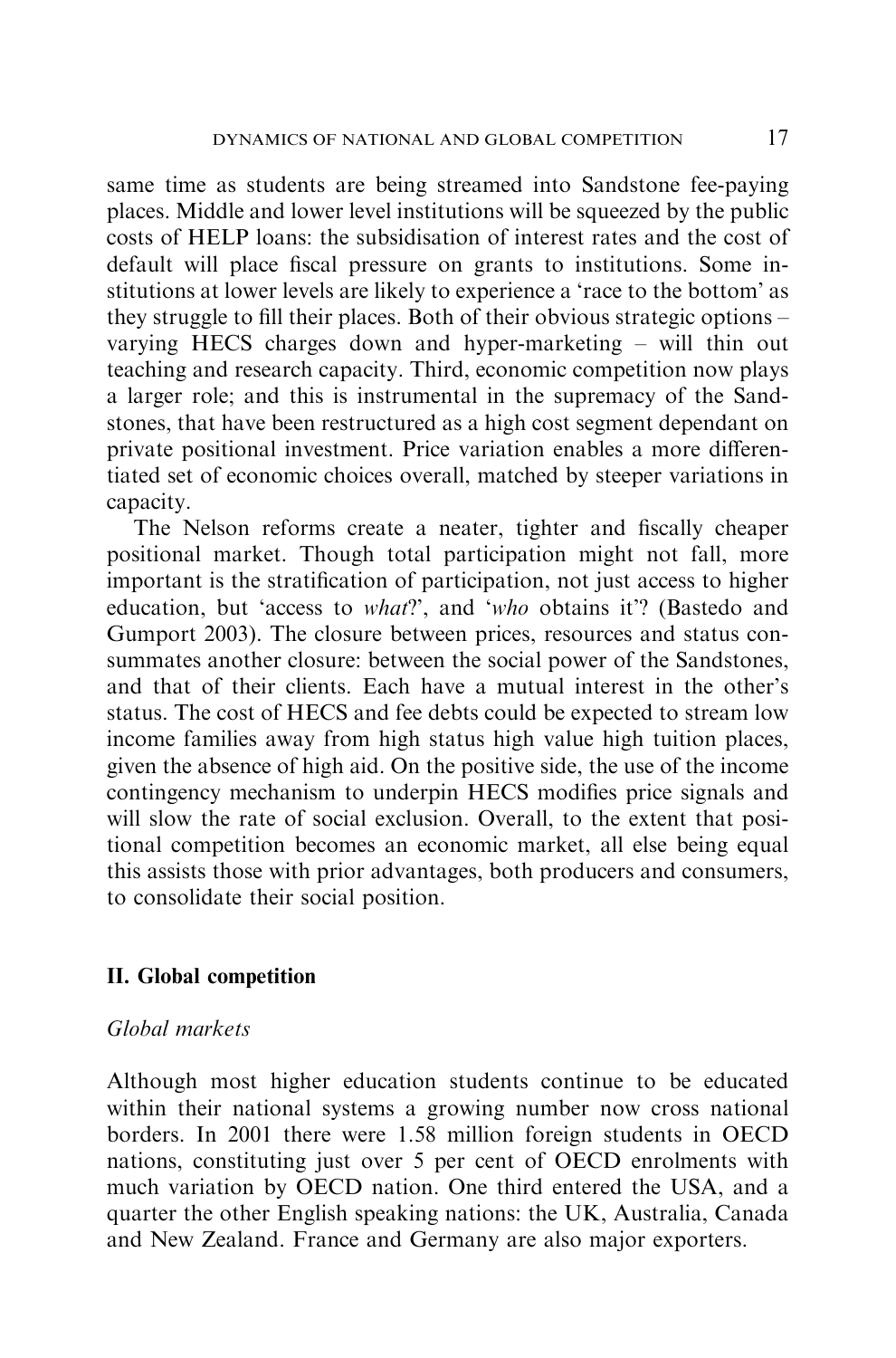same time as students are being streamed into Sandstone fee-paying places. Middle and lower level institutions will be squeezed by the public costs of HELP loans: the subsidisation of interest rates and the cost of default will place fiscal pressure on grants to institutions. Some institutions at lower levels are likely to experience a 'race to the bottom' as they struggle to fill their places. Both of their obvious strategic options – varying HECS charges down and hyper-marketing – will thin out teaching and research capacity. Third, economic competition now plays a larger role; and this is instrumental in the supremacy of the Sandstones, that have been restructured as a high cost segment dependant on private positional investment. Price variation enables a more differentiated set of economic choices overall, matched by steeper variations in capacity.

The Nelson reforms create a neater, tighter and fiscally cheaper positional market. Though total participation might not fall, more important is the stratification of participation, not just access to higher education, but 'access to what?', and 'who obtains it'? (Bastedo and Gumport 2003). The closure between prices, resources and status consummates another closure: between the social power of the Sandstones, and that of their clients. Each have a mutual interest in the other's status. The cost of HECS and fee debts could be expected to stream low income families away from high status high value high tuition places, given the absence of high aid. On the positive side, the use of the income contingency mechanism to underpin HECS modifies price signals and will slow the rate of social exclusion. Overall, to the extent that positional competition becomes an economic market, all else being equal this assists those with prior advantages, both producers and consumers, to consolidate their social position.

#### II. Global competition

# Global markets

Although most higher education students continue to be educated within their national systems a growing number now cross national borders. In 2001 there were 1.58 million foreign students in OECD nations, constituting just over 5 per cent of OECD enrolments with much variation by OECD nation. One third entered the USA, and a quarter the other English speaking nations: the UK, Australia, Canada and New Zealand. France and Germany are also major exporters.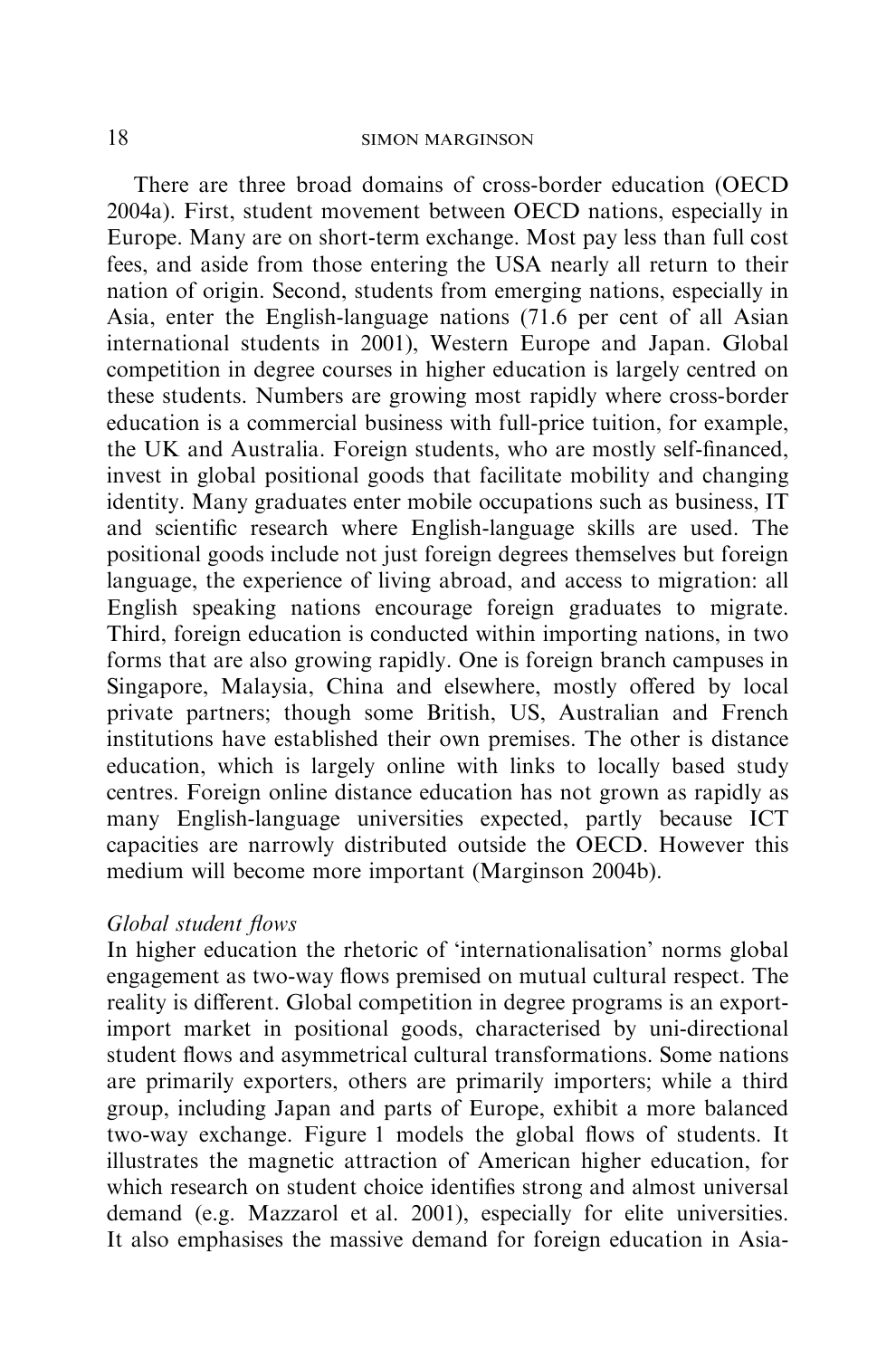There are three broad domains of cross-border education (OECD 2004a). First, student movement between OECD nations, especially in Europe. Many are on short-term exchange. Most pay less than full cost fees, and aside from those entering the USA nearly all return to their nation of origin. Second, students from emerging nations, especially in Asia, enter the English-language nations (71.6 per cent of all Asian international students in 2001), Western Europe and Japan. Global competition in degree courses in higher education is largely centred on these students. Numbers are growing most rapidly where cross-border education is a commercial business with full-price tuition, for example, the UK and Australia. Foreign students, who are mostly self-financed, invest in global positional goods that facilitate mobility and changing identity. Many graduates enter mobile occupations such as business, IT and scientific research where English-language skills are used. The positional goods include not just foreign degrees themselves but foreign language, the experience of living abroad, and access to migration: all English speaking nations encourage foreign graduates to migrate. Third, foreign education is conducted within importing nations, in two forms that are also growing rapidly. One is foreign branch campuses in Singapore, Malaysia, China and elsewhere, mostly offered by local private partners; though some British, US, Australian and French institutions have established their own premises. The other is distance education, which is largely online with links to locally based study centres. Foreign online distance education has not grown as rapidly as many English-language universities expected, partly because ICT capacities are narrowly distributed outside the OECD. However this medium will become more important (Marginson 2004b).

## Global student flows

In higher education the rhetoric of 'internationalisation' norms global engagement as two-way flows premised on mutual cultural respect. The reality is different. Global competition in degree programs is an exportimport market in positional goods, characterised by uni-directional student flows and asymmetrical cultural transformations. Some nations are primarily exporters, others are primarily importers; while a third group, including Japan and parts of Europe, exhibit a more balanced two-way exchange. Figure 1 models the global flows of students. It illustrates the magnetic attraction of American higher education, for which research on student choice identifies strong and almost universal demand (e.g. Mazzarol et al. 2001), especially for elite universities. It also emphasises the massive demand for foreign education in Asia-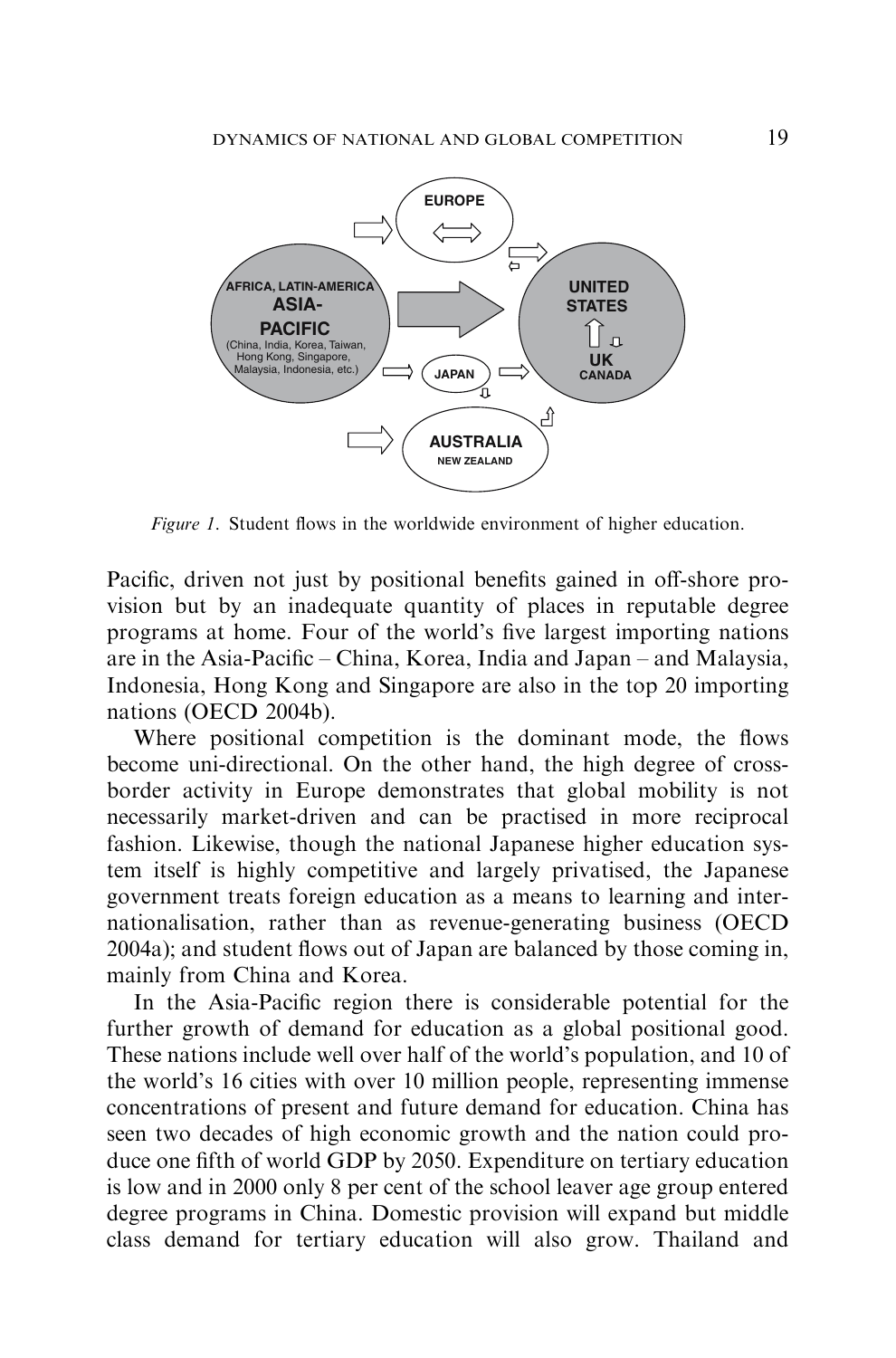

Figure 1. Student flows in the worldwide environment of higher education.

Pacific, driven not just by positional benefits gained in off-shore provision but by an inadequate quantity of places in reputable degree programs at home. Four of the world's five largest importing nations are in the Asia-Pacific – China, Korea, India and Japan – and Malaysia, Indonesia, Hong Kong and Singapore are also in the top 20 importing nations (OECD 2004b).

Where positional competition is the dominant mode, the flows become uni-directional. On the other hand, the high degree of crossborder activity in Europe demonstrates that global mobility is not necessarily market-driven and can be practised in more reciprocal fashion. Likewise, though the national Japanese higher education system itself is highly competitive and largely privatised, the Japanese government treats foreign education as a means to learning and internationalisation, rather than as revenue-generating business (OECD 2004a); and student flows out of Japan are balanced by those coming in, mainly from China and Korea.

In the Asia-Pacific region there is considerable potential for the further growth of demand for education as a global positional good. These nations include well over half of the world's population, and 10 of the world's 16 cities with over 10 million people, representing immense concentrations of present and future demand for education. China has seen two decades of high economic growth and the nation could produce one fifth of world GDP by 2050. Expenditure on tertiary education is low and in 2000 only 8 per cent of the school leaver age group entered degree programs in China. Domestic provision will expand but middle class demand for tertiary education will also grow. Thailand and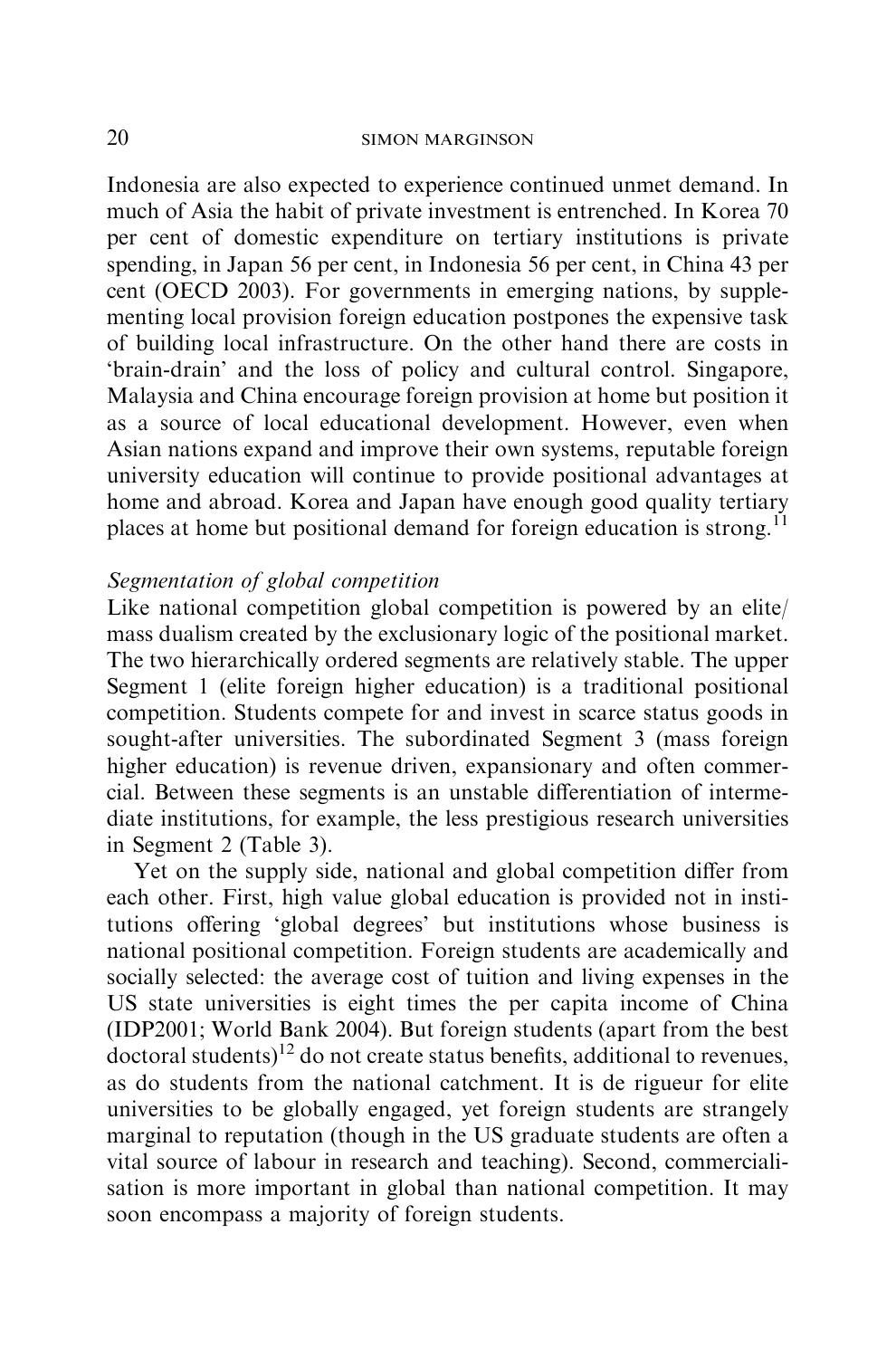Indonesia are also expected to experience continued unmet demand. In much of Asia the habit of private investment is entrenched. In Korea 70 per cent of domestic expenditure on tertiary institutions is private spending, in Japan 56 per cent, in Indonesia 56 per cent, in China 43 per cent (OECD 2003). For governments in emerging nations, by supplementing local provision foreign education postpones the expensive task of building local infrastructure. On the other hand there are costs in 'brain-drain' and the loss of policy and cultural control. Singapore, Malaysia and China encourage foreign provision at home but position it as a source of local educational development. However, even when Asian nations expand and improve their own systems, reputable foreign university education will continue to provide positional advantages at home and abroad. Korea and Japan have enough good quality tertiary places at home but positional demand for foreign education is strong.<sup>11</sup>

# Segmentation of global competition

Like national competition global competition is powered by an elite/ mass dualism created by the exclusionary logic of the positional market. The two hierarchically ordered segments are relatively stable. The upper Segment 1 (elite foreign higher education) is a traditional positional competition. Students compete for and invest in scarce status goods in sought-after universities. The subordinated Segment 3 (mass foreign higher education) is revenue driven, expansionary and often commercial. Between these segments is an unstable differentiation of intermediate institutions, for example, the less prestigious research universities in Segment 2 (Table 3).

Yet on the supply side, national and global competition differ from each other. First, high value global education is provided not in institutions offering 'global degrees' but institutions whose business is national positional competition. Foreign students are academically and socially selected: the average cost of tuition and living expenses in the US state universities is eight times the per capita income of China (IDP2001; World Bank 2004). But foreign students (apart from the best  $d$  doctoral students)<sup>12</sup> do not create status benefits, additional to revenues, as do students from the national catchment. It is de rigueur for elite universities to be globally engaged, yet foreign students are strangely marginal to reputation (though in the US graduate students are often a vital source of labour in research and teaching). Second, commercialisation is more important in global than national competition. It may soon encompass a majority of foreign students.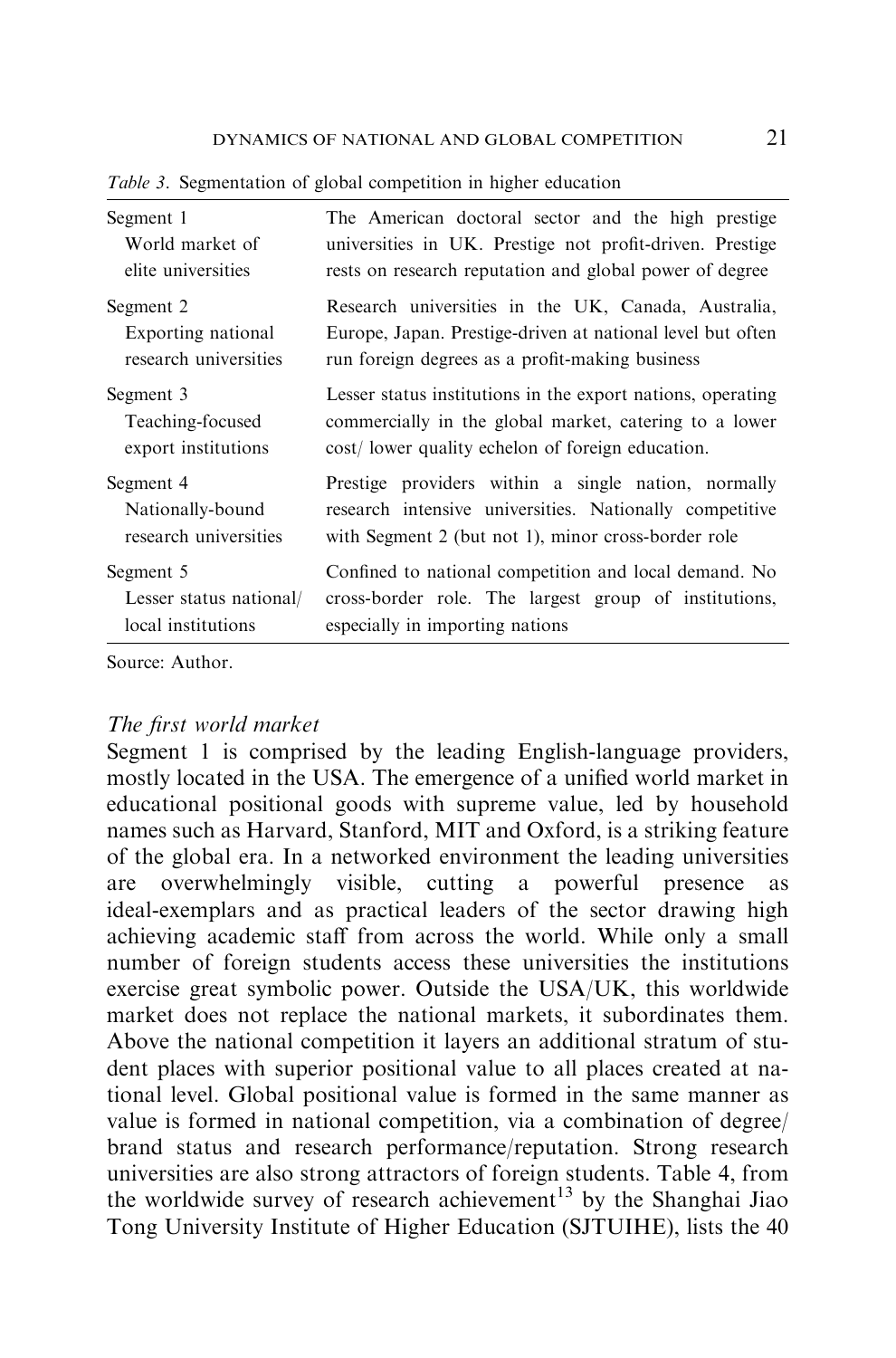| Segment 1               | The American doctoral sector and the high prestige          |
|-------------------------|-------------------------------------------------------------|
| World market of         | universities in UK. Prestige not profit-driven. Prestige    |
| elite universities      | rests on research reputation and global power of degree     |
| Segment 2               | Research universities in the UK, Canada, Australia,         |
| Exporting national      | Europe, Japan. Prestige-driven at national level but often  |
| research universities   | run foreign degrees as a profit-making business             |
| Segment 3               | Lesser status institutions in the export nations, operating |
| Teaching-focused        | commercially in the global market, catering to a lower      |
| export institutions     | cost/ lower quality echelon of foreign education.           |
| Segment 4               | Prestige providers within a single nation, normally         |
| Nationally-bound        | research intensive universities. Nationally competitive     |
| research universities   | with Segment 2 (but not 1), minor cross-border role         |
| Segment 5               | Confined to national competition and local demand. No       |
| Lesser status national/ | cross-border role. The largest group of institutions,       |
| local institutions      | especially in importing nations                             |

Table 3. Segmentation of global competition in higher education

Source: Author.

# The first world market

Segment 1 is comprised by the leading English-language providers, mostly located in the USA. The emergence of a unified world market in educational positional goods with supreme value, led by household names such as Harvard, Stanford, MIT and Oxford, is a striking feature of the global era. In a networked environment the leading universities are overwhelmingly visible, cutting a powerful presence as ideal-exemplars and as practical leaders of the sector drawing high achieving academic staff from across the world. While only a small number of foreign students access these universities the institutions exercise great symbolic power. Outside the USA/UK, this worldwide market does not replace the national markets, it subordinates them. Above the national competition it layers an additional stratum of student places with superior positional value to all places created at national level. Global positional value is formed in the same manner as value is formed in national competition, via a combination of degree/ brand status and research performance/reputation. Strong research universities are also strong attractors of foreign students. Table 4, from the worldwide survey of research achievement<sup>13</sup> by the Shanghai Jiao Tong University Institute of Higher Education (SJTUIHE), lists the 40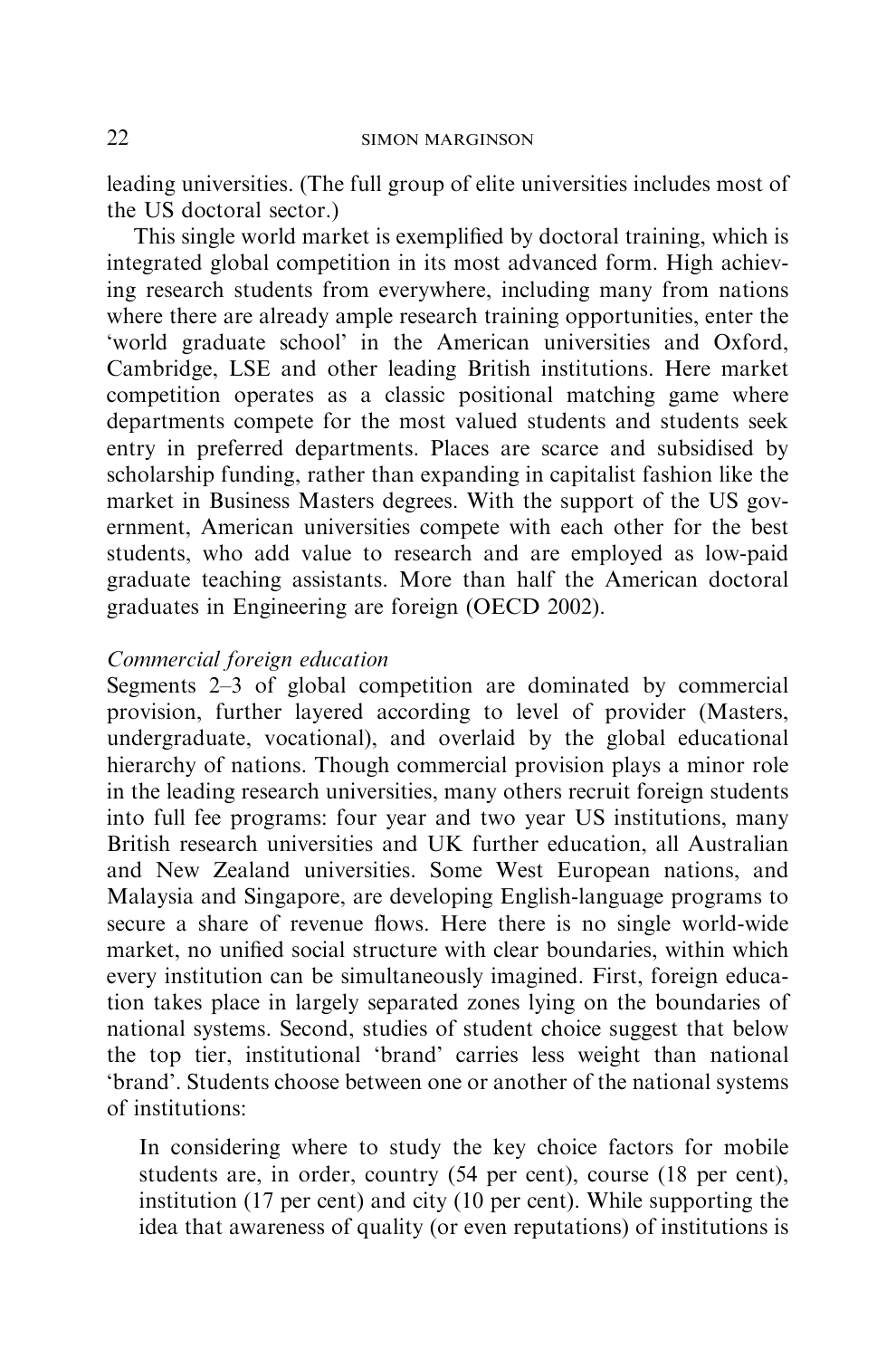leading universities. (The full group of elite universities includes most of the US doctoral sector.)

This single world market is exemplified by doctoral training, which is integrated global competition in its most advanced form. High achieving research students from everywhere, including many from nations where there are already ample research training opportunities, enter the 'world graduate school' in the American universities and Oxford, Cambridge, LSE and other leading British institutions. Here market competition operates as a classic positional matching game where departments compete for the most valued students and students seek entry in preferred departments. Places are scarce and subsidised by scholarship funding, rather than expanding in capitalist fashion like the market in Business Masters degrees. With the support of the US government, American universities compete with each other for the best students, who add value to research and are employed as low-paid graduate teaching assistants. More than half the American doctoral graduates in Engineering are foreign (OECD 2002).

# Commercial foreign education

Segments 2–3 of global competition are dominated by commercial provision, further layered according to level of provider (Masters, undergraduate, vocational), and overlaid by the global educational hierarchy of nations. Though commercial provision plays a minor role in the leading research universities, many others recruit foreign students into full fee programs: four year and two year US institutions, many British research universities and UK further education, all Australian and New Zealand universities. Some West European nations, and Malaysia and Singapore, are developing English-language programs to secure a share of revenue flows. Here there is no single world-wide market, no unified social structure with clear boundaries, within which every institution can be simultaneously imagined. First, foreign education takes place in largely separated zones lying on the boundaries of national systems. Second, studies of student choice suggest that below the top tier, institutional 'brand' carries less weight than national 'brand'. Students choose between one or another of the national systems of institutions:

In considering where to study the key choice factors for mobile students are, in order, country (54 per cent), course (18 per cent), institution (17 per cent) and city (10 per cent). While supporting the idea that awareness of quality (or even reputations) of institutions is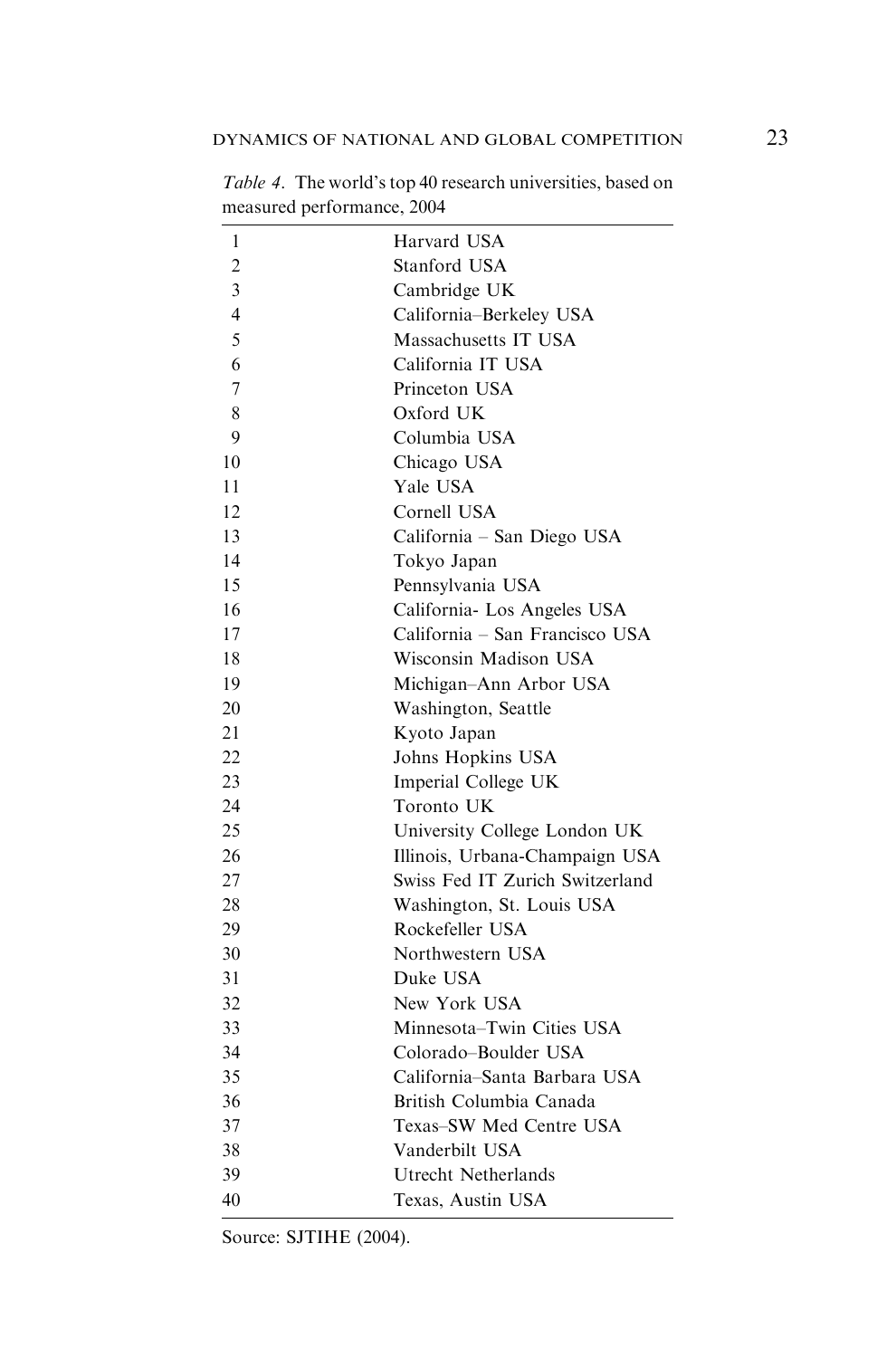| 1              | Harvard USA                     |
|----------------|---------------------------------|
| $\overline{c}$ | Stanford USA                    |
| 3              | Cambridge UK                    |
| 4              | California-Berkeley USA         |
| 5              | Massachusetts IT USA            |
| 6              | California IT USA               |
| 7              | Princeton USA                   |
| 8              | Oxford UK                       |
| 9              | Columbia USA                    |
| 10             | Chicago USA                     |
| 11             | Yale USA                        |
| 12             | Cornell USA                     |
| 13             | California - San Diego USA      |
| 14             | Tokyo Japan                     |
| 15             | Pennsylvania USA                |
| 16             | California- Los Angeles USA     |
| 17             | California - San Francisco USA  |
| 18             | Wisconsin Madison USA           |
| 19             | Michigan-Ann Arbor USA          |
| 20             | Washington, Seattle             |
| 21             | Kyoto Japan                     |
| 22             | Johns Hopkins USA               |
| 23             | Imperial College UK             |
| 24             | Toronto UK                      |
| 25             | University College London UK    |
| 26             | Illinois, Urbana-Champaign USA  |
| 27             | Swiss Fed IT Zurich Switzerland |
| 28             | Washington, St. Louis USA       |
| 29             | Rockefeller USA                 |
| 30             | Northwestern USA                |
| 31             | Duke USA                        |
| 32             | New York USA                    |
| 33             | Minnesota-Twin Cities USA       |
| 34             | Colorado-Boulder USA            |
| 35             | California-Santa Barbara USA    |
| 36             | British Columbia Canada         |
| 37             | Texas-SW Med Centre USA         |
| 38             | Vanderbilt USA                  |
| 39             | Utrecht Netherlands             |
| 40             | Texas, Austin USA               |

Table 4. The world's top 40 research universities, based on measured performance, 2004

Source: SJTIHE (2004).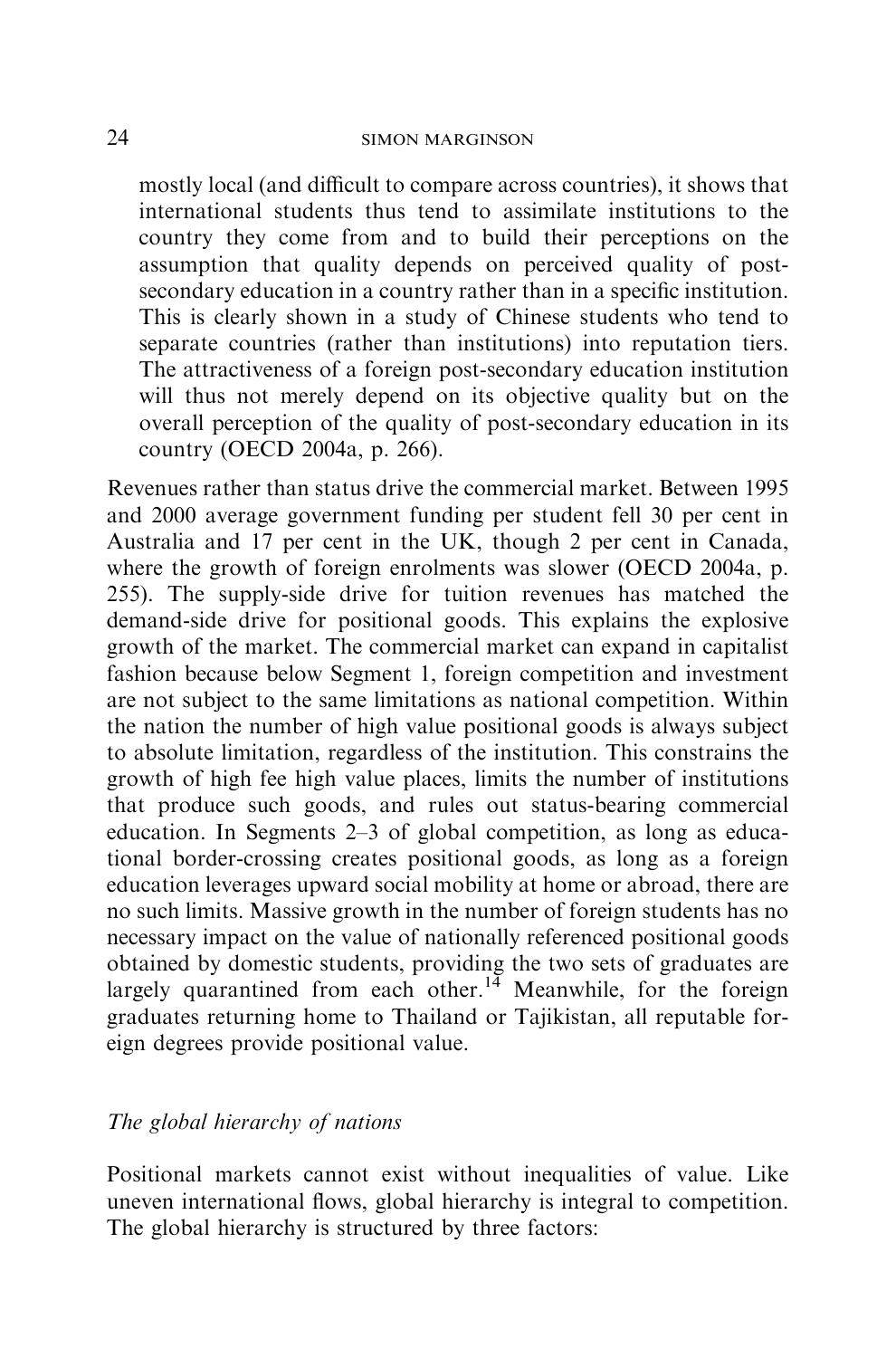mostly local (and difficult to compare across countries), it shows that international students thus tend to assimilate institutions to the country they come from and to build their perceptions on the assumption that quality depends on perceived quality of postsecondary education in a country rather than in a specific institution. This is clearly shown in a study of Chinese students who tend to separate countries (rather than institutions) into reputation tiers. The attractiveness of a foreign post-secondary education institution will thus not merely depend on its objective quality but on the overall perception of the quality of post-secondary education in its country (OECD 2004a, p. 266).

Revenues rather than status drive the commercial market. Between 1995 and 2000 average government funding per student fell 30 per cent in Australia and 17 per cent in the UK, though 2 per cent in Canada, where the growth of foreign enrolments was slower (OECD 2004a, p. 255). The supply-side drive for tuition revenues has matched the demand-side drive for positional goods. This explains the explosive growth of the market. The commercial market can expand in capitalist fashion because below Segment 1, foreign competition and investment are not subject to the same limitations as national competition. Within the nation the number of high value positional goods is always subject to absolute limitation, regardless of the institution. This constrains the growth of high fee high value places, limits the number of institutions that produce such goods, and rules out status-bearing commercial education. In Segments 2–3 of global competition, as long as educational border-crossing creates positional goods, as long as a foreign education leverages upward social mobility at home or abroad, there are no such limits. Massive growth in the number of foreign students has no necessary impact on the value of nationally referenced positional goods obtained by domestic students, providing the two sets of graduates are largely quarantined from each other.<sup>14</sup> Meanwhile, for the foreign graduates returning home to Thailand or Tajikistan, all reputable foreign degrees provide positional value.

# The global hierarchy of nations

Positional markets cannot exist without inequalities of value. Like uneven international flows, global hierarchy is integral to competition. The global hierarchy is structured by three factors: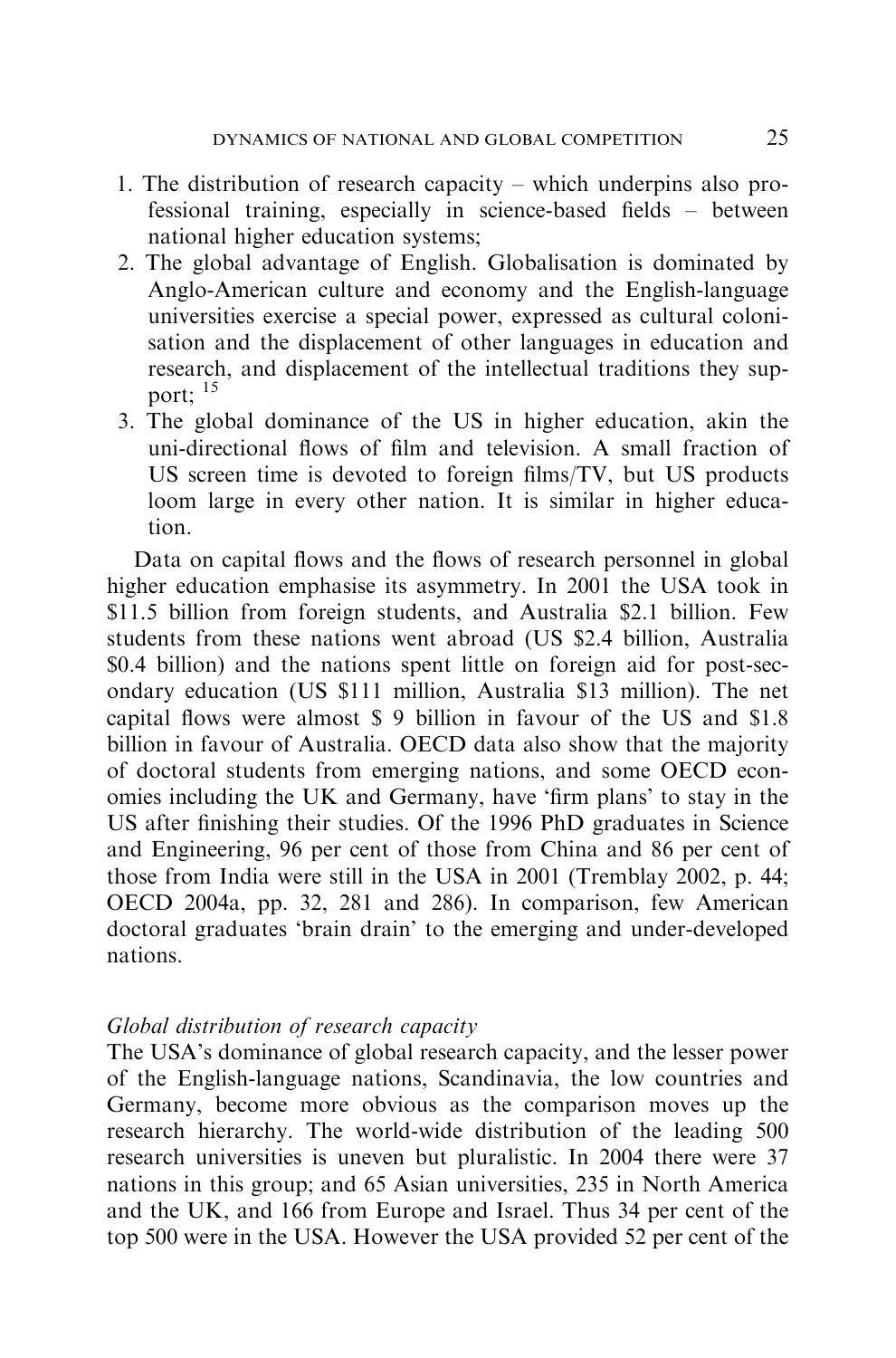- 1. The distribution of research capacity which underpins also professional training, especially in science-based fields – between national higher education systems;
- 2. The global advantage of English. Globalisation is dominated by Anglo-American culture and economy and the English-language universities exercise a special power, expressed as cultural colonisation and the displacement of other languages in education and research, and displacement of the intellectual traditions they support; <sup>15</sup>
- 3. The global dominance of the US in higher education, akin the uni-directional flows of film and television. A small fraction of US screen time is devoted to foreign films/TV, but US products loom large in every other nation. It is similar in higher education.

Data on capital flows and the flows of research personnel in global higher education emphasise its asymmetry. In 2001 the USA took in \$11.5 billion from foreign students, and Australia \$2.1 billion. Few students from these nations went abroad (US \$2.4 billion, Australia \$0.4 billion) and the nations spent little on foreign aid for post-secondary education (US \$111 million, Australia \$13 million). The net capital flows were almost \$ 9 billion in favour of the US and \$1.8 billion in favour of Australia. OECD data also show that the majority of doctoral students from emerging nations, and some OECD economies including the UK and Germany, have 'firm plans' to stay in the US after finishing their studies. Of the 1996 PhD graduates in Science and Engineering, 96 per cent of those from China and 86 per cent of those from India were still in the USA in 2001 (Tremblay 2002, p. 44; OECD 2004a, pp. 32, 281 and 286). In comparison, few American doctoral graduates 'brain drain' to the emerging and under-developed nations.

#### Global distribution of research capacity

The USA's dominance of global research capacity, and the lesser power of the English-language nations, Scandinavia, the low countries and Germany, become more obvious as the comparison moves up the research hierarchy. The world-wide distribution of the leading 500 research universities is uneven but pluralistic. In 2004 there were 37 nations in this group; and 65 Asian universities, 235 in North America and the UK, and 166 from Europe and Israel. Thus 34 per cent of the top 500 were in the USA. However the USA provided 52 per cent of the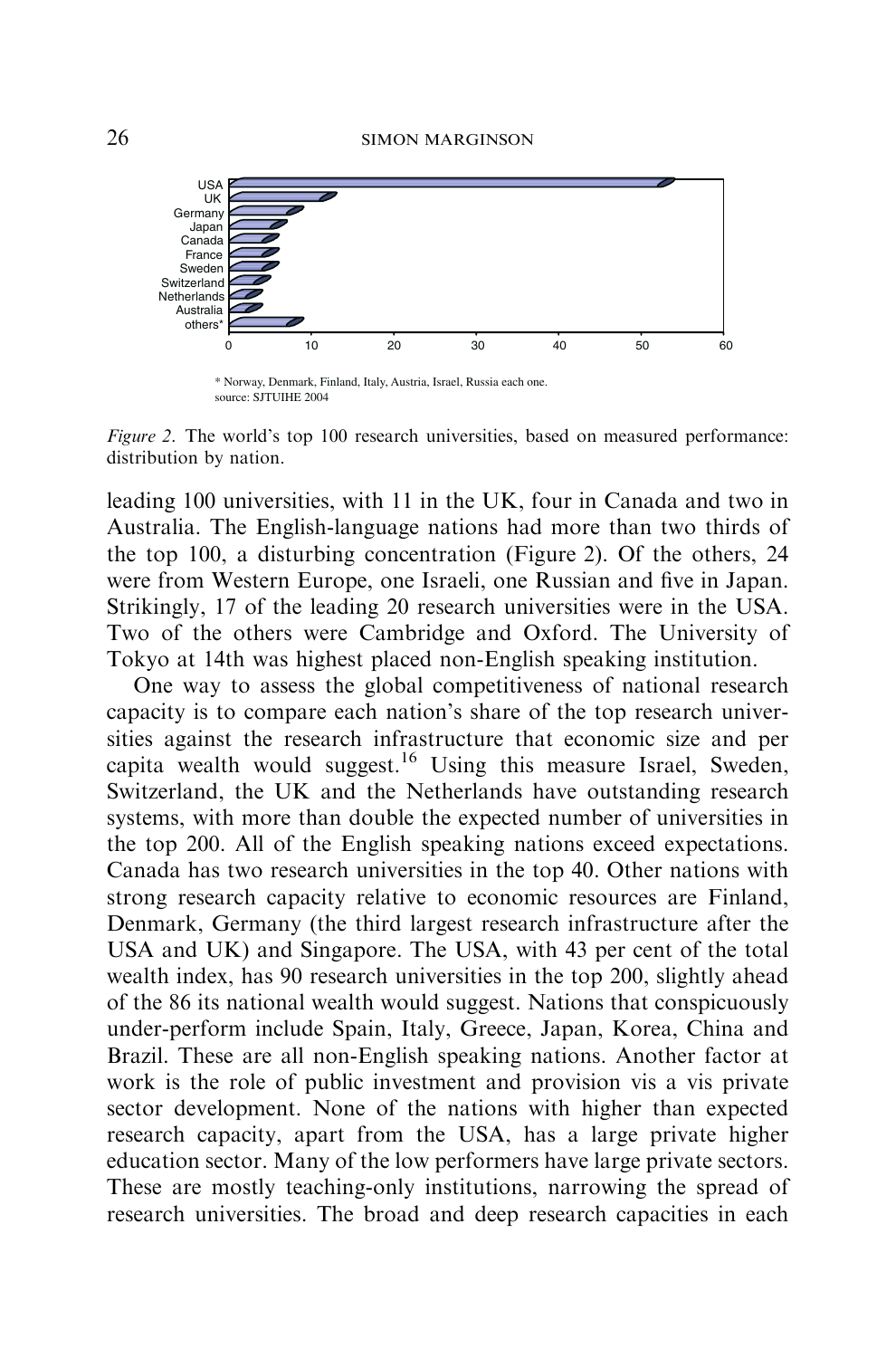

\* Norway, Denmark, Finland, Italy, Austria, Israel, Russia each one. source: SJTUIHE 2004

Figure 2. The world's top 100 research universities, based on measured performance: distribution by nation.

leading 100 universities, with 11 in the UK, four in Canada and two in Australia. The English-language nations had more than two thirds of the top 100, a disturbing concentration (Figure 2). Of the others, 24 were from Western Europe, one Israeli, one Russian and five in Japan. Strikingly, 17 of the leading 20 research universities were in the USA. Two of the others were Cambridge and Oxford. The University of Tokyo at 14th was highest placed non-English speaking institution.

One way to assess the global competitiveness of national research capacity is to compare each nation's share of the top research universities against the research infrastructure that economic size and per capita wealth would suggest.<sup>16</sup> Using this measure Israel, Sweden, Switzerland, the UK and the Netherlands have outstanding research systems, with more than double the expected number of universities in the top 200. All of the English speaking nations exceed expectations. Canada has two research universities in the top 40. Other nations with strong research capacity relative to economic resources are Finland, Denmark, Germany (the third largest research infrastructure after the USA and UK) and Singapore. The USA, with 43 per cent of the total wealth index, has 90 research universities in the top 200, slightly ahead of the 86 its national wealth would suggest. Nations that conspicuously under-perform include Spain, Italy, Greece, Japan, Korea, China and Brazil. These are all non-English speaking nations. Another factor at work is the role of public investment and provision vis a vis private sector development. None of the nations with higher than expected research capacity, apart from the USA, has a large private higher education sector. Many of the low performers have large private sectors. These are mostly teaching-only institutions, narrowing the spread of research universities. The broad and deep research capacities in each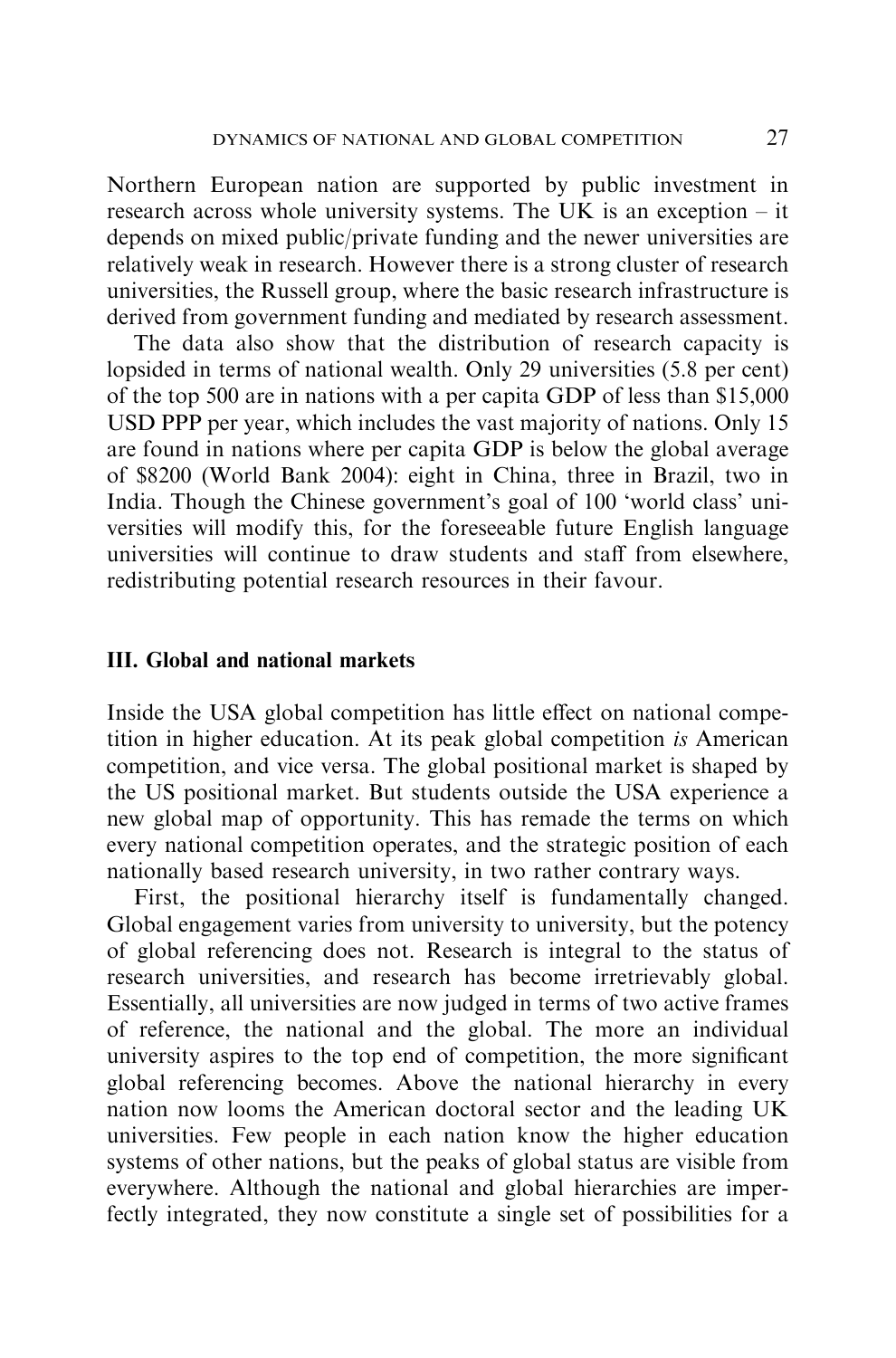Northern European nation are supported by public investment in research across whole university systems. The UK is an exception – it depends on mixed public/private funding and the newer universities are relatively weak in research. However there is a strong cluster of research universities, the Russell group, where the basic research infrastructure is derived from government funding and mediated by research assessment.

The data also show that the distribution of research capacity is lopsided in terms of national wealth. Only 29 universities (5.8 per cent) of the top 500 are in nations with a per capita GDP of less than \$15,000 USD PPP per year, which includes the vast majority of nations. Only 15 are found in nations where per capita GDP is below the global average of \$8200 (World Bank 2004): eight in China, three in Brazil, two in India. Though the Chinese government's goal of 100 'world class' universities will modify this, for the foreseeable future English language universities will continue to draw students and staff from elsewhere, redistributing potential research resources in their favour.

# III. Global and national markets

Inside the USA global competition has little effect on national competition in higher education. At its peak global competition is American competition, and vice versa. The global positional market is shaped by the US positional market. But students outside the USA experience a new global map of opportunity. This has remade the terms on which every national competition operates, and the strategic position of each nationally based research university, in two rather contrary ways.

First, the positional hierarchy itself is fundamentally changed. Global engagement varies from university to university, but the potency of global referencing does not. Research is integral to the status of research universities, and research has become irretrievably global. Essentially, all universities are now judged in terms of two active frames of reference, the national and the global. The more an individual university aspires to the top end of competition, the more significant global referencing becomes. Above the national hierarchy in every nation now looms the American doctoral sector and the leading UK universities. Few people in each nation know the higher education systems of other nations, but the peaks of global status are visible from everywhere. Although the national and global hierarchies are imperfectly integrated, they now constitute a single set of possibilities for a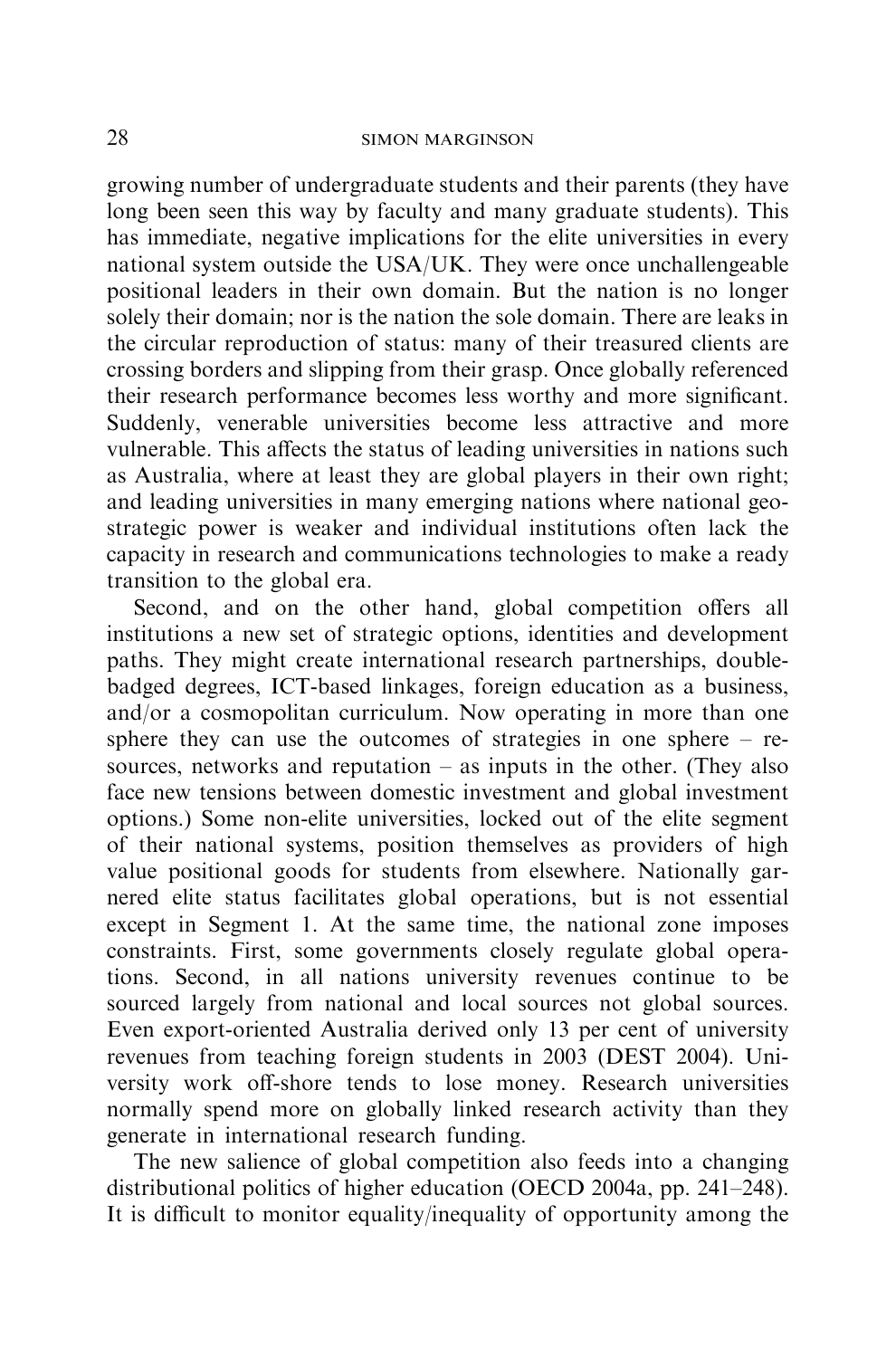growing number of undergraduate students and their parents (they have long been seen this way by faculty and many graduate students). This has immediate, negative implications for the elite universities in every national system outside the USA/UK. They were once unchallengeable positional leaders in their own domain. But the nation is no longer solely their domain; nor is the nation the sole domain. There are leaks in the circular reproduction of status: many of their treasured clients are crossing borders and slipping from their grasp. Once globally referenced their research performance becomes less worthy and more significant. Suddenly, venerable universities become less attractive and more vulnerable. This affects the status of leading universities in nations such as Australia, where at least they are global players in their own right; and leading universities in many emerging nations where national geostrategic power is weaker and individual institutions often lack the capacity in research and communications technologies to make a ready transition to the global era.

Second, and on the other hand, global competition offers all institutions a new set of strategic options, identities and development paths. They might create international research partnerships, doublebadged degrees, ICT-based linkages, foreign education as a business, and/or a cosmopolitan curriculum. Now operating in more than one sphere they can use the outcomes of strategies in one sphere – resources, networks and reputation  $-$  as inputs in the other. (They also face new tensions between domestic investment and global investment options.) Some non-elite universities, locked out of the elite segment of their national systems, position themselves as providers of high value positional goods for students from elsewhere. Nationally garnered elite status facilitates global operations, but is not essential except in Segment 1. At the same time, the national zone imposes constraints. First, some governments closely regulate global operations. Second, in all nations university revenues continue to be sourced largely from national and local sources not global sources. Even export-oriented Australia derived only 13 per cent of university revenues from teaching foreign students in 2003 (DEST 2004). University work off-shore tends to lose money. Research universities normally spend more on globally linked research activity than they generate in international research funding.

The new salience of global competition also feeds into a changing distributional politics of higher education (OECD 2004a, pp. 241–248). It is difficult to monitor equality/inequality of opportunity among the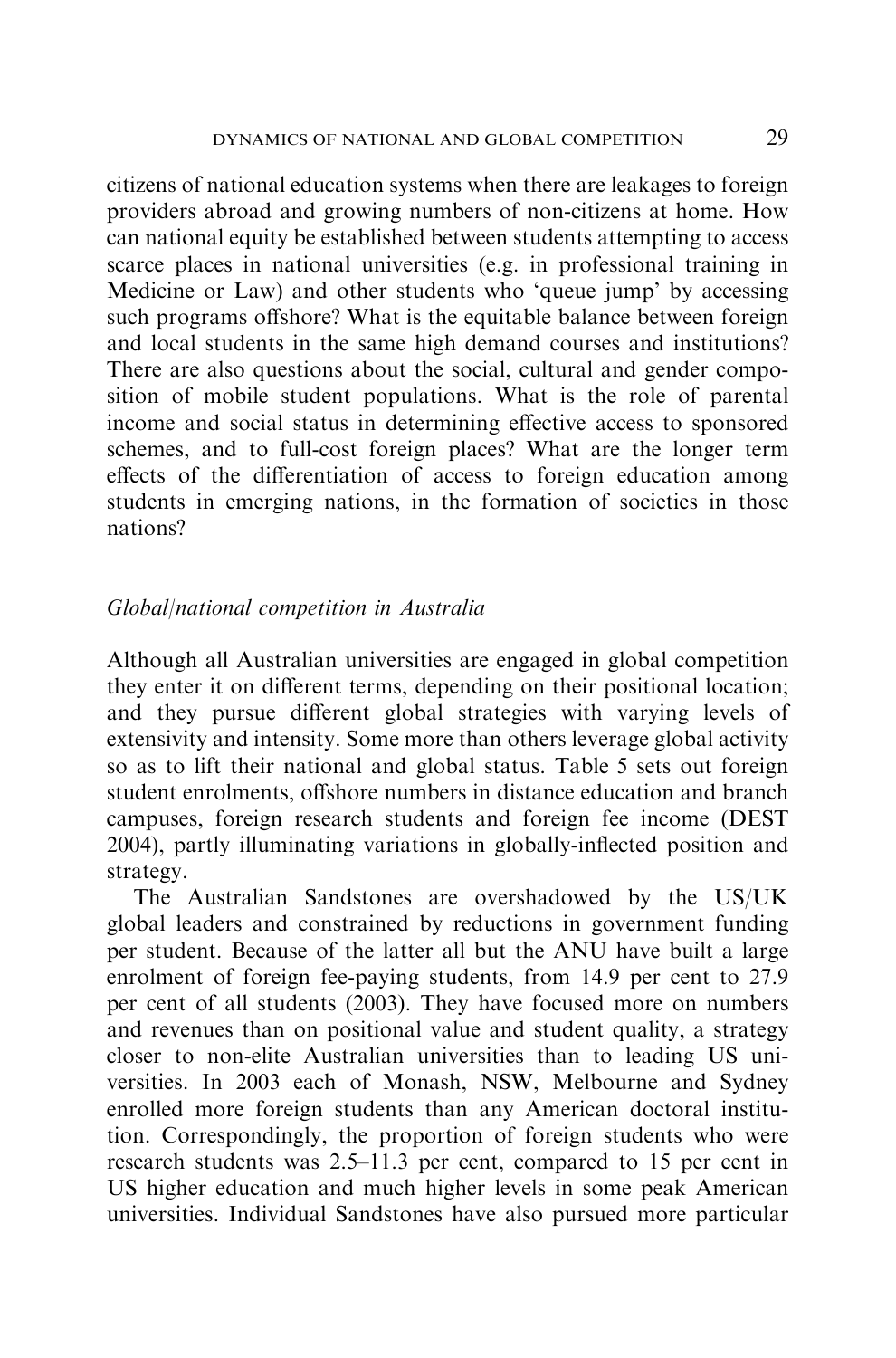citizens of national education systems when there are leakages to foreign providers abroad and growing numbers of non-citizens at home. How can national equity be established between students attempting to access scarce places in national universities (e.g. in professional training in Medicine or Law) and other students who 'queue jump' by accessing such programs offshore? What is the equitable balance between foreign and local students in the same high demand courses and institutions? There are also questions about the social, cultural and gender composition of mobile student populations. What is the role of parental income and social status in determining effective access to sponsored schemes, and to full-cost foreign places? What are the longer term effects of the differentiation of access to foreign education among students in emerging nations, in the formation of societies in those nations?

# Global/national competition in Australia

Although all Australian universities are engaged in global competition they enter it on different terms, depending on their positional location; and they pursue different global strategies with varying levels of extensivity and intensity. Some more than others leverage global activity so as to lift their national and global status. Table 5 sets out foreign student enrolments, offshore numbers in distance education and branch campuses, foreign research students and foreign fee income (DEST 2004), partly illuminating variations in globally-inflected position and strategy.

The Australian Sandstones are overshadowed by the US/UK global leaders and constrained by reductions in government funding per student. Because of the latter all but the ANU have built a large enrolment of foreign fee-paying students, from 14.9 per cent to 27.9 per cent of all students (2003). They have focused more on numbers and revenues than on positional value and student quality, a strategy closer to non-elite Australian universities than to leading US universities. In 2003 each of Monash, NSW, Melbourne and Sydney enrolled more foreign students than any American doctoral institution. Correspondingly, the proportion of foreign students who were research students was 2.5–11.3 per cent, compared to 15 per cent in US higher education and much higher levels in some peak American universities. Individual Sandstones have also pursued more particular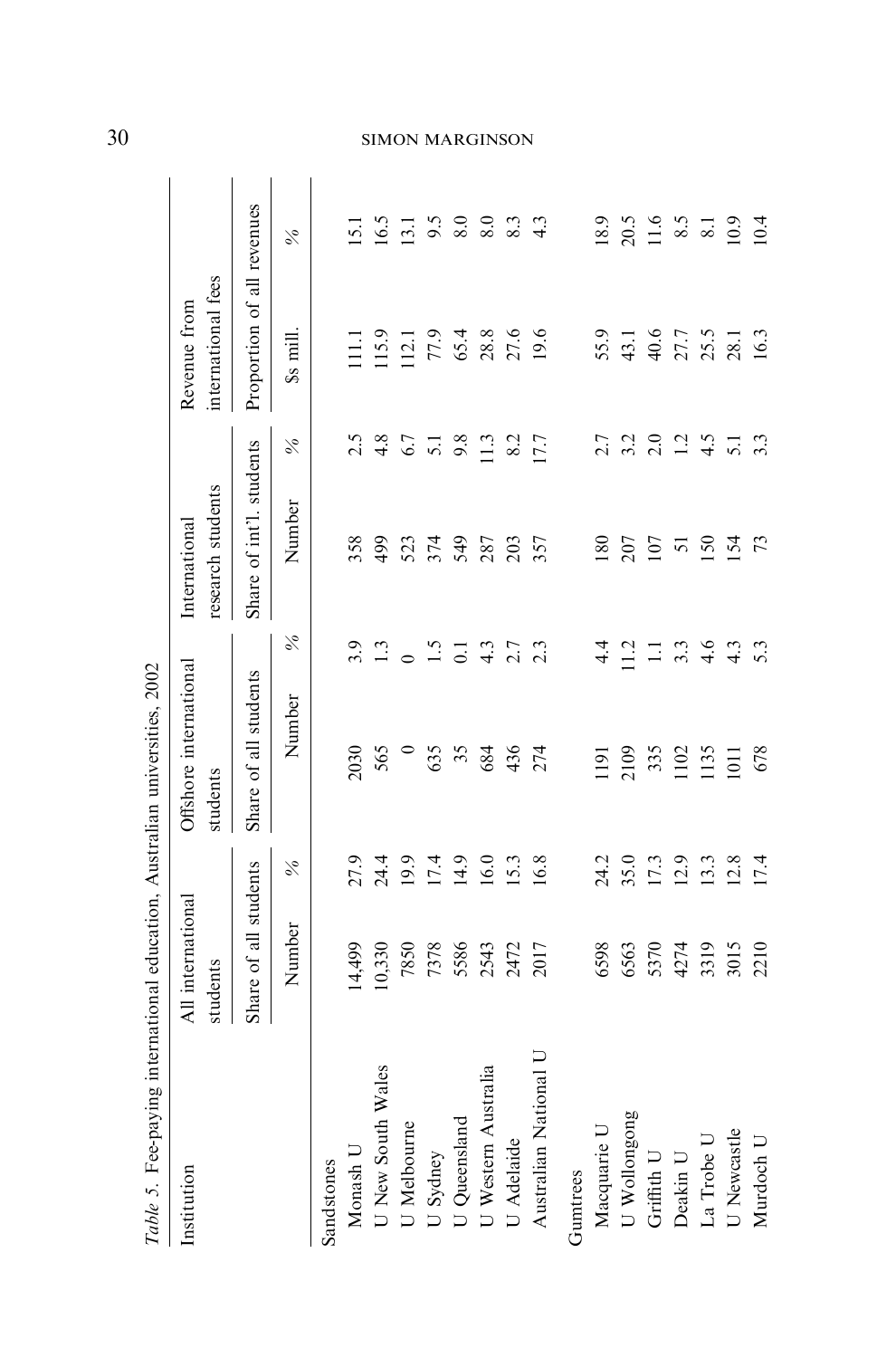| Table 5. Fee-paying                             |                               |              | international education, Australian universities, 2002 |                |                                    |                         |                                    |                  |
|-------------------------------------------------|-------------------------------|--------------|--------------------------------------------------------|----------------|------------------------------------|-------------------------|------------------------------------|------------------|
| Institution                                     | All international<br>students |              | Offshore international<br>students                     |                | research students<br>International |                         | international fees<br>Revenue from |                  |
|                                                 | Share of all students         |              | Share of all students                                  |                | Share of int'l. students           |                         | Proportion of all revenues         |                  |
|                                                 | Number                        |              | Number                                                 | $\%$           | Number                             | $\%$                    | \$s mill.                          | $\%$             |
| Sandstones                                      |                               |              |                                                        |                |                                    |                         |                                    |                  |
| Monash U                                        | 14,499                        |              | 2030                                                   | 3.9            | 358                                |                         | $\Xi$                              | $\overline{151}$ |
| J New South Wales                               | 10,330                        | 27.9<br>24.4 | 565                                                    | 1.3            | 66p                                | $2.\overline{8}$<br>4.8 | 115.9                              | 16.5             |
| U Melbourne                                     | 7850                          | 19.9         |                                                        | $\circ$        |                                    | 6.7                     | 112.1                              | $\overline{5}$   |
| U Sydney<br>U Queensland<br>U Western Australia | 7378                          | 17.4         | 635                                                    | 1.5            | 523<br>374                         | $\overline{5}$ .        | 77.9                               |                  |
|                                                 | 5586                          | 14.9         | 35                                                     | $\overline{c}$ | 549                                | 9.8                     | 65.4                               | $9.5$<br>8.0     |
|                                                 | 2543                          | 16.0         | 684                                                    | 4.3            | 287                                | $\frac{13}{2}$          | 28.8                               | 8.0              |
| U Adelaide                                      | 2472                          | 15.3         | 436                                                    | 2.7            | 203                                | 8.2                     | 27.6                               | 8.3              |
| Australian National U                           | 2017                          | 16.8         | 274                                                    | 2.3            | 357                                | 17.7                    | 19.6                               | $\frac{3}{4}$    |
| Gumtrees                                        |                               |              |                                                        |                |                                    |                         |                                    |                  |
| Macquarie U                                     | 6598                          | 24.2         | $\overline{191}$                                       | $\frac{4}{4}$  | $\overline{80}$                    | 2.7                     | 55.9                               | 18.9             |
| U Wollongong                                    | 6563                          | 35.0         | 2109                                                   | $\frac{1}{2}$  | 207                                | 3.2                     | 43.1                               | 20.5             |
| Griffith U                                      | 5370                          | 17.3         | 335                                                    | Ξ              | 107                                | 2.0                     | 40.6                               | 11.6             |
| Deakin U                                        | 4274                          | 12.9         | 1102                                                   | 3.3            | 51                                 | 1.2                     | 27.7                               | $\frac{8.5}{5}$  |
| La Trobe U                                      | 3319<br>3015                  | 13.3         | 1135                                                   | 4.6            | 150                                | 4.5                     | 25.5<br>28.1                       | $\overline{8}$ . |
| J Newcastle                                     |                               | 12.8         | 1011                                                   | 4.3            | 154                                | $\overline{5.1}$        |                                    | 10.9             |
| Murdoch U                                       | 2210                          | 17.4         | 678                                                    | 5.3            | 73                                 | 3.3                     | 16.3                               | 10.4             |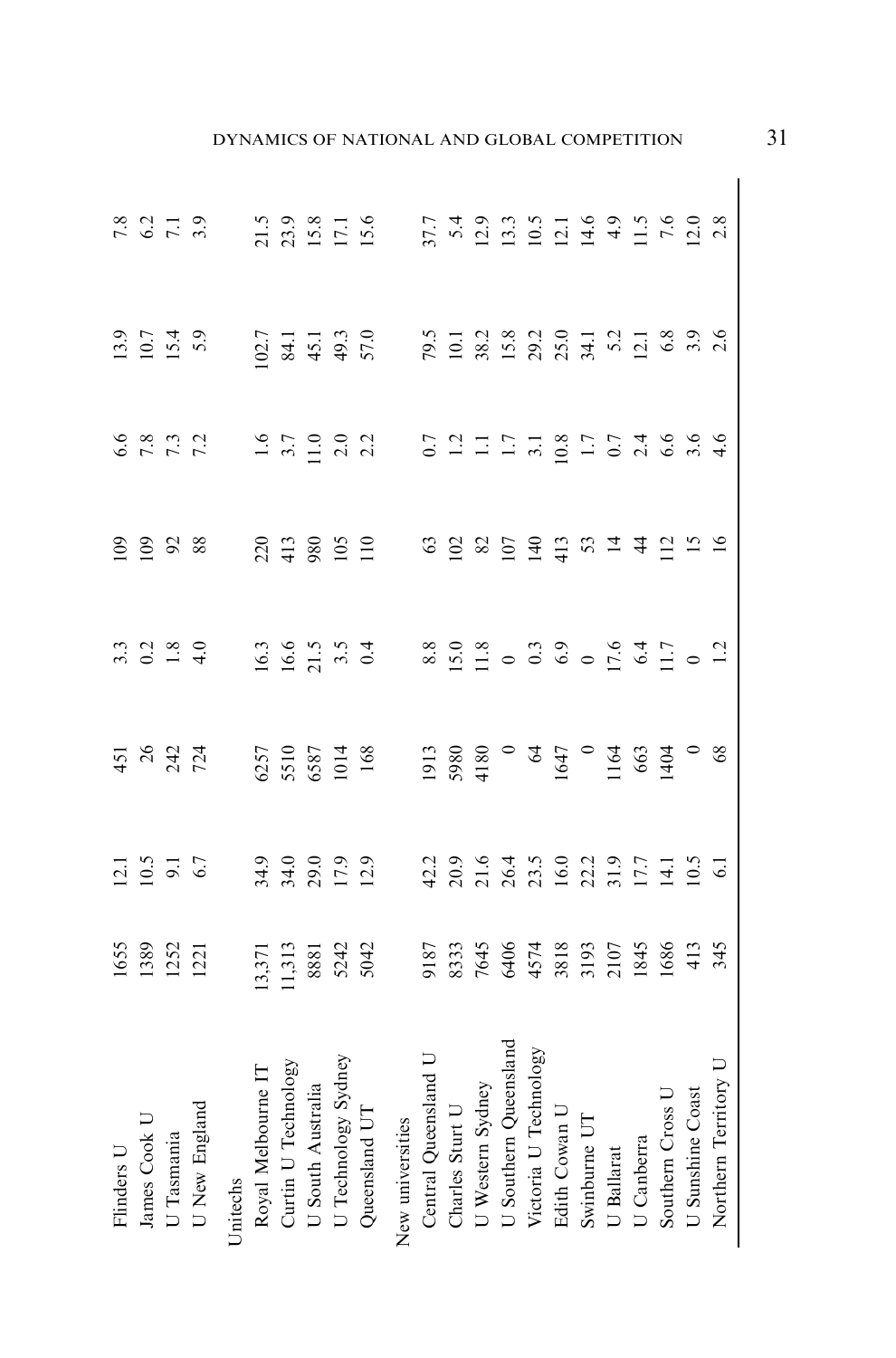| Flinders U                                                                                                                        |                                                                                                                                                                                                                                       |                                    |                              |                                               |                        |                                     |                                  |
|-----------------------------------------------------------------------------------------------------------------------------------|---------------------------------------------------------------------------------------------------------------------------------------------------------------------------------------------------------------------------------------|------------------------------------|------------------------------|-----------------------------------------------|------------------------|-------------------------------------|----------------------------------|
| James Cook U                                                                                                                      |                                                                                                                                                                                                                                       |                                    |                              |                                               |                        |                                     |                                  |
| U Tasmania                                                                                                                        |                                                                                                                                                                                                                                       |                                    |                              |                                               |                        |                                     | $7.8$<br>$6.2$<br>$7.1$<br>$3.9$ |
| U New England                                                                                                                     | 1655<br>1389<br>1252<br>1221                                                                                                                                                                                                          | $12.1$<br>$10.5$<br>$9.1$<br>$6.7$ | 451<br>242<br>724            | $3.\overline{3}$<br>0.2 $\overline{4}$<br>4.0 |                        | $13.9$<br>$10.7$<br>$15.4$<br>$5.9$ |                                  |
| Unitechs                                                                                                                          |                                                                                                                                                                                                                                       |                                    |                              |                                               | 0 0 0 2 3 3 4 5 8 9 10 |                                     |                                  |
|                                                                                                                                   |                                                                                                                                                                                                                                       |                                    |                              |                                               |                        |                                     |                                  |
|                                                                                                                                   |                                                                                                                                                                                                                                       |                                    |                              |                                               |                        |                                     |                                  |
|                                                                                                                                   |                                                                                                                                                                                                                                       |                                    |                              |                                               |                        |                                     |                                  |
|                                                                                                                                   |                                                                                                                                                                                                                                       |                                    |                              |                                               |                        |                                     |                                  |
| Royal Melbourne IT<br>Curtin U Technology<br>U South Australia<br>U Technology Sydney<br>Queensland UT<br>.                       |                                                                                                                                                                                                                                       | 34.0<br>34.0<br>17.9<br>12.9       | 6257<br>5510<br>5687<br>1014 |                                               |                        |                                     | 21.5<br>23.9<br>15.8<br>15.6     |
| New universities                                                                                                                  | 13,713<br>11,713 88 81 92 93 93 94 95 96 96 97 98 98 98 98 98 98 98 98 99 99 90 91 92 94 95 96 97 98 99 91 92 92 94 95 9<br>11,713 98 98 98 98 98 98 98 98 98 98 99 90 91 92 94 95 96 97 98 99 90 91 92 94 95 96 97 98 99 90 91 91 92 |                                    |                              |                                               |                        |                                     |                                  |
| Vew universities<br>Central Queensland U<br>Charles Sturt U<br>U Western Sydney<br>U Southern Queensland<br>Victoria U Technology |                                                                                                                                                                                                                                       |                                    |                              |                                               |                        |                                     |                                  |
|                                                                                                                                   |                                                                                                                                                                                                                                       |                                    |                              |                                               |                        |                                     |                                  |
|                                                                                                                                   |                                                                                                                                                                                                                                       |                                    |                              |                                               |                        |                                     |                                  |
|                                                                                                                                   |                                                                                                                                                                                                                                       |                                    |                              |                                               |                        |                                     |                                  |
|                                                                                                                                   |                                                                                                                                                                                                                                       |                                    |                              |                                               |                        |                                     |                                  |
| Edith Cowan U                                                                                                                     |                                                                                                                                                                                                                                       |                                    |                              |                                               |                        |                                     |                                  |
| Swinburne UT                                                                                                                      |                                                                                                                                                                                                                                       |                                    |                              |                                               |                        |                                     |                                  |
|                                                                                                                                   |                                                                                                                                                                                                                                       |                                    |                              |                                               |                        |                                     |                                  |
|                                                                                                                                   |                                                                                                                                                                                                                                       |                                    |                              |                                               |                        |                                     |                                  |
|                                                                                                                                   |                                                                                                                                                                                                                                       |                                    |                              |                                               |                        |                                     |                                  |
|                                                                                                                                   |                                                                                                                                                                                                                                       |                                    |                              |                                               |                        |                                     |                                  |
| U Ballarat<br>U Canberra<br>U Canberra<br>Southern Cross U<br>U Sunshine Coast<br>Northern Territory U                            |                                                                                                                                                                                                                                       |                                    |                              |                                               |                        |                                     |                                  |

# DYNAMICS OF NATIONAL AND GLOBAL COMPETITION 31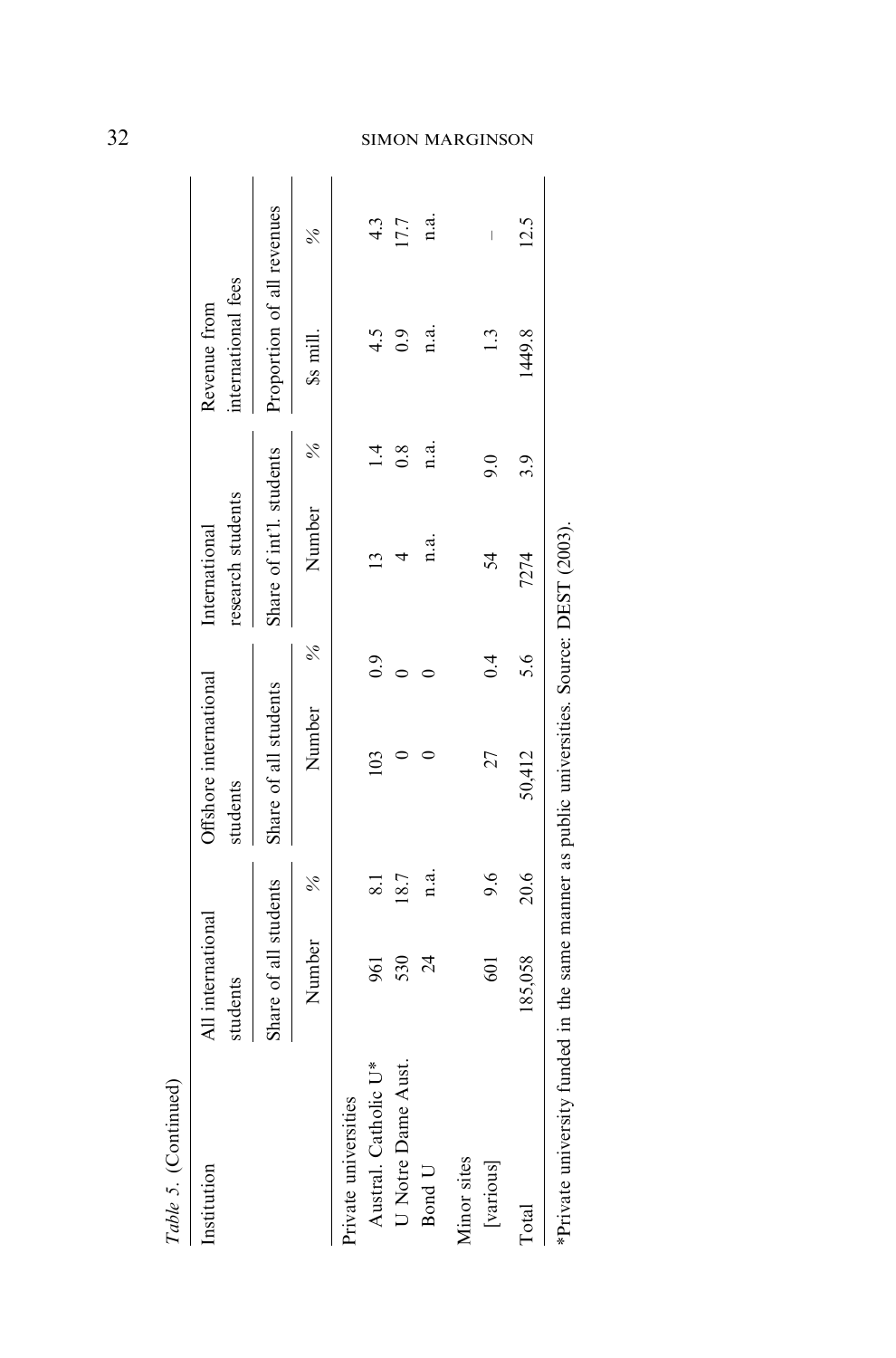| Table 5. (Continued)                                                                      |                               |                          |                                    |               |                                    |                |                                    |               |
|-------------------------------------------------------------------------------------------|-------------------------------|--------------------------|------------------------------------|---------------|------------------------------------|----------------|------------------------------------|---------------|
| Institution                                                                               | All international<br>students |                          | Offshore international<br>students |               | research students<br>International |                | international fees<br>Revenue from |               |
|                                                                                           | Share of all students         |                          | Share of all students              |               | Share of int'l. students           |                | Proportion of all revenues         |               |
|                                                                                           | Number                        | $\frac{6}{6}$            | Number                             | $\frac{6}{6}$ | Number                             | $\frac{5}{6}$  | \$s mill.                          | $\frac{5}{6}$ |
| Private universities                                                                      |                               |                          |                                    |               |                                    |                |                                    |               |
| Austral. Catholic U*                                                                      | 961                           | $\overline{\phantom{0}}$ | 103                                | 0.9           | $\mathbf{1}$                       | $\overline{1}$ | 4.5                                | 4.3           |
| U Notre Dame Aust.                                                                        | 530                           | 18.7                     |                                    |               | 4                                  | 0.8            | 0.9                                | 17.7          |
| Bond U                                                                                    | $\overline{24}$               | n.a.                     |                                    |               | n.a.                               | n.a.           | n.a.                               | n.a.          |
| Minor sites                                                                               |                               |                          |                                    |               |                                    |                |                                    |               |
| [various]                                                                                 | <b>601</b>                    | 9.6                      | 27                                 | 0.4           | 54                                 | 9.0            | 1.3                                | I             |
| Total                                                                                     | 185,058                       | 20.6                     | 50,412                             | 5.6           | 7274                               | 3.9            | 1449.8                             | 12.5          |
| *Private university funded in the same manner as public universities. Source: DEST (2003) |                               |                          |                                    |               |                                    |                |                                    |               |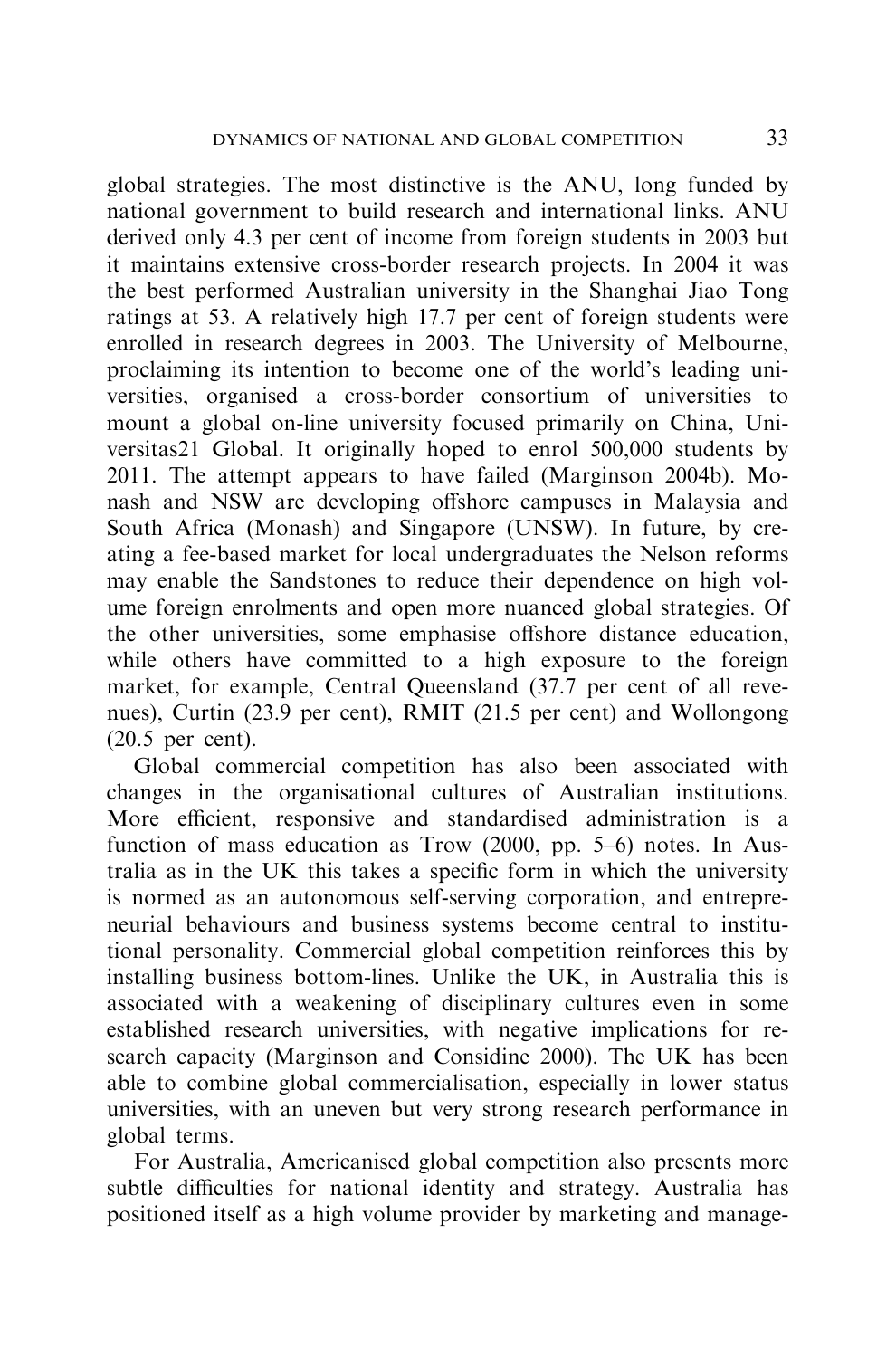global strategies. The most distinctive is the ANU, long funded by national government to build research and international links. ANU derived only 4.3 per cent of income from foreign students in 2003 but it maintains extensive cross-border research projects. In 2004 it was the best performed Australian university in the Shanghai Jiao Tong ratings at 53. A relatively high 17.7 per cent of foreign students were enrolled in research degrees in 2003. The University of Melbourne, proclaiming its intention to become one of the world's leading universities, organised a cross-border consortium of universities to mount a global on-line university focused primarily on China, Universitas21 Global. It originally hoped to enrol 500,000 students by 2011. The attempt appears to have failed (Marginson 2004b). Monash and NSW are developing offshore campuses in Malaysia and South Africa (Monash) and Singapore (UNSW). In future, by creating a fee-based market for local undergraduates the Nelson reforms may enable the Sandstones to reduce their dependence on high volume foreign enrolments and open more nuanced global strategies. Of the other universities, some emphasise offshore distance education, while others have committed to a high exposure to the foreign market, for example, Central Queensland (37.7 per cent of all revenues), Curtin (23.9 per cent), RMIT (21.5 per cent) and Wollongong (20.5 per cent).

Global commercial competition has also been associated with changes in the organisational cultures of Australian institutions. More efficient, responsive and standardised administration is a function of mass education as Trow (2000, pp. 5–6) notes. In Australia as in the UK this takes a specific form in which the university is normed as an autonomous self-serving corporation, and entrepreneurial behaviours and business systems become central to institutional personality. Commercial global competition reinforces this by installing business bottom-lines. Unlike the UK, in Australia this is associated with a weakening of disciplinary cultures even in some established research universities, with negative implications for research capacity (Marginson and Considine 2000). The UK has been able to combine global commercialisation, especially in lower status universities, with an uneven but very strong research performance in global terms.

For Australia, Americanised global competition also presents more subtle difficulties for national identity and strategy. Australia has positioned itself as a high volume provider by marketing and manage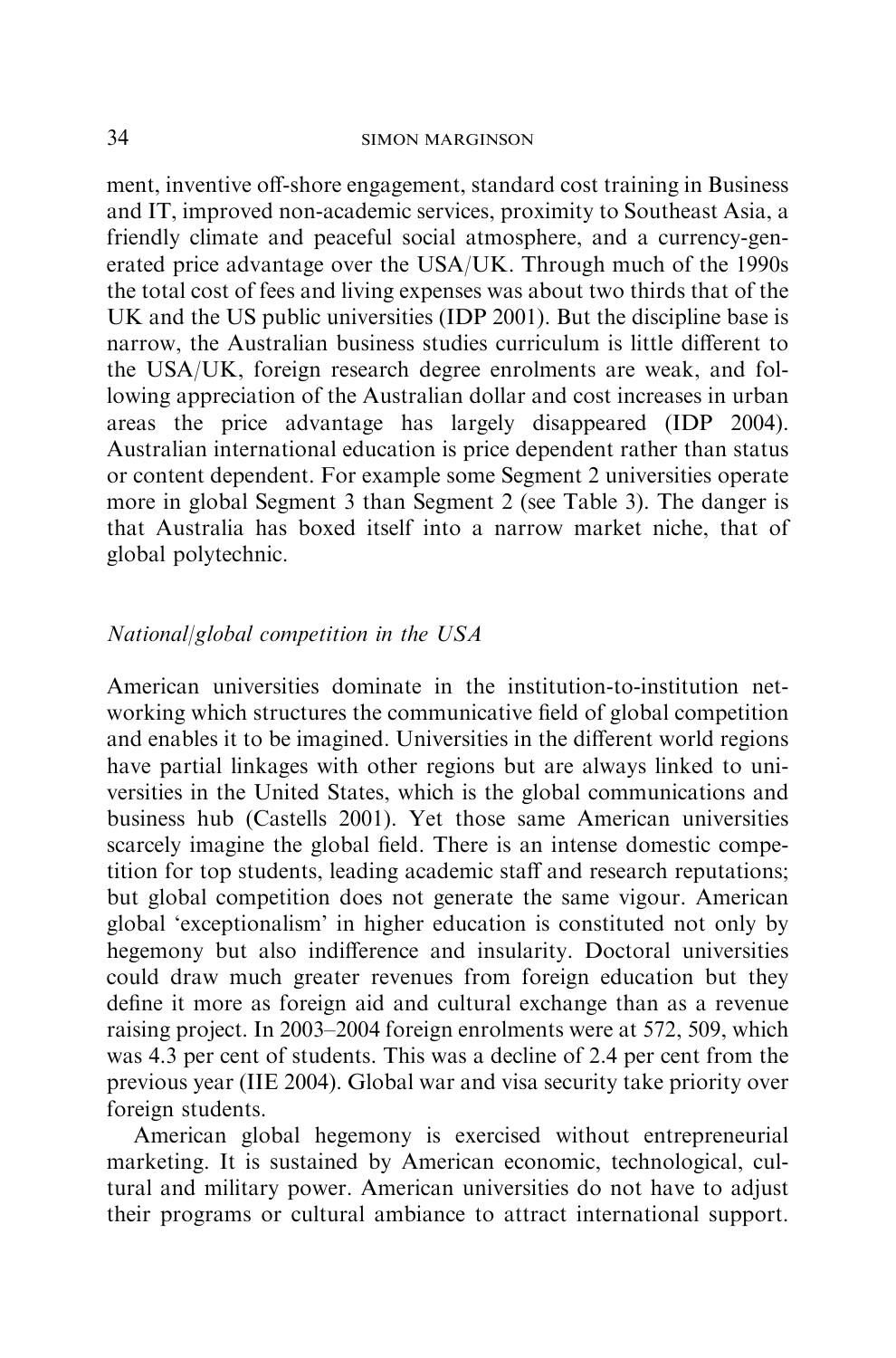ment, inventive off-shore engagement, standard cost training in Business and IT, improved non-academic services, proximity to Southeast Asia, a friendly climate and peaceful social atmosphere, and a currency-generated price advantage over the USA/UK. Through much of the 1990s the total cost of fees and living expenses was about two thirds that of the UK and the US public universities (IDP 2001). But the discipline base is narrow, the Australian business studies curriculum is little different to the USA/UK, foreign research degree enrolments are weak, and following appreciation of the Australian dollar and cost increases in urban areas the price advantage has largely disappeared (IDP 2004). Australian international education is price dependent rather than status or content dependent. For example some Segment 2 universities operate more in global Segment 3 than Segment 2 (see Table 3). The danger is that Australia has boxed itself into a narrow market niche, that of global polytechnic.

# National/global competition in the USA

American universities dominate in the institution-to-institution networking which structures the communicative field of global competition and enables it to be imagined. Universities in the different world regions have partial linkages with other regions but are always linked to universities in the United States, which is the global communications and business hub (Castells 2001). Yet those same American universities scarcely imagine the global field. There is an intense domestic competition for top students, leading academic staff and research reputations; but global competition does not generate the same vigour. American global 'exceptionalism' in higher education is constituted not only by hegemony but also indifference and insularity. Doctoral universities could draw much greater revenues from foreign education but they define it more as foreign aid and cultural exchange than as a revenue raising project. In 2003–2004 foreign enrolments were at 572, 509, which was 4.3 per cent of students. This was a decline of 2.4 per cent from the previous year (IIE 2004). Global war and visa security take priority over foreign students.

American global hegemony is exercised without entrepreneurial marketing. It is sustained by American economic, technological, cultural and military power. American universities do not have to adjust their programs or cultural ambiance to attract international support.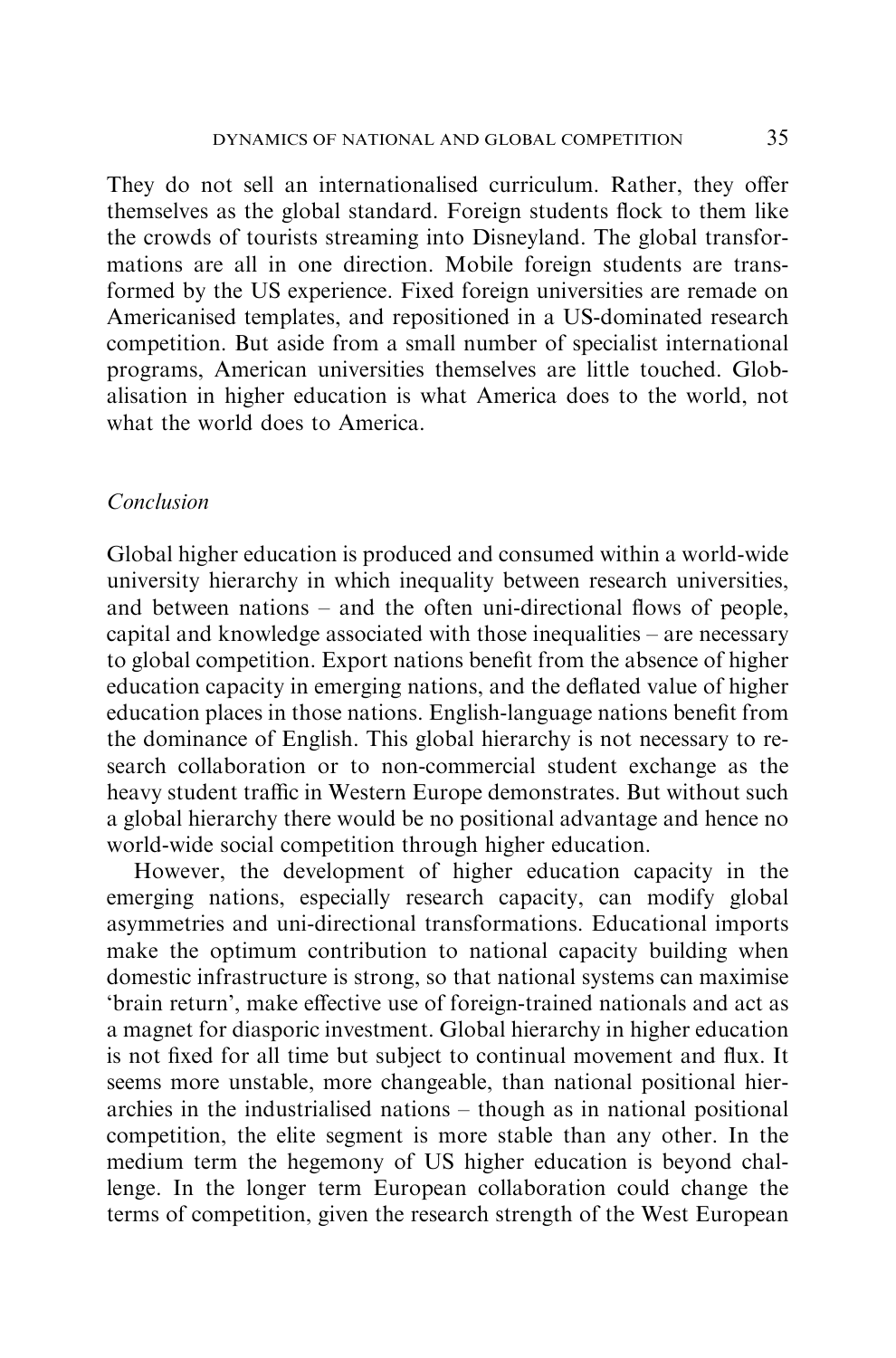They do not sell an internationalised curriculum. Rather, they offer themselves as the global standard. Foreign students flock to them like the crowds of tourists streaming into Disneyland. The global transformations are all in one direction. Mobile foreign students are transformed by the US experience. Fixed foreign universities are remade on Americanised templates, and repositioned in a US-dominated research competition. But aside from a small number of specialist international programs, American universities themselves are little touched. Globalisation in higher education is what America does to the world, not what the world does to America.

## Conclusion

Global higher education is produced and consumed within a world-wide university hierarchy in which inequality between research universities, and between nations – and the often uni-directional flows of people, capital and knowledge associated with those inequalities – are necessary to global competition. Export nations benefit from the absence of higher education capacity in emerging nations, and the deflated value of higher education places in those nations. English-language nations benefit from the dominance of English. This global hierarchy is not necessary to research collaboration or to non-commercial student exchange as the heavy student traffic in Western Europe demonstrates. But without such a global hierarchy there would be no positional advantage and hence no world-wide social competition through higher education.

However, the development of higher education capacity in the emerging nations, especially research capacity, can modify global asymmetries and uni-directional transformations. Educational imports make the optimum contribution to national capacity building when domestic infrastructure is strong, so that national systems can maximise 'brain return', make effective use of foreign-trained nationals and act as a magnet for diasporic investment. Global hierarchy in higher education is not fixed for all time but subject to continual movement and flux. It seems more unstable, more changeable, than national positional hierarchies in the industrialised nations – though as in national positional competition, the elite segment is more stable than any other. In the medium term the hegemony of US higher education is beyond challenge. In the longer term European collaboration could change the terms of competition, given the research strength of the West European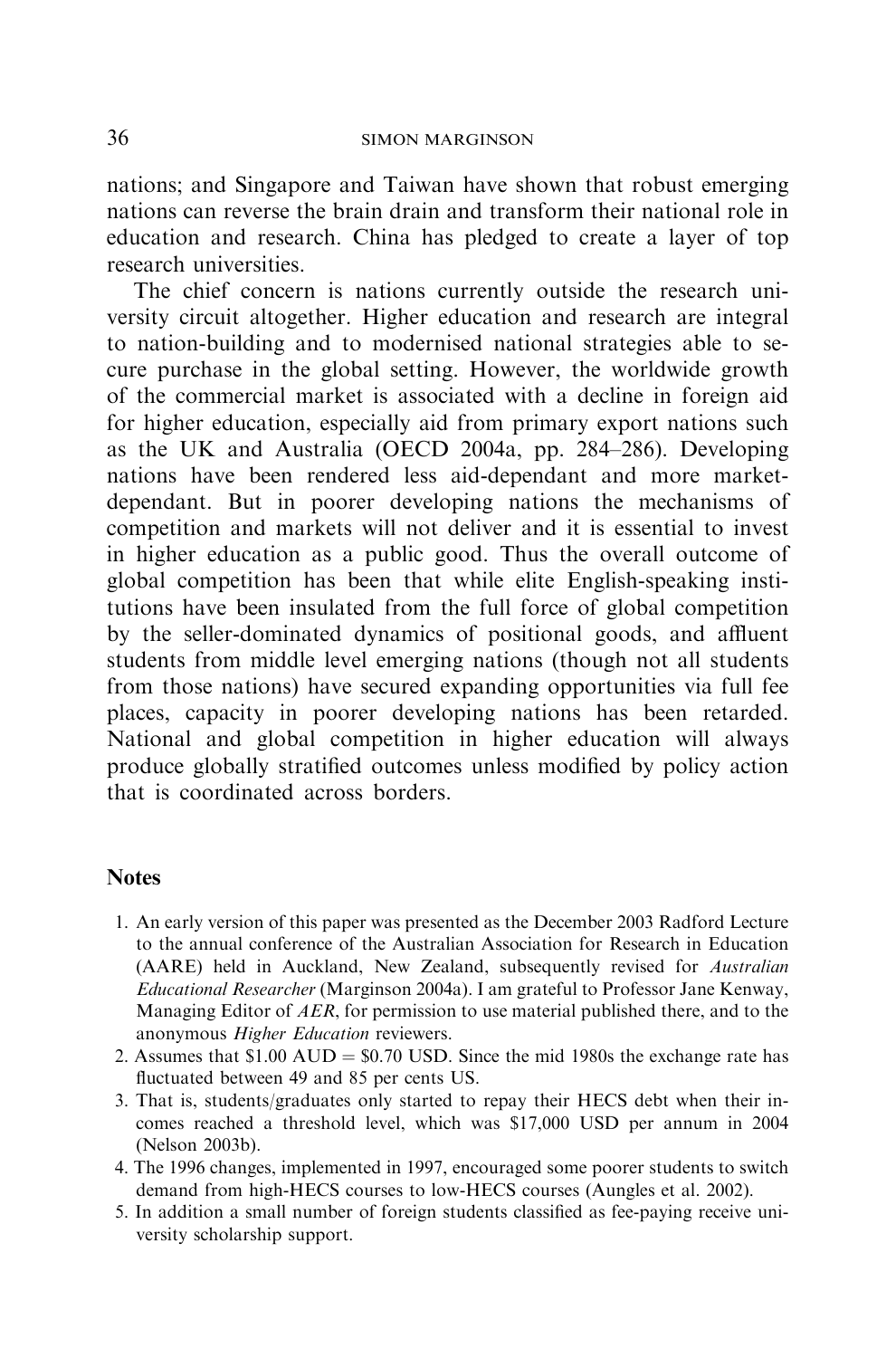nations; and Singapore and Taiwan have shown that robust emerging nations can reverse the brain drain and transform their national role in education and research. China has pledged to create a layer of top research universities.

The chief concern is nations currently outside the research university circuit altogether. Higher education and research are integral to nation-building and to modernised national strategies able to secure purchase in the global setting. However, the worldwide growth of the commercial market is associated with a decline in foreign aid for higher education, especially aid from primary export nations such as the UK and Australia (OECD 2004a, pp. 284–286). Developing nations have been rendered less aid-dependant and more marketdependant. But in poorer developing nations the mechanisms of competition and markets will not deliver and it is essential to invest in higher education as a public good. Thus the overall outcome of global competition has been that while elite English-speaking institutions have been insulated from the full force of global competition by the seller-dominated dynamics of positional goods, and affluent students from middle level emerging nations (though not all students from those nations) have secured expanding opportunities via full fee places, capacity in poorer developing nations has been retarded. National and global competition in higher education will always produce globally stratified outcomes unless modified by policy action that is coordinated across borders.

## **Notes**

- 1. An early version of this paper was presented as the December 2003 Radford Lecture to the annual conference of the Australian Association for Research in Education (AARE) held in Auckland, New Zealand, subsequently revised for Australian Educational Researcher (Marginson 2004a). I am grateful to Professor Jane Kenway, Managing Editor of AER, for permission to use material published there, and to the anonymous Higher Education reviewers.
- 2. Assumes that  $$1.00 \text{ AUD} = $0.70 \text{ USD}$ . Since the mid 1980s the exchange rate has fluctuated between 49 and 85 per cents US.
- 3. That is, students/graduates only started to repay their HECS debt when their incomes reached a threshold level, which was \$17,000 USD per annum in 2004 (Nelson 2003b).
- 4. The 1996 changes, implemented in 1997, encouraged some poorer students to switch demand from high-HECS courses to low-HECS courses (Aungles et al. 2002).
- 5. In addition a small number of foreign students classified as fee-paying receive university scholarship support.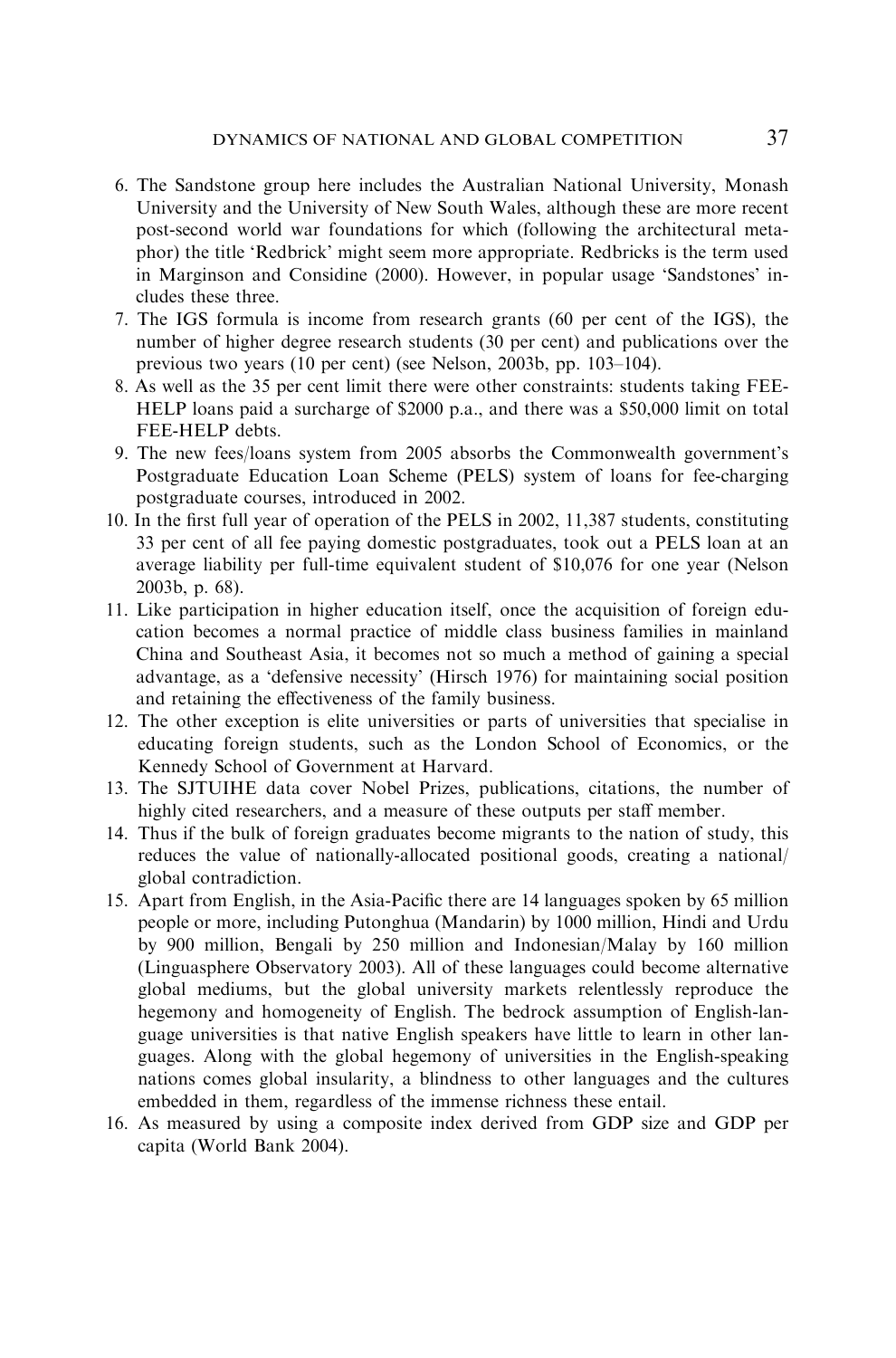- 6. The Sandstone group here includes the Australian National University, Monash University and the University of New South Wales, although these are more recent post-second world war foundations for which (following the architectural metaphor) the title 'Redbrick' might seem more appropriate. Redbricks is the term used in Marginson and Considine (2000). However, in popular usage 'Sandstones' includes these three.
- 7. The IGS formula is income from research grants (60 per cent of the IGS), the number of higher degree research students (30 per cent) and publications over the previous two years (10 per cent) (see Nelson, 2003b, pp. 103–104).
- 8. As well as the 35 per cent limit there were other constraints: students taking FEE-HELP loans paid a surcharge of \$2000 p.a., and there was a \$50,000 limit on total FEE-HELP debts.
- 9. The new fees/loans system from 2005 absorbs the Commonwealth government's Postgraduate Education Loan Scheme (PELS) system of loans for fee-charging postgraduate courses, introduced in 2002.
- 10. In the first full year of operation of the PELS in 2002, 11,387 students, constituting 33 per cent of all fee paying domestic postgraduates, took out a PELS loan at an average liability per full-time equivalent student of \$10,076 for one year (Nelson 2003b, p. 68).
- 11. Like participation in higher education itself, once the acquisition of foreign education becomes a normal practice of middle class business families in mainland China and Southeast Asia, it becomes not so much a method of gaining a special advantage, as a 'defensive necessity' (Hirsch 1976) for maintaining social position and retaining the effectiveness of the family business.
- 12. The other exception is elite universities or parts of universities that specialise in educating foreign students, such as the London School of Economics, or the Kennedy School of Government at Harvard.
- 13. The SJTUIHE data cover Nobel Prizes, publications, citations, the number of highly cited researchers, and a measure of these outputs per staff member.
- 14. Thus if the bulk of foreign graduates become migrants to the nation of study, this reduces the value of nationally-allocated positional goods, creating a national/ global contradiction.
- 15. Apart from English, in the Asia-Pacific there are 14 languages spoken by 65 million people or more, including Putonghua (Mandarin) by 1000 million, Hindi and Urdu by 900 million, Bengali by 250 million and Indonesian/Malay by 160 million (Linguasphere Observatory 2003). All of these languages could become alternative global mediums, but the global university markets relentlessly reproduce the hegemony and homogeneity of English. The bedrock assumption of English-language universities is that native English speakers have little to learn in other languages. Along with the global hegemony of universities in the English-speaking nations comes global insularity, a blindness to other languages and the cultures embedded in them, regardless of the immense richness these entail.
- 16. As measured by using a composite index derived from GDP size and GDP per capita (World Bank 2004).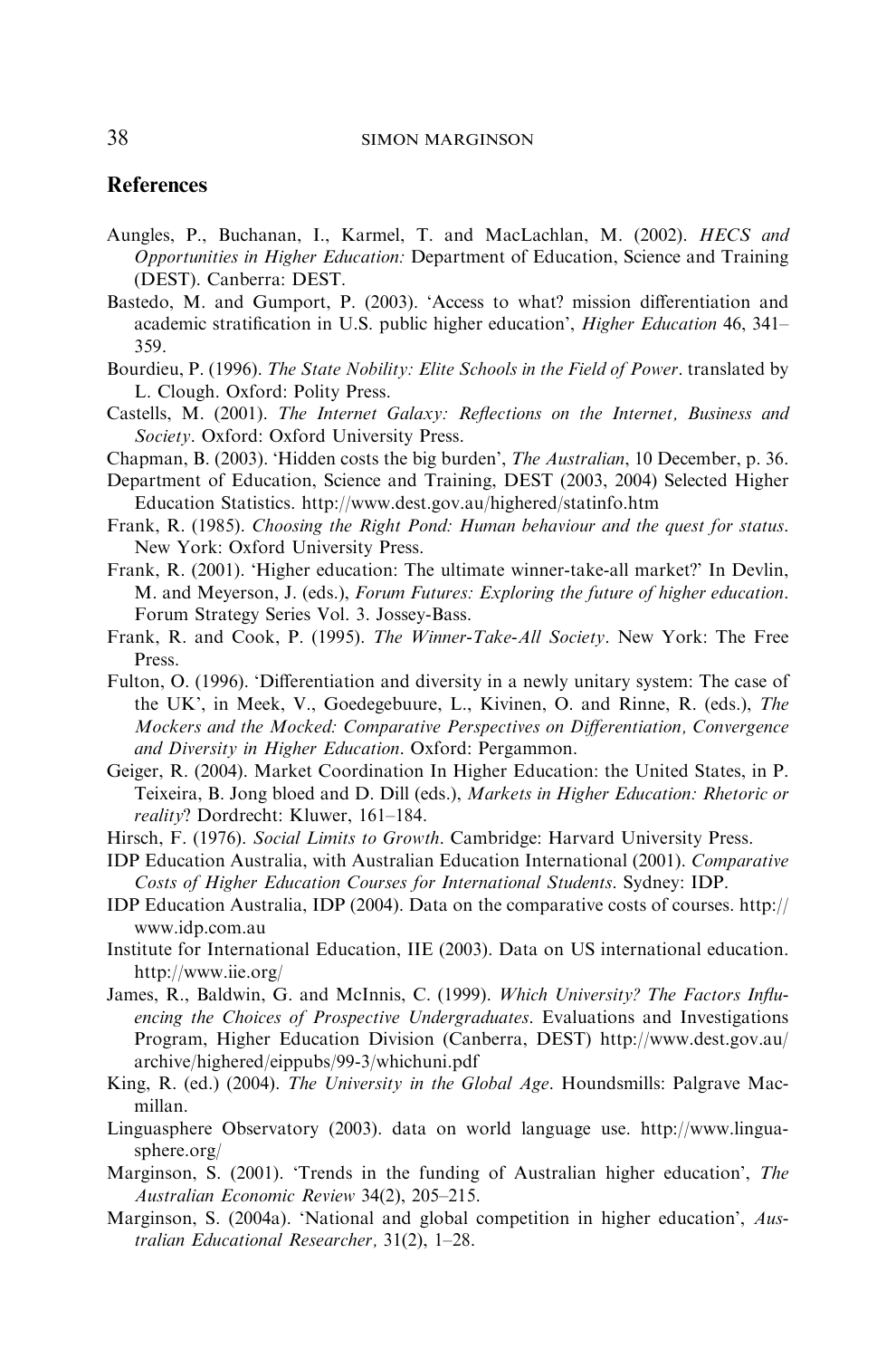#### **References**

- Aungles, P., Buchanan, I., Karmel, T. and MacLachlan, M. (2002). HECS and Opportunities in Higher Education: Department of Education, Science and Training (DEST). Canberra: DEST.
- Bastedo, M. and Gumport, P. (2003). 'Access to what? mission differentiation and academic stratification in U.S. public higher education', Higher Education 46, 341– 359.
- Bourdieu, P. (1996). The State Nobility: Elite Schools in the Field of Power. translated by L. Clough. Oxford: Polity Press.
- Castells, M. (2001). The Internet Galaxy: Reflections on the Internet, Business and Society. Oxford: Oxford University Press.
- Chapman, B. (2003). 'Hidden costs the big burden', The Australian, 10 December, p. 36.
- Department of Education, Science and Training, DEST (2003, 2004) Selected Higher Education Statistics. http://www.dest.gov.au/highered/statinfo.htm
- Frank, R. (1985). Choosing the Right Pond: Human behaviour and the quest for status. New York: Oxford University Press.
- Frank, R. (2001). 'Higher education: The ultimate winner-take-all market?' In Devlin, M. and Meyerson, J. (eds.), Forum Futures: Exploring the future of higher education. Forum Strategy Series Vol. 3. Jossey-Bass.
- Frank, R. and Cook, P. (1995). The Winner-Take-All Society. New York: The Free Press.
- Fulton, O. (1996). 'Differentiation and diversity in a newly unitary system: The case of the UK', in Meek, V., Goedegebuure, L., Kivinen, O. and Rinne, R. (eds.), The Mockers and the Mocked: Comparative Perspectives on Differentiation, Convergence and Diversity in Higher Education. Oxford: Pergammon.
- Geiger, R. (2004). Market Coordination In Higher Education: the United States, in P. Teixeira, B. Jong bloed and D. Dill (eds.), Markets in Higher Education: Rhetoric or reality? Dordrecht: Kluwer, 161–184.
- Hirsch, F. (1976). Social Limits to Growth. Cambridge: Harvard University Press.
- IDP Education Australia, with Australian Education International (2001). Comparative Costs of Higher Education Courses for International Students. Sydney: IDP.
- IDP Education Australia, IDP (2004). Data on the comparative costs of courses. http:// www.idp.com.au
- Institute for International Education, IIE (2003). Data on US international education. http://www.iie.org/
- James, R., Baldwin, G. and McInnis, C. (1999). Which University? The Factors Influencing the Choices of Prospective Undergraduates. Evaluations and Investigations Program, Higher Education Division (Canberra, DEST) http://www.dest.gov.au/ archive/highered/eippubs/99-3/whichuni.pdf
- King, R. (ed.) (2004). The University in the Global Age. Houndsmills: Palgrave Macmillan.
- Linguasphere Observatory (2003). data on world language use. http://www.linguasphere.org/
- Marginson, S. (2001). 'Trends in the funding of Australian higher education', The Australian Economic Review 34(2), 205–215.
- Marginson, S. (2004a). 'National and global competition in higher education', Australian Educational Researcher, 31(2), 1–28.